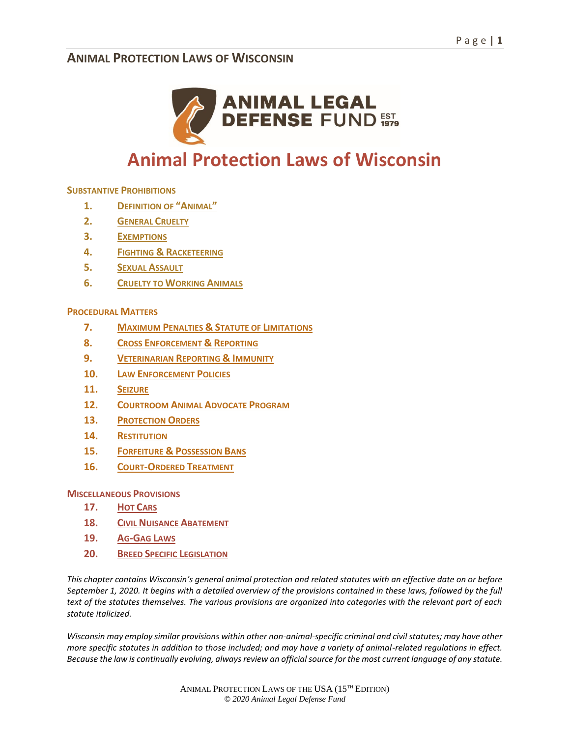

# **Animal Protection Laws of Wisconsin**

#### **SUBSTANTIVE PROHIBITIONS**

- **1. DEFINITION OF "ANIMAL"**
- **2. GENERAL CRUELTY**
- **3. EXEMPTIONS**
- **4. FIGHTING & RACKETEERING**
- **5. SEXUAL ASSAULT**
- **6. CRUELTY TO WORKING ANIMALS**

#### **PROCEDURAL MATTERS**

- **7. MAXIMUM PENALTIES & STATUTE OF LIMITATIONS**
- **8. CROSS ENFORCEMENT & REPORTING**
- **9. VETERINARIAN REPORTING & IMMUNITY**
- **10. LAW ENFORCEMENT POLICIES**
- **11. SEIZURE**
- **12. COURTROOM ANIMAL ADVOCATE PROGRAM**
- **13. PROTECTION ORDERS**
- **14. RESTITUTION**
- **15. FORFEITURE & POSSESSION BANS**
- **16. COURT-ORDERED TREATMENT**

#### **MISCELLANEOUS PROVISIONS**

- **17. HOT CARS**
- **18. CIVIL NUISANCE ABATEMENT**
- **19. AG-GAG LAWS**
- **20. BREED SPECIFIC LEGISLATION**

*This chapter contains Wisconsin's general animal protection and related statutes with an effective date on or before September 1, 2020. It begins with a detailed overview of the provisions contained in these laws, followed by the full text of the statutes themselves. The various provisions are organized into categories with the relevant part of each statute italicized.* 

*Wisconsin may employ similar provisions within other non-animal-specific criminal and civil statutes; may have other more specific statutes in addition to those included; and may have a variety of animal-related regulations in effect. Because the law is continually evolving, always review an official source for the most current language of any statute.*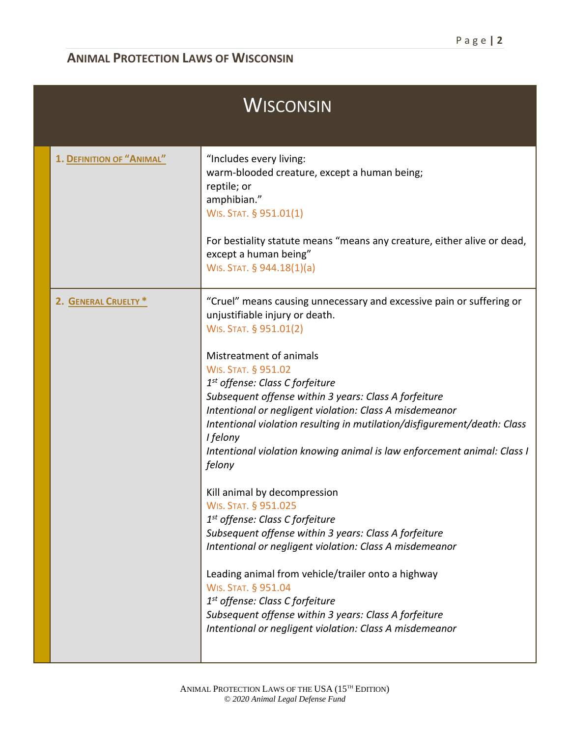| WISCONSIN                 |                                                                                                                                                                                                                                                                                                                                                                                                                                                                                                                                                                                                                                                                                                                                                                                                                                                                                                                                                                                                                             |  |
|---------------------------|-----------------------------------------------------------------------------------------------------------------------------------------------------------------------------------------------------------------------------------------------------------------------------------------------------------------------------------------------------------------------------------------------------------------------------------------------------------------------------------------------------------------------------------------------------------------------------------------------------------------------------------------------------------------------------------------------------------------------------------------------------------------------------------------------------------------------------------------------------------------------------------------------------------------------------------------------------------------------------------------------------------------------------|--|
| 1. DEFINITION OF "ANIMAL" | "Includes every living:<br>warm-blooded creature, except a human being;<br>reptile; or<br>amphibian."<br>WIS. STAT. § 951.01(1)<br>For bestiality statute means "means any creature, either alive or dead,<br>except a human being"<br>WIS. STAT. § 944.18(1)(a)                                                                                                                                                                                                                                                                                                                                                                                                                                                                                                                                                                                                                                                                                                                                                            |  |
| 2. GENERAL CRUELTY *      | "Cruel" means causing unnecessary and excessive pain or suffering or<br>unjustifiable injury or death.<br>WIS. STAT. § 951.01(2)<br>Mistreatment of animals<br><b>WIS. STAT. § 951.02</b><br>1 <sup>st</sup> offense: Class C forfeiture<br>Subsequent offense within 3 years: Class A forfeiture<br>Intentional or negligent violation: Class A misdemeanor<br>Intentional violation resulting in mutilation/disfigurement/death: Class<br>I felony<br>Intentional violation knowing animal is law enforcement animal: Class I<br>felony<br>Kill animal by decompression<br>WIS. STAT. § 951.025<br>1 <sup>st</sup> offense: Class C forfeiture<br>Subsequent offense within 3 years: Class A forfeiture<br>Intentional or negligent violation: Class A misdemeanor<br>Leading animal from vehicle/trailer onto a highway<br><b>WIS. STAT. § 951.04</b><br>1 <sup>st</sup> offense: Class C forfeiture<br>Subsequent offense within 3 years: Class A forfeiture<br>Intentional or negligent violation: Class A misdemeanor |  |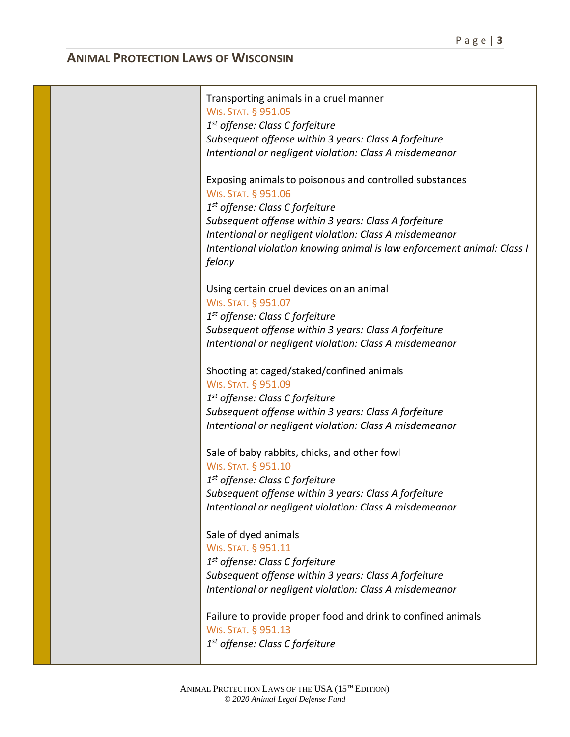| Transporting animals in a cruel manner<br><b>WIS. STAT. § 951.05</b><br>1 <sup>st</sup> offense: Class C forfeiture                  |
|--------------------------------------------------------------------------------------------------------------------------------------|
| Subsequent offense within 3 years: Class A forfeiture                                                                                |
| Intentional or negligent violation: Class A misdemeanor                                                                              |
|                                                                                                                                      |
| Exposing animals to poisonous and controlled substances<br><b>WIS. STAT. § 951.06</b><br>1 <sup>st</sup> offense: Class C forfeiture |
| Subsequent offense within 3 years: Class A forfeiture                                                                                |
| Intentional or negligent violation: Class A misdemeanor                                                                              |
| Intentional violation knowing animal is law enforcement animal: Class I<br>felony                                                    |
| Using certain cruel devices on an animal                                                                                             |
| <b>WIS. STAT. § 951.07</b>                                                                                                           |
| 1 <sup>st</sup> offense: Class C forfeiture                                                                                          |
| Subsequent offense within 3 years: Class A forfeiture                                                                                |
| Intentional or negligent violation: Class A misdemeanor                                                                              |
|                                                                                                                                      |
| Shooting at caged/staked/confined animals                                                                                            |
| WIS. STAT. § 951.09                                                                                                                  |
| 1 <sup>st</sup> offense: Class C forfeiture                                                                                          |
| Subsequent offense within 3 years: Class A forfeiture                                                                                |
| Intentional or negligent violation: Class A misdemeanor                                                                              |
|                                                                                                                                      |
| Sale of baby rabbits, chicks, and other fowl                                                                                         |
| WIS. STAT. § 951.10                                                                                                                  |
| 1 <sup>st</sup> offense: Class C forfeiture                                                                                          |
| Subsequent offense within 3 years: Class A forfeiture                                                                                |
| Intentional or negligent violation: Class A misdemeanor                                                                              |
| Sale of dyed animals                                                                                                                 |
| <b>WIS. STAT. § 951.11</b>                                                                                                           |
| 1 <sup>st</sup> offense: Class C forfeiture                                                                                          |
| Subsequent offense within 3 years: Class A forfeiture                                                                                |
| Intentional or negligent violation: Class A misdemeanor                                                                              |
|                                                                                                                                      |
| Failure to provide proper food and drink to confined animals                                                                         |
| WIS. STAT. § 951.13                                                                                                                  |
| 1 <sup>st</sup> offense: Class C forfeiture                                                                                          |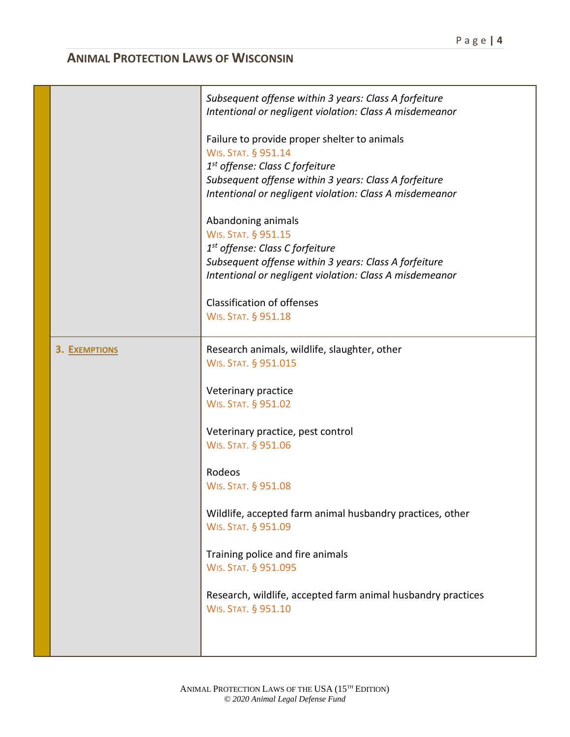|               | Subsequent offense within 3 years: Class A forfeiture<br>Intentional or negligent violation: Class A misdemeanor                                                                                                                              |
|---------------|-----------------------------------------------------------------------------------------------------------------------------------------------------------------------------------------------------------------------------------------------|
|               | Failure to provide proper shelter to animals<br><b>WIS. STAT. § 951.14</b><br>1 <sup>st</sup> offense: Class C forfeiture<br>Subsequent offense within 3 years: Class A forfeiture<br>Intentional or negligent violation: Class A misdemeanor |
|               | Abandoning animals<br>WIS. STAT. § 951.15<br>1 <sup>st</sup> offense: Class C forfeiture<br>Subsequent offense within 3 years: Class A forfeiture<br>Intentional or negligent violation: Class A misdemeanor                                  |
|               | <b>Classification of offenses</b><br><b>WIS. STAT. § 951.18</b>                                                                                                                                                                               |
| 3. EXEMPTIONS | Research animals, wildlife, slaughter, other<br>WIS. STAT. § 951.015                                                                                                                                                                          |
|               | Veterinary practice<br>WIS. STAT. § 951.02                                                                                                                                                                                                    |
|               | Veterinary practice, pest control<br>WIS. STAT. § 951.06                                                                                                                                                                                      |
|               | Rodeos<br><b>WIS. STAT. § 951.08</b>                                                                                                                                                                                                          |
|               | Wildlife, accepted farm animal husbandry practices, other<br>WIS. STAT. § 951.09                                                                                                                                                              |
|               | Training police and fire animals<br>WIS. STAT. § 951.095                                                                                                                                                                                      |
|               | Research, wildlife, accepted farm animal husbandry practices<br>WIS. STAT. § 951.10                                                                                                                                                           |
|               |                                                                                                                                                                                                                                               |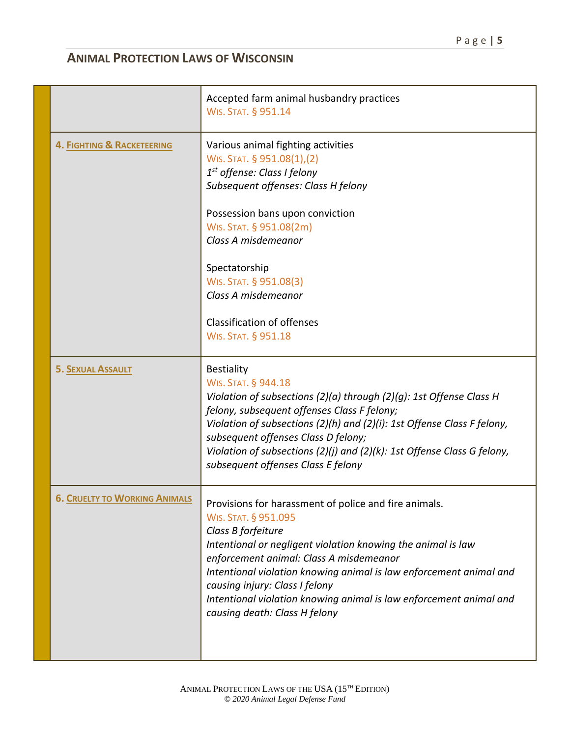|                                       | Accepted farm animal husbandry practices<br><b>WIS. STAT. § 951.14</b>                                                                                                                                                                                                                                                                                                                                                        |
|---------------------------------------|-------------------------------------------------------------------------------------------------------------------------------------------------------------------------------------------------------------------------------------------------------------------------------------------------------------------------------------------------------------------------------------------------------------------------------|
| <b>4. FIGHTING &amp; RACKETEERING</b> | Various animal fighting activities<br>WIS. STAT. § 951.08(1),(2)<br>1 <sup>st</sup> offense: Class I felony<br>Subsequent offenses: Class H felony<br>Possession bans upon conviction<br>WIS. STAT. § 951.08(2m)<br>Class A misdemeanor<br>Spectatorship<br>WIS. STAT. § 951.08(3)<br>Class A misdemeanor<br><b>Classification of offenses</b><br>WIS. STAT. § 951.18                                                         |
| <b>5. SEXUAL ASSAULT</b>              | <b>Bestiality</b><br>WIS. STAT. § 944.18<br>Violation of subsections (2)(a) through (2)(g): 1st Offense Class H<br>felony, subsequent offenses Class F felony;<br>Violation of subsections (2)(h) and (2)(i): 1st Offense Class F felony,<br>subsequent offenses Class D felony;<br>Violation of subsections (2)(j) and (2)(k): 1st Offense Class G felony,<br>subsequent offenses Class E felony                             |
| <b>6. CRUELTY TO WORKING ANIMALS</b>  | Provisions for harassment of police and fire animals.<br>WIS. STAT. § 951.095<br>Class B forfeiture<br>Intentional or negligent violation knowing the animal is law<br>enforcement animal: Class A misdemeanor<br>Intentional violation knowing animal is law enforcement animal and<br>causing injury: Class I felony<br>Intentional violation knowing animal is law enforcement animal and<br>causing death: Class H felony |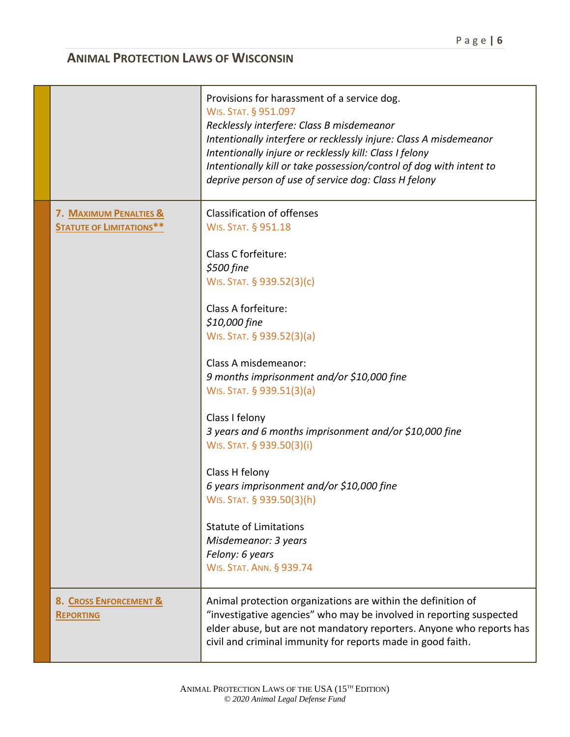|                                                           | Provisions for harassment of a service dog.<br>WIS. STAT. § 951.097<br>Recklessly interfere: Class B misdemeanor<br>Intentionally interfere or recklessly injure: Class A misdemeanor<br>Intentionally injure or recklessly kill: Class I felony<br>Intentionally kill or take possession/control of dog with intent to<br>deprive person of use of service dog: Class H felony |
|-----------------------------------------------------------|---------------------------------------------------------------------------------------------------------------------------------------------------------------------------------------------------------------------------------------------------------------------------------------------------------------------------------------------------------------------------------|
| 7. MAXIMUM PENALTIES &<br><b>STATUTE OF LIMITATIONS**</b> | <b>Classification of offenses</b><br>WIS. STAT. § 951.18<br>Class C forfeiture:<br>\$500 fine                                                                                                                                                                                                                                                                                   |
|                                                           | WIS. STAT. § 939.52(3)(c)                                                                                                                                                                                                                                                                                                                                                       |
|                                                           | Class A forfeiture:<br>\$10,000 fine                                                                                                                                                                                                                                                                                                                                            |
|                                                           | WIS. STAT. § 939.52(3)(a)                                                                                                                                                                                                                                                                                                                                                       |
|                                                           | Class A misdemeanor:<br>9 months imprisonment and/or \$10,000 fine<br>WIS. STAT. § 939.51(3)(a)                                                                                                                                                                                                                                                                                 |
|                                                           | Class I felony<br>3 years and 6 months imprisonment and/or \$10,000 fine<br>WIS. STAT. § 939.50(3)(i)                                                                                                                                                                                                                                                                           |
|                                                           | Class H felony<br>6 years imprisonment and/or \$10,000 fine<br>WIS. STAT. § 939.50(3)(h)                                                                                                                                                                                                                                                                                        |
|                                                           | <b>Statute of Limitations</b><br>Misdemeanor: 3 years<br>Felony: 6 years<br><b>WIS. STAT. ANN. § 939.74</b>                                                                                                                                                                                                                                                                     |
| 8. CROSS ENFORCEMENT &<br><b>REPORTING</b>                | Animal protection organizations are within the definition of<br>"investigative agencies" who may be involved in reporting suspected<br>elder abuse, but are not mandatory reporters. Anyone who reports has<br>civil and criminal immunity for reports made in good faith.                                                                                                      |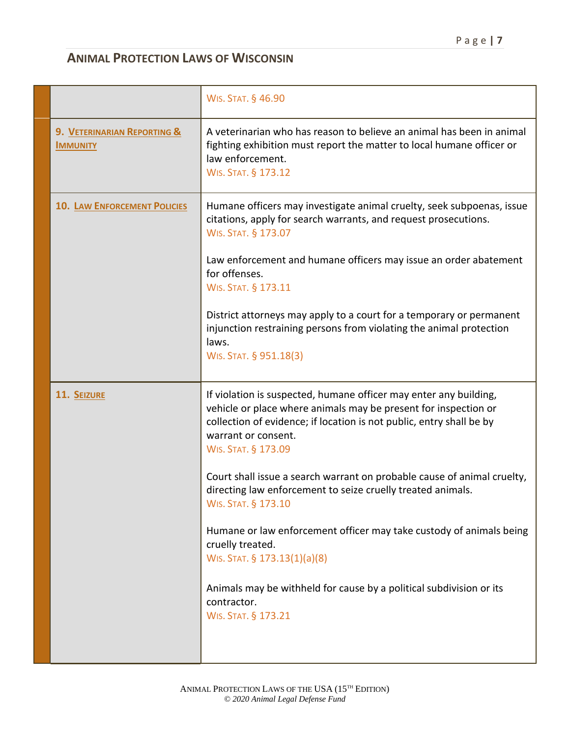| <b>WIS. STAT. § 46.90</b>                                                                                                                                                                                                                                                                                                                           |
|-----------------------------------------------------------------------------------------------------------------------------------------------------------------------------------------------------------------------------------------------------------------------------------------------------------------------------------------------------|
| A veterinarian who has reason to believe an animal has been in animal<br>fighting exhibition must report the matter to local humane officer or<br>law enforcement.<br>WIS. STAT. § 173.12                                                                                                                                                           |
| Humane officers may investigate animal cruelty, seek subpoenas, issue<br>citations, apply for search warrants, and request prosecutions.<br>WIS. STAT. § 173.07<br>Law enforcement and humane officers may issue an order abatement<br>for offenses.<br>WIS. STAT. § 173.11<br>District attorneys may apply to a court for a temporary or permanent |
| injunction restraining persons from violating the animal protection<br>laws.<br>WIS. STAT. § 951.18(3)                                                                                                                                                                                                                                              |
| If violation is suspected, humane officer may enter any building,<br>vehicle or place where animals may be present for inspection or<br>collection of evidence; if location is not public, entry shall be by<br>warrant or consent.<br>WIS. STAT. § 173.09                                                                                          |
| Court shall issue a search warrant on probable cause of animal cruelty,<br>directing law enforcement to seize cruelly treated animals.<br>WIS. STAT. § 173.10                                                                                                                                                                                       |
| Humane or law enforcement officer may take custody of animals being<br>cruelly treated.<br>WIS. STAT. § 173.13(1)(a)(8)                                                                                                                                                                                                                             |
| Animals may be withheld for cause by a political subdivision or its<br>contractor.<br>WIS. STAT. § 173.21                                                                                                                                                                                                                                           |
|                                                                                                                                                                                                                                                                                                                                                     |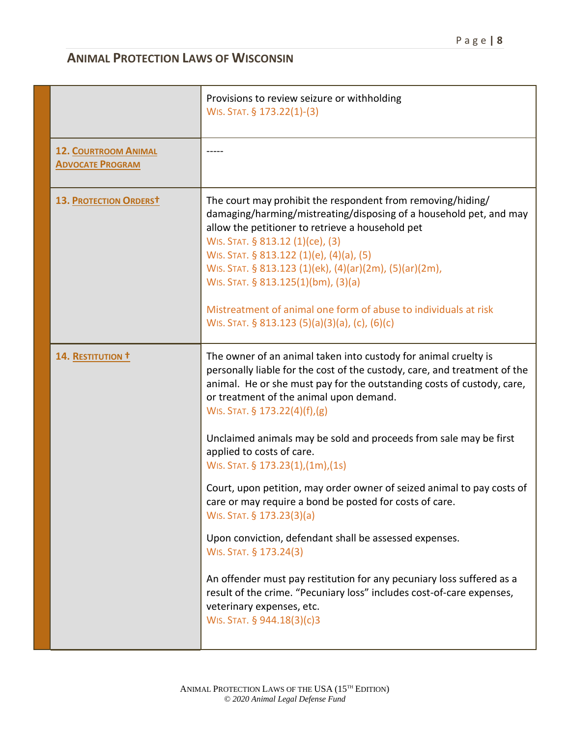|                                                        | Provisions to review seizure or withholding<br>WIS. STAT. § 173.22(1)-(3)                                                                                                                                                                                                                                                                                                                                                                                                                    |
|--------------------------------------------------------|----------------------------------------------------------------------------------------------------------------------------------------------------------------------------------------------------------------------------------------------------------------------------------------------------------------------------------------------------------------------------------------------------------------------------------------------------------------------------------------------|
| <b>12. COURTROOM ANIMAL</b><br><b>ADVOCATE PROGRAM</b> |                                                                                                                                                                                                                                                                                                                                                                                                                                                                                              |
| 13. PROTECTION ORDERST                                 | The court may prohibit the respondent from removing/hiding/<br>damaging/harming/mistreating/disposing of a household pet, and may<br>allow the petitioner to retrieve a household pet<br>WIS. STAT. § 813.12 (1)(ce), (3)<br>WIS. STAT. § 813.122 (1)(e), (4)(a), (5)<br>WIS. STAT. § 813.123 (1)(ek), (4)(ar)(2m), (5)(ar)(2m),<br>WIS. STAT. § 813.125(1)(bm), (3)(a)<br>Mistreatment of animal one form of abuse to individuals at risk<br>WIS. STAT. § 813.123 (5)(a)(3)(a), (c), (6)(c) |
| 14. RESTITUTION <sup>t</sup>                           | The owner of an animal taken into custody for animal cruelty is<br>personally liable for the cost of the custody, care, and treatment of the<br>animal. He or she must pay for the outstanding costs of custody, care,<br>or treatment of the animal upon demand.<br>WIS. STAT. § 173.22(4)(f),(g)                                                                                                                                                                                           |
|                                                        | Unclaimed animals may be sold and proceeds from sale may be first<br>applied to costs of care.<br>WIS. STAT. § 173.23(1),(1m),(1s)                                                                                                                                                                                                                                                                                                                                                           |
|                                                        | Court, upon petition, may order owner of seized animal to pay costs of<br>care or may require a bond be posted for costs of care.<br>WIS. STAT. § 173.23(3)(a)                                                                                                                                                                                                                                                                                                                               |
|                                                        | Upon conviction, defendant shall be assessed expenses.<br>WIS. STAT. § 173.24(3)                                                                                                                                                                                                                                                                                                                                                                                                             |
|                                                        | An offender must pay restitution for any pecuniary loss suffered as a<br>result of the crime. "Pecuniary loss" includes cost-of-care expenses,<br>veterinary expenses, etc.<br>WIS. STAT. § 944.18(3)(c)3                                                                                                                                                                                                                                                                                    |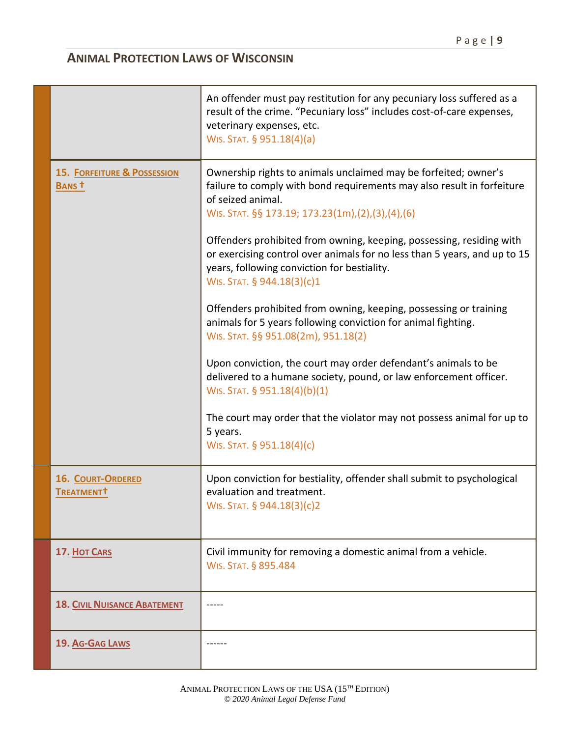|                                                  | An offender must pay restitution for any pecuniary loss suffered as a<br>result of the crime. "Pecuniary loss" includes cost-of-care expenses,<br>veterinary expenses, etc.<br>WIS. STAT. § 951.18(4)(a)                       |
|--------------------------------------------------|--------------------------------------------------------------------------------------------------------------------------------------------------------------------------------------------------------------------------------|
| <b>15. FORFEITURE &amp; POSSESSION</b><br>BANS T | Ownership rights to animals unclaimed may be forfeited; owner's<br>failure to comply with bond requirements may also result in forfeiture<br>of seized animal.<br>WIS. STAT. §§ 173.19; 173.23(1m),(2),(3),(4),(6)             |
|                                                  | Offenders prohibited from owning, keeping, possessing, residing with<br>or exercising control over animals for no less than 5 years, and up to 15<br>years, following conviction for bestiality.<br>WIS. STAT. § 944.18(3)(c)1 |
|                                                  | Offenders prohibited from owning, keeping, possessing or training<br>animals for 5 years following conviction for animal fighting.<br>WIS. STAT. §§ 951.08(2m), 951.18(2)                                                      |
|                                                  | Upon conviction, the court may order defendant's animals to be<br>delivered to a humane society, pound, or law enforcement officer.<br>WIS. STAT. § 951.18(4)(b)(1)                                                            |
|                                                  | The court may order that the violator may not possess animal for up to<br>5 years.<br>WIS. STAT. § 951.18(4)(c)                                                                                                                |
| 16. COURT-ORDERED<br><b>TREATMENT</b>            | Upon conviction for bestiality, offender shall submit to psychological<br>evaluation and treatment.<br>WIS. STAT. § 944.18(3)(c)2                                                                                              |
| 17. HOT CARS                                     | Civil immunity for removing a domestic animal from a vehicle.<br>WIS. STAT. § 895.484                                                                                                                                          |
| <b>18. CIVIL NUISANCE ABATEMENT</b>              |                                                                                                                                                                                                                                |
| 19. AG-GAG LAWS                                  |                                                                                                                                                                                                                                |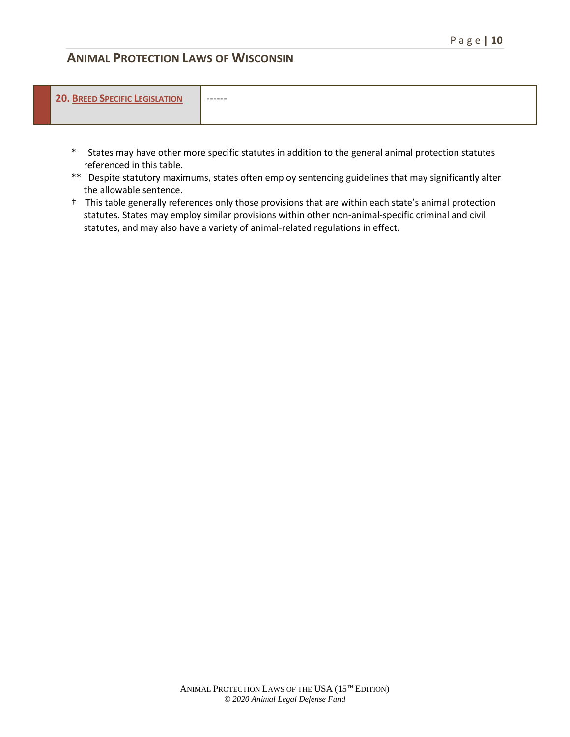| <b>20. BREED SPECIFIC LEGISLATION</b> | ------- |
|---------------------------------------|---------|
|                                       |         |

- \* States may have other more specific statutes in addition to the general animal protection statutes referenced in this table.
- \*\* Despite statutory maximums, states often employ sentencing guidelines that may significantly alter the allowable sentence.
- † This table generally references only those provisions that are within each state's animal protection statutes. States may employ similar provisions within other non-animal-specific criminal and civil statutes, and may also have a variety of animal-related regulations in effect.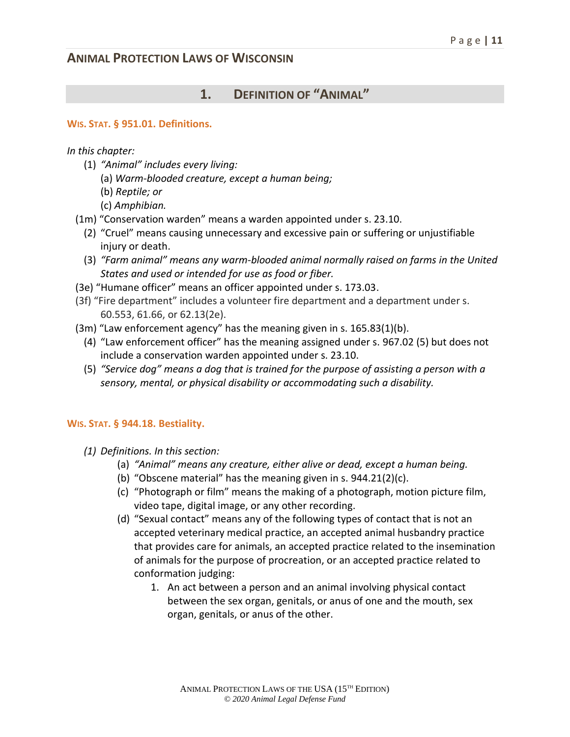## **1. DEFINITION OF "ANIMAL"**

#### **WIS. STAT. § 951.01. Definitions.**

#### *In this chapter:*

- (1) *"Animal" includes every living:*
	- (a) *Warm-blooded creature, except a human being;*
	- (b) *Reptile; or*
	- (c) *Amphibian.*
- (1m) "Conservation warden" means a warden appointed under s. 23.10.
	- (2) "Cruel" means causing unnecessary and excessive pain or suffering or unjustifiable injury or death.
	- (3) *"Farm animal" means any warm-blooded animal normally raised on farms in the United States and used or intended for use as food or fiber.*
- (3e) "Humane officer" means an officer appointed under s. 173.03.
- (3f) "Fire department" includes a volunteer fire department and a department under s. 60.553, 61.66, or 62.13(2e).
- (3m) "Law enforcement agency" has the meaning given in s. 165.83(1)(b).
	- (4) "Law enforcement officer" has the meaning assigned under s. 967.02 (5) but does not include a conservation warden appointed under s. 23.10.
	- (5) *"Service dog" means a dog that is trained for the purpose of assisting a person with a sensory, mental, or physical disability or accommodating such a disability.*

#### **WIS. STAT. § 944.18. Bestiality.**

- *(1) Definitions. In this section:*
	- (a) *"Animal" means any creature, either alive or dead, except a human being.*
	- (b) "Obscene material" has the meaning given in s. 944.21(2)(c).
	- (c) "Photograph or film" means the making of a photograph, motion picture film, video tape, digital image, or any other recording.
	- (d) "Sexual contact" means any of the following types of contact that is not an accepted veterinary medical practice, an accepted animal husbandry practice that provides care for animals, an accepted practice related to the insemination of animals for the purpose of procreation, or an accepted practice related to conformation judging:
		- 1. An act between a person and an animal involving physical contact between the sex organ, genitals, or anus of one and the mouth, sex organ, genitals, or anus of the other.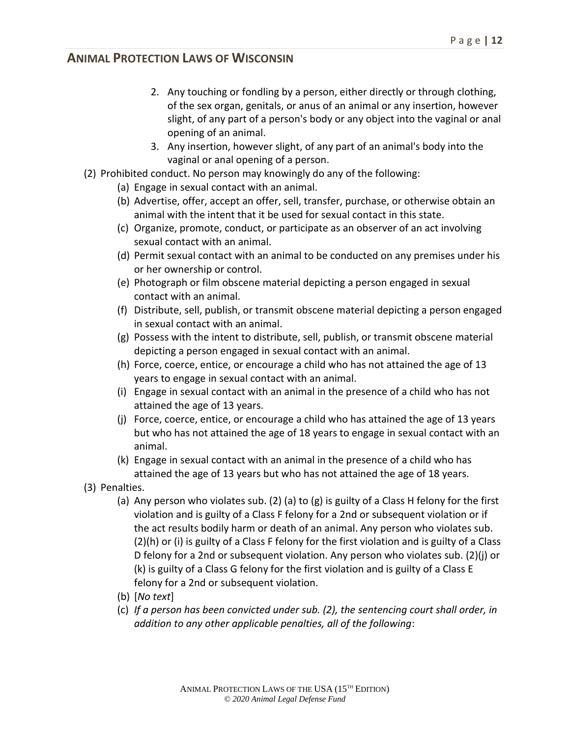- 2. Any touching or fondling by a person, either directly or through clothing, of the sex organ, genitals, or anus of an animal or any insertion, however slight, of any part of a person's body or any object into the vaginal or anal opening of an animal.
- 3. Any insertion, however slight, of any part of an animal's body into the vaginal or anal opening of a person.
- (2) Prohibited conduct. No person may knowingly do any of the following:
	- (a) Engage in sexual contact with an animal.
	- (b) Advertise, offer, accept an offer, sell, transfer, purchase, or otherwise obtain an animal with the intent that it be used for sexual contact in this state.
	- (c) Organize, promote, conduct, or participate as an observer of an act involving sexual contact with an animal.
	- (d) Permit sexual contact with an animal to be conducted on any premises under his or her ownership or control.
	- (e) Photograph or film obscene material depicting a person engaged in sexual contact with an animal.
	- (f) Distribute, sell, publish, or transmit obscene material depicting a person engaged in sexual contact with an animal.
	- (g) Possess with the intent to distribute, sell, publish, or transmit obscene material depicting a person engaged in sexual contact with an animal.
	- (h) Force, coerce, entice, or encourage a child who has not attained the age of 13 years to engage in sexual contact with an animal.
	- (i) Engage in sexual contact with an animal in the presence of a child who has not attained the age of 13 years.
	- (j) Force, coerce, entice, or encourage a child who has attained the age of 13 years but who has not attained the age of 18 years to engage in sexual contact with an animal.
	- (k) Engage in sexual contact with an animal in the presence of a child who has attained the age of 13 years but who has not attained the age of 18 years.
- (3) Penalties.
	- (a) Any person who violates sub. (2) (a) to (g) is guilty of a Class H felony for the first violation and is guilty of a Class F felony for a 2nd or subsequent violation or if the act results bodily harm or death of an animal. Any person who violates sub. (2)(h) or (i) is guilty of a Class F felony for the first violation and is guilty of a Class D felony for a 2nd or subsequent violation. Any person who violates sub. (2)(j) or (k) is guilty of a Class G felony for the first violation and is guilty of a Class E felony for a 2nd or subsequent violation.
	- (b) [*No text*]
	- (c) *If a person has been convicted under sub. (2), the sentencing court shall order, in addition to any other applicable penalties, all of the following*: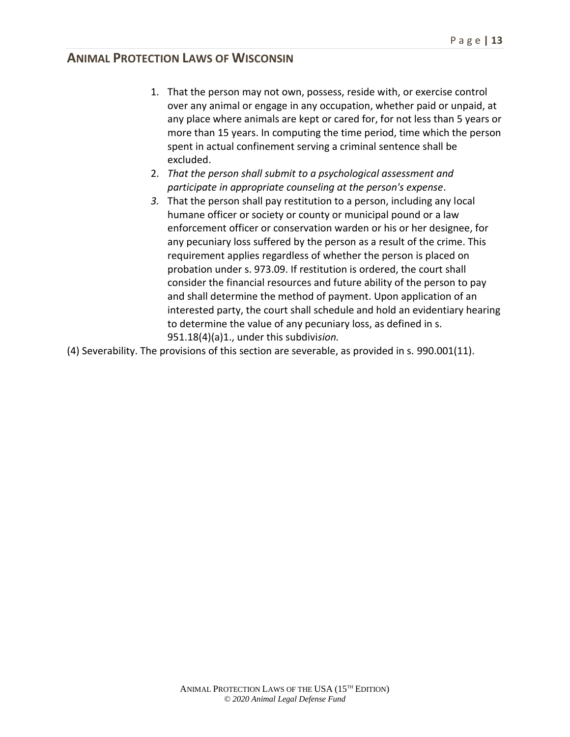- 1. That the person may not own, possess, reside with, or exercise control over any animal or engage in any occupation, whether paid or unpaid, at any place where animals are kept or cared for, for not less than 5 years or more than 15 years. In computing the time period, time which the person spent in actual confinement serving a criminal sentence shall be excluded.
- 2. *That the person shall submit to a psychological assessment and participate in appropriate counseling at the person's expense*.
- *3.* That the person shall pay restitution to a person, including any local humane officer or society or county or municipal pound or a law enforcement officer or conservation warden or his or her designee, for any pecuniary loss suffered by the person as a result of the crime. This requirement applies regardless of whether the person is placed on probation under s. 973.09. If restitution is ordered, the court shall consider the financial resources and future ability of the person to pay and shall determine the method of payment. Upon application of an interested party, the court shall schedule and hold an evidentiary hearing to determine the value of any pecuniary loss, as defined in s. 951.18(4)(a)1., under this subdivi*sion.*

(4) Severability. The provisions of this section are severable, as provided in s. 990.001(11).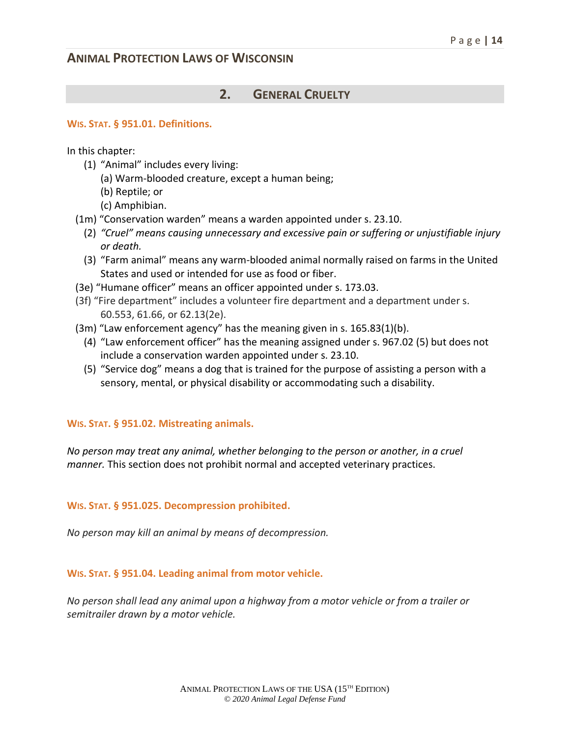### **2. GENERAL CRUELTY**

#### **WIS. STAT. § 951.01. Definitions.**

In this chapter:

- (1) "Animal" includes every living:
	- (a) Warm-blooded creature, except a human being;
	- (b) Reptile; or
	- (c) Amphibian.
- (1m) "Conservation warden" means a warden appointed under s. 23.10.
	- (2) *"Cruel" means causing unnecessary and excessive pain or suffering or unjustifiable injury or death.*
	- (3) "Farm animal" means any warm-blooded animal normally raised on farms in the United States and used or intended for use as food or fiber.
- (3e) "Humane officer" means an officer appointed under s. 173.03.
- (3f) "Fire department" includes a volunteer fire department and a department under s. 60.553, 61.66, or 62.13(2e).
- (3m) "Law enforcement agency" has the meaning given in s. 165.83(1)(b).
	- (4) "Law enforcement officer" has the meaning assigned under s. 967.02 (5) but does not include a conservation warden appointed under s. 23.10.
	- (5) "Service dog" means a dog that is trained for the purpose of assisting a person with a sensory, mental, or physical disability or accommodating such a disability.

#### **WIS. STAT. § 951.02. Mistreating animals.**

*No person may treat any animal, whether belonging to the person or another, in a cruel manner.* This section does not prohibit normal and accepted veterinary practices.

#### **WIS. STAT. § 951.025. Decompression prohibited.**

*No person may kill an animal by means of decompression.*

#### **WIS. STAT. § 951.04. Leading animal from motor vehicle.**

*No person shall lead any animal upon a highway from a motor vehicle or from a trailer or semitrailer drawn by a motor vehicle.*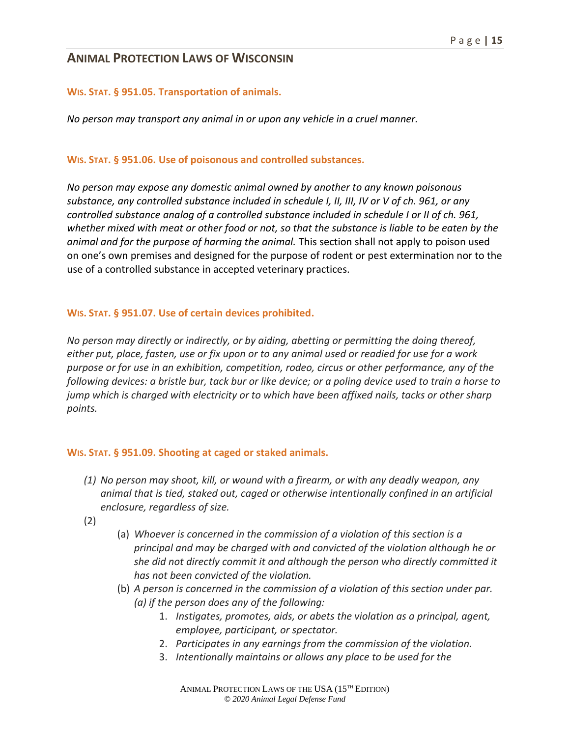#### **WIS. STAT. § 951.05. Transportation of animals.**

*No person may transport any animal in or upon any vehicle in a cruel manner.*

#### **WIS. STAT. § 951.06. Use of poisonous and controlled substances.**

*No person may expose any domestic animal owned by another to any known poisonous substance, any controlled substance included in schedule I, II, III, IV or V of ch. 961, or any controlled substance analog of a controlled substance included in schedule I or II of ch. 961, whether mixed with meat or other food or not, so that the substance is liable to be eaten by the animal and for the purpose of harming the animal.* This section shall not apply to poison used on one's own premises and designed for the purpose of rodent or pest extermination nor to the use of a controlled substance in accepted veterinary practices.

#### **WIS. STAT. § 951.07. Use of certain devices prohibited.**

*No person may directly or indirectly, or by aiding, abetting or permitting the doing thereof, either put, place, fasten, use or fix upon or to any animal used or readied for use for a work purpose or for use in an exhibition, competition, rodeo, circus or other performance, any of the following devices: a bristle bur, tack bur or like device; or a poling device used to train a horse to jump which is charged with electricity or to which have been affixed nails, tacks or other sharp points.*

#### **WIS. STAT. § 951.09. Shooting at caged or staked animals.**

- *(1) No person may shoot, kill, or wound with a firearm, or with any deadly weapon, any animal that is tied, staked out, caged or otherwise intentionally confined in an artificial enclosure, regardless of size.*
- (2)
- (a) *Whoever is concerned in the commission of a violation of this section is a principal and may be charged with and convicted of the violation although he or she did not directly commit it and although the person who directly committed it has not been convicted of the violation.*
- (b) *A person is concerned in the commission of a violation of this section under par. (a) if the person does any of the following:*
	- 1. *Instigates, promotes, aids, or abets the violation as a principal, agent, employee, participant, or spectator.*
	- 2. *Participates in any earnings from the commission of the violation.*
	- 3. *Intentionally maintains or allows any place to be used for the*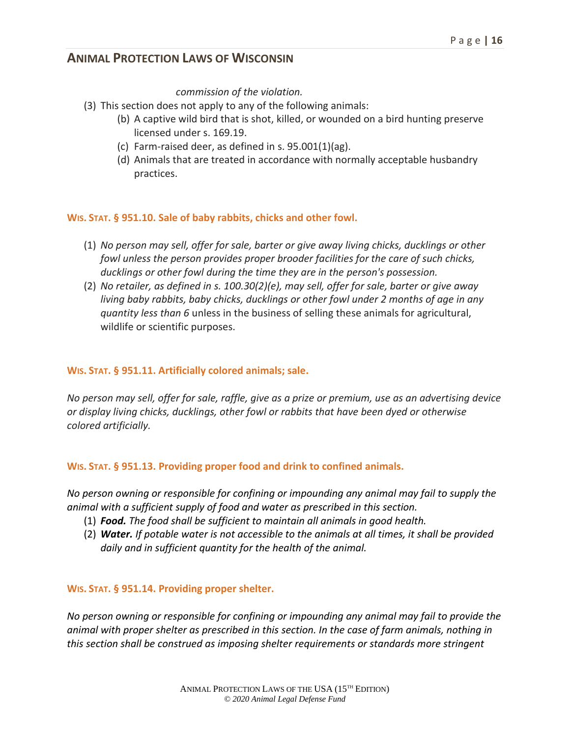#### *commission of the violation.*

- (3) This section does not apply to any of the following animals:
	- (b) A captive wild bird that is shot, killed, or wounded on a bird hunting preserve licensed under s. 169.19.
	- (c) Farm-raised deer, as defined in s. 95.001(1)(ag).
	- (d) Animals that are treated in accordance with normally acceptable husbandry practices.

#### **WIS. STAT. § 951.10. Sale of baby rabbits, chicks and other fowl.**

- (1) *No person may sell, offer for sale, barter or give away living chicks, ducklings or other fowl unless the person provides proper brooder facilities for the care of such chicks, ducklings or other fowl during the time they are in the person's possession.*
- (2) *No retailer, as defined in s. 100.30(2)(e), may sell, offer for sale, barter or give away living baby rabbits, baby chicks, ducklings or other fowl under 2 months of age in any quantity less than 6* unless in the business of selling these animals for agricultural, wildlife or scientific purposes.

#### **WIS. STAT. § 951.11. Artificially colored animals; sale.**

*No person may sell, offer for sale, raffle, give as a prize or premium, use as an advertising device or display living chicks, ducklings, other fowl or rabbits that have been dyed or otherwise colored artificially.*

### **WIS. STAT. § 951.13. Providing proper food and drink to confined animals.**

*No person owning or responsible for confining or impounding any animal may fail to supply the animal with a sufficient supply of food and water as prescribed in this section.*

- (1) *Food. The food shall be sufficient to maintain all animals in good health.*
- (2) *Water. If potable water is not accessible to the animals at all times, it shall be provided daily and in sufficient quantity for the health of the animal.*

#### **WIS. STAT. § 951.14. Providing proper shelter.**

*No person owning or responsible for confining or impounding any animal may fail to provide the animal with proper shelter as prescribed in this section. In the case of farm animals, nothing in this section shall be construed as imposing shelter requirements or standards more stringent*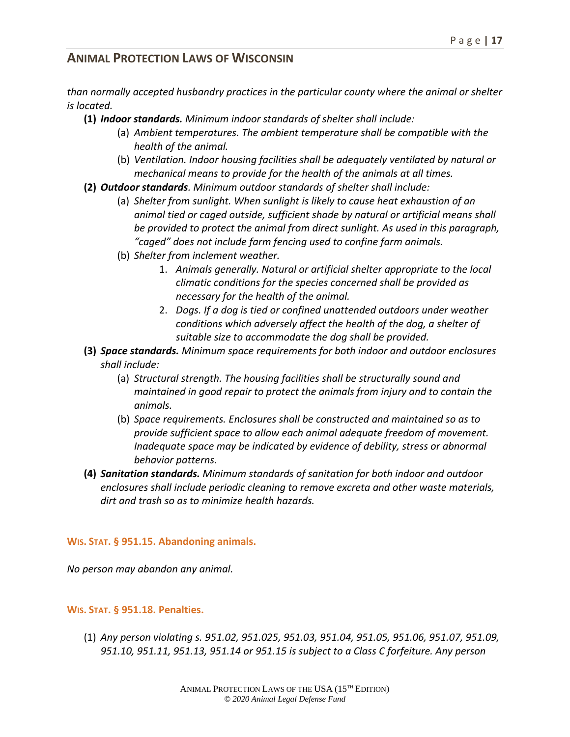*than normally accepted husbandry practices in the particular county where the animal or shelter is located.*

- **(1)** *Indoor standards. Minimum indoor standards of shelter shall include:*
	- (a) *Ambient temperatures. The ambient temperature shall be compatible with the health of the animal.*
	- (b) *Ventilation. Indoor housing facilities shall be adequately ventilated by natural or mechanical means to provide for the health of the animals at all times.*
- **(2)** *Outdoor standards. Minimum outdoor standards of shelter shall include:*
	- (a) *Shelter from sunlight. When sunlight is likely to cause heat exhaustion of an animal tied or caged outside, sufficient shade by natural or artificial means shall be provided to protect the animal from direct sunlight. As used in this paragraph, "caged" does not include farm fencing used to confine farm animals.*
	- (b) *Shelter from inclement weather.* 
		- 1. *Animals generally. Natural or artificial shelter appropriate to the local climatic conditions for the species concerned shall be provided as necessary for the health of the animal.*
		- 2. *Dogs. If a dog is tied or confined unattended outdoors under weather conditions which adversely affect the health of the dog, a shelter of suitable size to accommodate the dog shall be provided.*
- **(3)** *Space standards. Minimum space requirements for both indoor and outdoor enclosures shall include:*
	- (a) *Structural strength. The housing facilities shall be structurally sound and maintained in good repair to protect the animals from injury and to contain the animals.*
	- (b) *Space requirements. Enclosures shall be constructed and maintained so as to provide sufficient space to allow each animal adequate freedom of movement. Inadequate space may be indicated by evidence of debility, stress or abnormal behavior patterns.*
- **(4)** *Sanitation standards. Minimum standards of sanitation for both indoor and outdoor enclosures shall include periodic cleaning to remove excreta and other waste materials, dirt and trash so as to minimize health hazards.*

#### **WIS. STAT. § 951.15. Abandoning animals.**

*No person may abandon any animal.*

#### **WIS. STAT. § 951.18. Penalties.**

(1) *Any person violating s. 951.02, 951.025, 951.03, 951.04, 951.05, 951.06, 951.07, 951.09, 951.10, 951.11, 951.13, 951.14 or 951.15 is subject to a Class C forfeiture. Any person*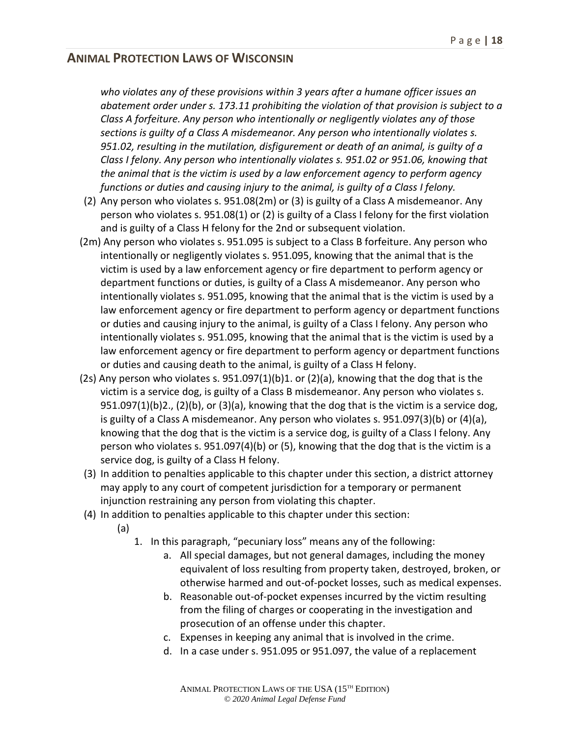*who violates any of these provisions within 3 years after a humane officer issues an abatement order under s. 173.11 prohibiting the violation of that provision is subject to a Class A forfeiture. Any person who intentionally or negligently violates any of those sections is guilty of a Class A misdemeanor. Any person who intentionally violates s. 951.02, resulting in the mutilation, disfigurement or death of an animal, is guilty of a Class I felony. Any person who intentionally violates s. 951.02 or 951.06, knowing that the animal that is the victim is used by a law enforcement agency to perform agency functions or duties and causing injury to the animal, is guilty of a Class I felony.*

- (2) Any person who violates s. 951.08(2m) or (3) is guilty of a Class A misdemeanor. Any person who violates s. 951.08(1) or (2) is guilty of a Class I felony for the first violation and is guilty of a Class H felony for the 2nd or subsequent violation.
- (2m) Any person who violates s. 951.095 is subject to a Class B forfeiture. Any person who intentionally or negligently violates s. 951.095, knowing that the animal that is the victim is used by a law enforcement agency or fire department to perform agency or department functions or duties, is guilty of a Class A misdemeanor. Any person who intentionally violates s. 951.095, knowing that the animal that is the victim is used by a law enforcement agency or fire department to perform agency or department functions or duties and causing injury to the animal, is guilty of a Class I felony. Any person who intentionally violates s. 951.095, knowing that the animal that is the victim is used by a law enforcement agency or fire department to perform agency or department functions or duties and causing death to the animal, is guilty of a Class H felony.
- (2s) Any person who violates s. 951.097(1)(b)1. or (2)(a), knowing that the dog that is the victim is a service dog, is guilty of a Class B misdemeanor. Any person who violates s.  $951.097(1)(b)2$ .,  $(2)(b)$ , or  $(3)(a)$ , knowing that the dog that is the victim is a service dog, is guilty of a Class A misdemeanor. Any person who violates s. 951.097(3)(b) or (4)(a), knowing that the dog that is the victim is a service dog, is guilty of a Class I felony. Any person who violates s. 951.097(4)(b) or (5), knowing that the dog that is the victim is a service dog, is guilty of a Class H felony.
- (3) In addition to penalties applicable to this chapter under this section, a district attorney may apply to any court of competent jurisdiction for a temporary or permanent injunction restraining any person from violating this chapter.
- (4) In addition to penalties applicable to this chapter under this section:
	- (a)
		- 1. In this paragraph, "pecuniary loss" means any of the following:
			- a. All special damages, but not general damages, including the money equivalent of loss resulting from property taken, destroyed, broken, or otherwise harmed and out-of-pocket losses, such as medical expenses.
			- b. Reasonable out-of-pocket expenses incurred by the victim resulting from the filing of charges or cooperating in the investigation and prosecution of an offense under this chapter.
			- c. Expenses in keeping any animal that is involved in the crime.
			- d. In a case under s. 951.095 or 951.097, the value of a replacement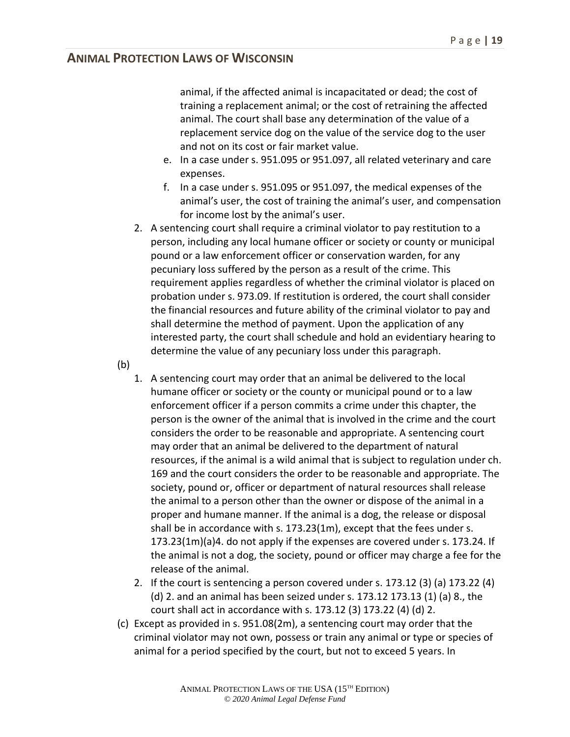animal, if the affected animal is incapacitated or dead; the cost of training a replacement animal; or the cost of retraining the affected animal. The court shall base any determination of the value of a replacement service dog on the value of the service dog to the user and not on its cost or fair market value.

- e. In a case under s. 951.095 or 951.097, all related veterinary and care expenses.
- f. In a case under s. 951.095 or 951.097, the medical expenses of the animal's user, the cost of training the animal's user, and compensation for income lost by the animal's user.
- 2. A sentencing court shall require a criminal violator to pay restitution to a person, including any local humane officer or society or county or municipal pound or a law enforcement officer or conservation warden, for any pecuniary loss suffered by the person as a result of the crime. This requirement applies regardless of whether the criminal violator is placed on probation under s. 973.09. If restitution is ordered, the court shall consider the financial resources and future ability of the criminal violator to pay and shall determine the method of payment. Upon the application of any interested party, the court shall schedule and hold an evidentiary hearing to determine the value of any pecuniary loss under this paragraph.
- (b)
- 1. A sentencing court may order that an animal be delivered to the local humane officer or society or the county or municipal pound or to a law enforcement officer if a person commits a crime under this chapter, the person is the owner of the animal that is involved in the crime and the court considers the order to be reasonable and appropriate. A sentencing court may order that an animal be delivered to the department of natural resources, if the animal is a wild animal that is subject to regulation under ch. 169 and the court considers the order to be reasonable and appropriate. The society, pound or, officer or department of natural resources shall release the animal to a person other than the owner or dispose of the animal in a proper and humane manner. If the animal is a dog, the release or disposal shall be in accordance with s. 173.23(1m), except that the fees under s. 173.23(1m)(a)4. do not apply if the expenses are covered under s. 173.24. If the animal is not a dog, the society, pound or officer may charge a fee for the release of the animal.
- 2. If the court is sentencing a person covered under s. 173.12 (3) (a) 173.22 (4) (d) 2. and an animal has been seized under s. 173.12 173.13 (1) (a) 8., the court shall act in accordance with s. 173.12 (3) 173.22 (4) (d) 2.
- (c) Except as provided in s. 951.08(2m), a sentencing court may order that the criminal violator may not own, possess or train any animal or type or species of animal for a period specified by the court, but not to exceed 5 years. In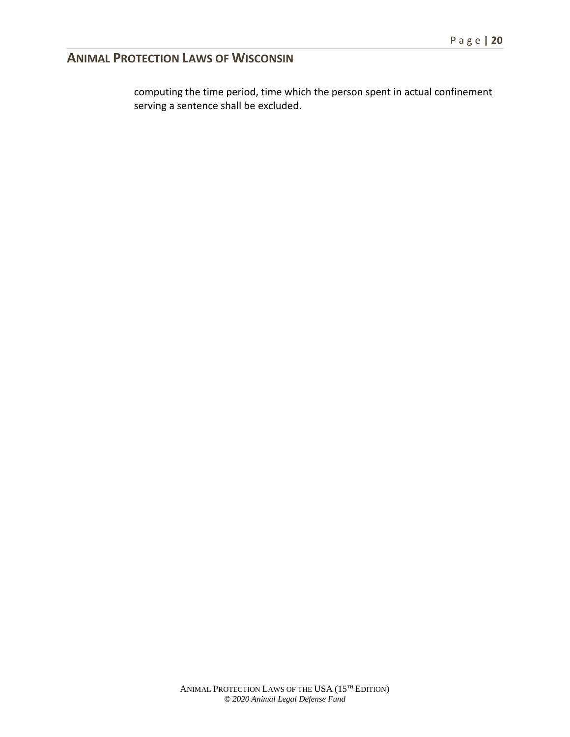computing the time period, time which the person spent in actual confinement serving a sentence shall be excluded.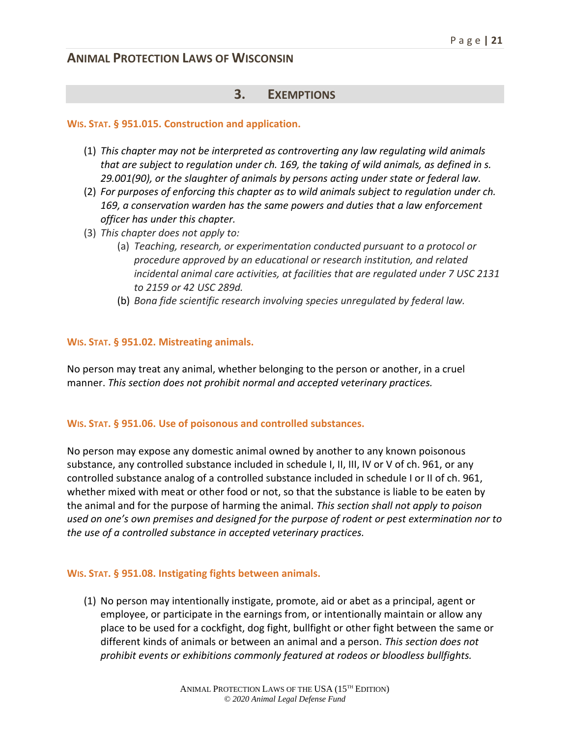### **3. EXEMPTIONS**

#### **WIS. STAT. § 951.015. Construction and application.**

- (1) *This chapter may not be interpreted as controverting any law regulating wild animals that are subject to regulation under ch. 169, the taking of wild animals, as defined in s. 29.001(90), or the slaughter of animals by persons acting under state or federal law.*
- (2) *For purposes of enforcing this chapter as to wild animals subject to regulation under ch. 169, a conservation warden has the same powers and duties that a law enforcement officer has under this chapter.*
- (3) *This chapter does not apply to:*
	- (a) *Teaching, research, or experimentation conducted pursuant to a protocol or procedure approved by an educational or research institution, and related incidental animal care activities, at facilities that are regulated under 7 USC 2131 to 2159 or 42 USC 289d.*
	- (b) *Bona fide scientific research involving species unregulated by federal law.*

#### **WIS. STAT. § 951.02. Mistreating animals.**

No person may treat any animal, whether belonging to the person or another, in a cruel manner. *This section does not prohibit normal and accepted veterinary practices.*

#### **WIS. STAT. § 951.06. Use of poisonous and controlled substances.**

No person may expose any domestic animal owned by another to any known poisonous substance, any controlled substance included in schedule I, II, III, IV or V of ch. 961, or any controlled substance analog of a controlled substance included in schedule I or II of ch. 961, whether mixed with meat or other food or not, so that the substance is liable to be eaten by the animal and for the purpose of harming the animal. *This section shall not apply to poison used on one's own premises and designed for the purpose of rodent or pest extermination nor to the use of a controlled substance in accepted veterinary practices.*

#### **WIS. STAT. § 951.08. Instigating fights between animals.**

(1) No person may intentionally instigate, promote, aid or abet as a principal, agent or employee, or participate in the earnings from, or intentionally maintain or allow any place to be used for a cockfight, dog fight, bullfight or other fight between the same or different kinds of animals or between an animal and a person. *This section does not prohibit events or exhibitions commonly featured at rodeos or bloodless bullfights.*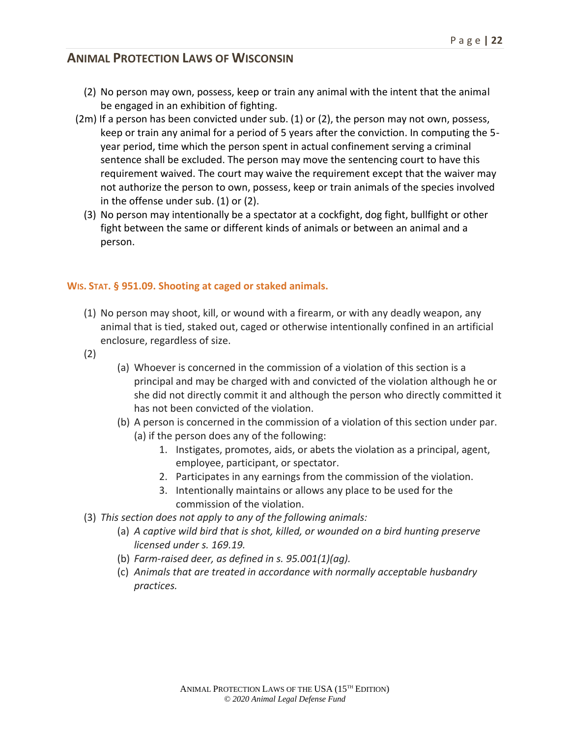P a g e **| 22**

## **ANIMAL PROTECTION LAWS OF WISCONSIN**

- (2) No person may own, possess, keep or train any animal with the intent that the animal be engaged in an exhibition of fighting.
- (2m) If a person has been convicted under sub. (1) or (2), the person may not own, possess, keep or train any animal for a period of 5 years after the conviction. In computing the 5 year period, time which the person spent in actual confinement serving a criminal sentence shall be excluded. The person may move the sentencing court to have this requirement waived. The court may waive the requirement except that the waiver may not authorize the person to own, possess, keep or train animals of the species involved in the offense under sub. (1) or (2).
	- (3) No person may intentionally be a spectator at a cockfight, dog fight, bullfight or other fight between the same or different kinds of animals or between an animal and a person.

## **WIS. STAT. § 951.09. Shooting at caged or staked animals.**

- (1) No person may shoot, kill, or wound with a firearm, or with any deadly weapon, any animal that is tied, staked out, caged or otherwise intentionally confined in an artificial enclosure, regardless of size.
- (2)
- (a) Whoever is concerned in the commission of a violation of this section is a principal and may be charged with and convicted of the violation although he or she did not directly commit it and although the person who directly committed it has not been convicted of the violation.
- (b) A person is concerned in the commission of a violation of this section under par.
	- (a) if the person does any of the following:
		- 1. Instigates, promotes, aids, or abets the violation as a principal, agent, employee, participant, or spectator.
		- 2. Participates in any earnings from the commission of the violation.
		- 3. Intentionally maintains or allows any place to be used for the commission of the violation.
- (3) *This section does not apply to any of the following animals:*
	- (a) *A captive wild bird that is shot, killed, or wounded on a bird hunting preserve licensed under s. 169.19.*
	- (b) *Farm-raised deer, as defined in s. 95.001(1)(ag).*
	- (c) *Animals that are treated in accordance with normally acceptable husbandry practices.*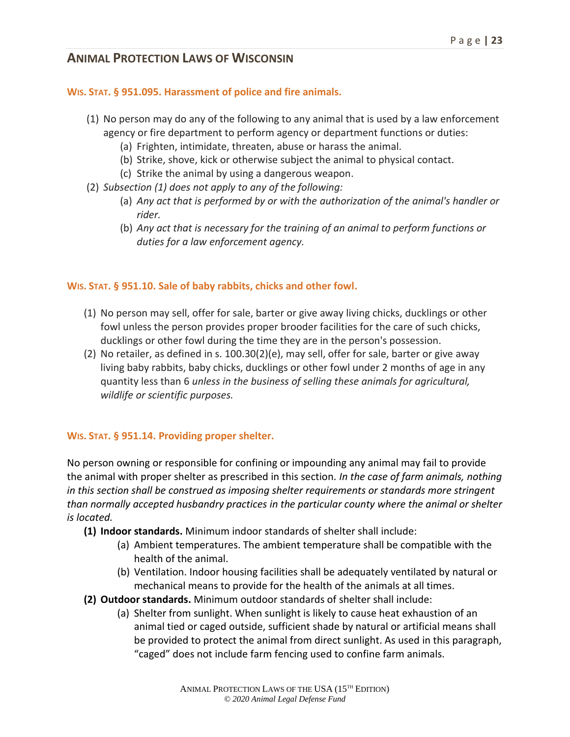#### **WIS. STAT. § 951.095. Harassment of police and fire animals.**

- (1) No person may do any of the following to any animal that is used by a law enforcement agency or fire department to perform agency or department functions or duties:
	- (a) Frighten, intimidate, threaten, abuse or harass the animal.
	- (b) Strike, shove, kick or otherwise subject the animal to physical contact.
	- (c) Strike the animal by using a dangerous weapon.
- (2) *Subsection (1) does not apply to any of the following:*
	- (a) *Any act that is performed by or with the authorization of the animal's handler or rider.*
	- (b) *Any act that is necessary for the training of an animal to perform functions or duties for a law enforcement agency.*

### **WIS. STAT. § 951.10. Sale of baby rabbits, chicks and other fowl.**

- (1) No person may sell, offer for sale, barter or give away living chicks, ducklings or other fowl unless the person provides proper brooder facilities for the care of such chicks, ducklings or other fowl during the time they are in the person's possession.
- (2) No retailer, as defined in s.  $100.30(2)(e)$ , may sell, offer for sale, barter or give away living baby rabbits, baby chicks, ducklings or other fowl under 2 months of age in any quantity less than 6 *unless in the business of selling these animals for agricultural, wildlife or scientific purposes.*

### **WIS. STAT. § 951.14. Providing proper shelter.**

No person owning or responsible for confining or impounding any animal may fail to provide the animal with proper shelter as prescribed in this section*. In the case of farm animals, nothing in this section shall be construed as imposing shelter requirements or standards more stringent than normally accepted husbandry practices in the particular county where the animal or shelter is located.*

- **(1) Indoor standards.** Minimum indoor standards of shelter shall include:
	- (a) Ambient temperatures. The ambient temperature shall be compatible with the health of the animal.
	- (b) Ventilation. Indoor housing facilities shall be adequately ventilated by natural or mechanical means to provide for the health of the animals at all times.
- **(2) Outdoor standards.** Minimum outdoor standards of shelter shall include:
	- (a) Shelter from sunlight. When sunlight is likely to cause heat exhaustion of an animal tied or caged outside, sufficient shade by natural or artificial means shall be provided to protect the animal from direct sunlight. As used in this paragraph, "caged" does not include farm fencing used to confine farm animals.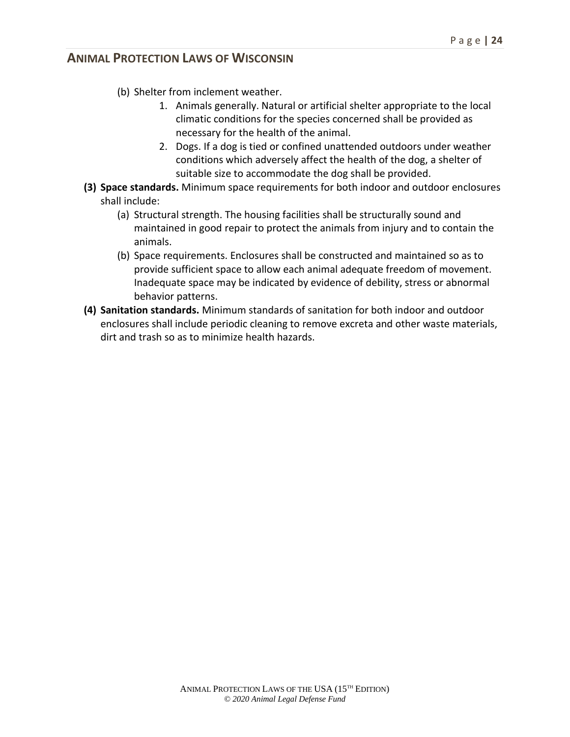- (b) Shelter from inclement weather.
	- 1. Animals generally. Natural or artificial shelter appropriate to the local climatic conditions for the species concerned shall be provided as necessary for the health of the animal.
	- 2. Dogs. If a dog is tied or confined unattended outdoors under weather conditions which adversely affect the health of the dog, a shelter of suitable size to accommodate the dog shall be provided.
- **(3) Space standards.** Minimum space requirements for both indoor and outdoor enclosures shall include:
	- (a) Structural strength. The housing facilities shall be structurally sound and maintained in good repair to protect the animals from injury and to contain the animals.
	- (b) Space requirements. Enclosures shall be constructed and maintained so as to provide sufficient space to allow each animal adequate freedom of movement. Inadequate space may be indicated by evidence of debility, stress or abnormal behavior patterns.
- **(4) Sanitation standards.** Minimum standards of sanitation for both indoor and outdoor enclosures shall include periodic cleaning to remove excreta and other waste materials, dirt and trash so as to minimize health hazards.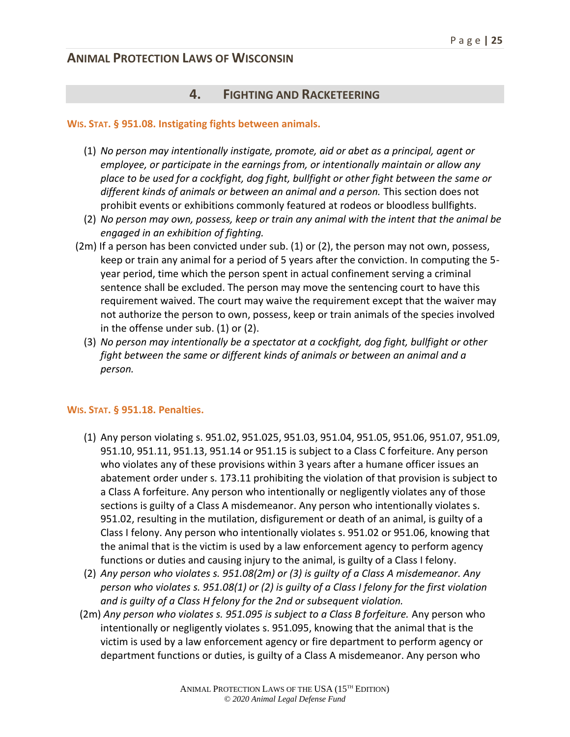### **4. FIGHTING AND RACKETEERING**

#### **WIS. STAT. § 951.08. Instigating fights between animals.**

- (1) *No person may intentionally instigate, promote, aid or abet as a principal, agent or employee, or participate in the earnings from, or intentionally maintain or allow any place to be used for a cockfight, dog fight, bullfight or other fight between the same or different kinds of animals or between an animal and a person.* This section does not prohibit events or exhibitions commonly featured at rodeos or bloodless bullfights.
- (2) *No person may own, possess, keep or train any animal with the intent that the animal be engaged in an exhibition of fighting.*
- (2m) If a person has been convicted under sub. (1) or (2), the person may not own, possess, keep or train any animal for a period of 5 years after the conviction. In computing the 5 year period, time which the person spent in actual confinement serving a criminal sentence shall be excluded. The person may move the sentencing court to have this requirement waived. The court may waive the requirement except that the waiver may not authorize the person to own, possess, keep or train animals of the species involved in the offense under sub. (1) or (2).
	- (3) *No person may intentionally be a spectator at a cockfight, dog fight, bullfight or other fight between the same or different kinds of animals or between an animal and a person.*

#### **WIS. STAT. § 951.18. Penalties.**

- (1) Any person violating s. 951.02, 951.025, 951.03, 951.04, 951.05, 951.06, 951.07, 951.09, 951.10, 951.11, 951.13, 951.14 or 951.15 is subject to a Class C forfeiture. Any person who violates any of these provisions within 3 years after a humane officer issues an abatement order under s. 173.11 prohibiting the violation of that provision is subject to a Class A forfeiture. Any person who intentionally or negligently violates any of those sections is guilty of a Class A misdemeanor. Any person who intentionally violates s. 951.02, resulting in the mutilation, disfigurement or death of an animal, is guilty of a Class I felony. Any person who intentionally violates s. 951.02 or 951.06, knowing that the animal that is the victim is used by a law enforcement agency to perform agency functions or duties and causing injury to the animal, is guilty of a Class I felony.
- (2) *Any person who violates s. 951.08(2m) or (3) is guilty of a Class A misdemeanor. Any person who violates s. 951.08(1) or (2) is guilty of a Class I felony for the first violation and is guilty of a Class H felony for the 2nd or subsequent violation.*
- (2m) *Any person who violates s. 951.095 is subject to a Class B forfeiture.* Any person who intentionally or negligently violates s. 951.095, knowing that the animal that is the victim is used by a law enforcement agency or fire department to perform agency or department functions or duties, is guilty of a Class A misdemeanor. Any person who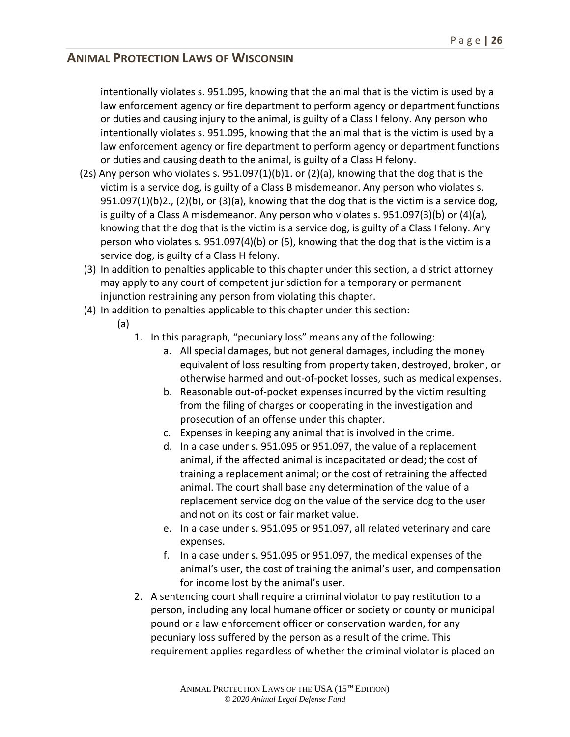intentionally violates s. 951.095, knowing that the animal that is the victim is used by a law enforcement agency or fire department to perform agency or department functions or duties and causing injury to the animal, is guilty of a Class I felony. Any person who intentionally violates s. 951.095, knowing that the animal that is the victim is used by a law enforcement agency or fire department to perform agency or department functions or duties and causing death to the animal, is guilty of a Class H felony.

- (2s) Any person who violates s. 951.097(1)(b)1. or (2)(a), knowing that the dog that is the victim is a service dog, is guilty of a Class B misdemeanor. Any person who violates s.  $951.097(1)(b)2$ .,  $(2)(b)$ , or  $(3)(a)$ , knowing that the dog that is the victim is a service dog, is guilty of a Class A misdemeanor. Any person who violates s. 951.097(3)(b) or (4)(a), knowing that the dog that is the victim is a service dog, is guilty of a Class I felony. Any person who violates s. 951.097(4)(b) or (5), knowing that the dog that is the victim is a service dog, is guilty of a Class H felony.
- (3) In addition to penalties applicable to this chapter under this section, a district attorney may apply to any court of competent jurisdiction for a temporary or permanent injunction restraining any person from violating this chapter.
- (4) In addition to penalties applicable to this chapter under this section:
	- (a)
		- 1. In this paragraph, "pecuniary loss" means any of the following:
			- a. All special damages, but not general damages, including the money equivalent of loss resulting from property taken, destroyed, broken, or otherwise harmed and out-of-pocket losses, such as medical expenses.
			- b. Reasonable out-of-pocket expenses incurred by the victim resulting from the filing of charges or cooperating in the investigation and prosecution of an offense under this chapter.
			- c. Expenses in keeping any animal that is involved in the crime.
			- d. In a case under s. 951.095 or 951.097, the value of a replacement animal, if the affected animal is incapacitated or dead; the cost of training a replacement animal; or the cost of retraining the affected animal. The court shall base any determination of the value of a replacement service dog on the value of the service dog to the user and not on its cost or fair market value.
			- e. In a case under s. 951.095 or 951.097, all related veterinary and care expenses.
			- f. In a case under s. 951.095 or 951.097, the medical expenses of the animal's user, the cost of training the animal's user, and compensation for income lost by the animal's user.
		- 2. A sentencing court shall require a criminal violator to pay restitution to a person, including any local humane officer or society or county or municipal pound or a law enforcement officer or conservation warden, for any pecuniary loss suffered by the person as a result of the crime. This requirement applies regardless of whether the criminal violator is placed on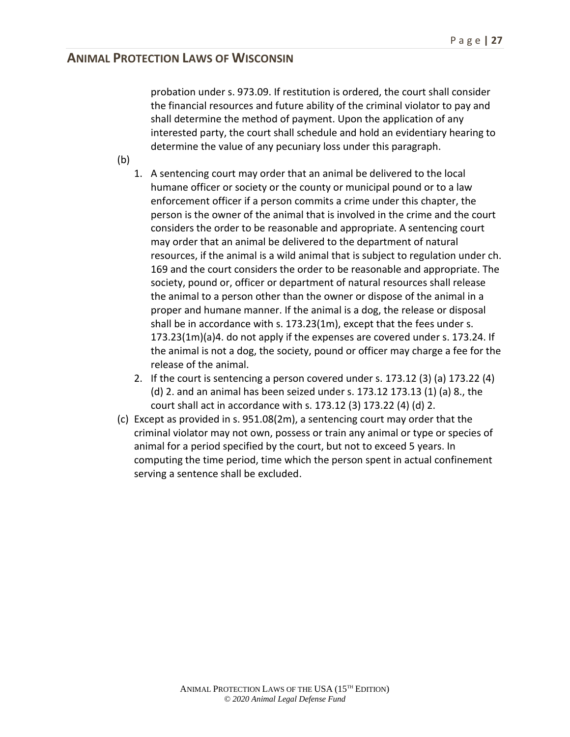probation under s. 973.09. If restitution is ordered, the court shall consider the financial resources and future ability of the criminal violator to pay and shall determine the method of payment. Upon the application of any interested party, the court shall schedule and hold an evidentiary hearing to determine the value of any pecuniary loss under this paragraph.

(b)

- 1. A sentencing court may order that an animal be delivered to the local humane officer or society or the county or municipal pound or to a law enforcement officer if a person commits a crime under this chapter, the person is the owner of the animal that is involved in the crime and the court considers the order to be reasonable and appropriate. A sentencing court may order that an animal be delivered to the department of natural resources, if the animal is a wild animal that is subject to regulation under ch. 169 and the court considers the order to be reasonable and appropriate. The society, pound or, officer or department of natural resources shall release the animal to a person other than the owner or dispose of the animal in a proper and humane manner. If the animal is a dog, the release or disposal shall be in accordance with s. 173.23(1m), except that the fees under s. 173.23(1m)(a)4. do not apply if the expenses are covered under s. 173.24. If the animal is not a dog, the society, pound or officer may charge a fee for the release of the animal.
- 2. If the court is sentencing a person covered under s. 173.12 (3) (a) 173.22 (4) (d) 2. and an animal has been seized under s. 173.12 173.13 (1) (a) 8., the court shall act in accordance with s. 173.12 (3) 173.22 (4) (d) 2.
- (c) Except as provided in s. 951.08(2m), a sentencing court may order that the criminal violator may not own, possess or train any animal or type or species of animal for a period specified by the court, but not to exceed 5 years. In computing the time period, time which the person spent in actual confinement serving a sentence shall be excluded.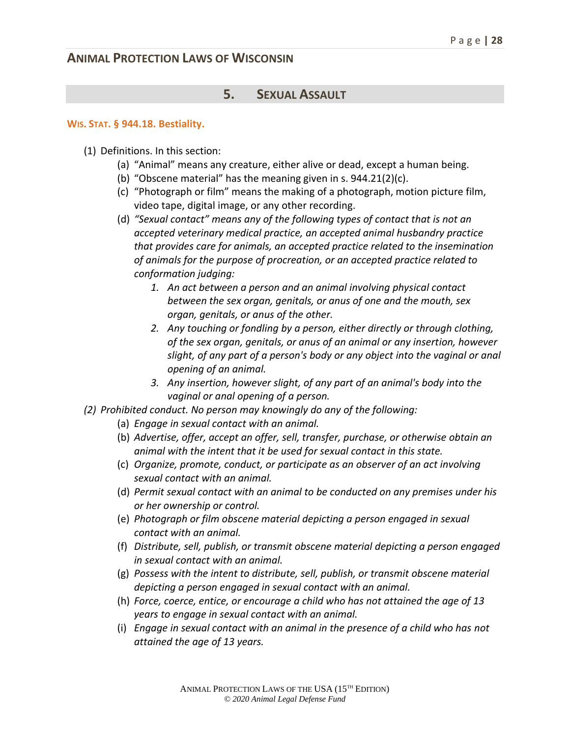### **5. SEXUAL ASSAULT**

#### **WIS. STAT. § 944.18. Bestiality.**

- (1) Definitions. In this section:
	- (a) "Animal" means any creature, either alive or dead, except a human being.
	- (b) "Obscene material" has the meaning given in s. 944.21(2)(c).
	- (c) "Photograph or film" means the making of a photograph, motion picture film, video tape, digital image, or any other recording.
	- (d) *"Sexual contact" means any of the following types of contact that is not an accepted veterinary medical practice, an accepted animal husbandry practice that provides care for animals, an accepted practice related to the insemination of animals for the purpose of procreation, or an accepted practice related to conformation judging:*
		- *1. An act between a person and an animal involving physical contact between the sex organ, genitals, or anus of one and the mouth, sex organ, genitals, or anus of the other.*
		- *2. Any touching or fondling by a person, either directly or through clothing, of the sex organ, genitals, or anus of an animal or any insertion, however slight, of any part of a person's body or any object into the vaginal or anal opening of an animal.*
		- *3. Any insertion, however slight, of any part of an animal's body into the vaginal or anal opening of a person.*
- *(2) Prohibited conduct. No person may knowingly do any of the following:*
	- (a) *Engage in sexual contact with an animal.*
	- (b) *Advertise, offer, accept an offer, sell, transfer, purchase, or otherwise obtain an animal with the intent that it be used for sexual contact in this state.*
	- (c) *Organize, promote, conduct, or participate as an observer of an act involving sexual contact with an animal.*
	- (d) *Permit sexual contact with an animal to be conducted on any premises under his or her ownership or control.*
	- (e) *Photograph or film obscene material depicting a person engaged in sexual contact with an animal.*
	- (f) *Distribute, sell, publish, or transmit obscene material depicting a person engaged in sexual contact with an animal.*
	- (g) *Possess with the intent to distribute, sell, publish, or transmit obscene material depicting a person engaged in sexual contact with an animal.*
	- (h) *Force, coerce, entice, or encourage a child who has not attained the age of 13 years to engage in sexual contact with an animal.*
	- (i) *Engage in sexual contact with an animal in the presence of a child who has not attained the age of 13 years.*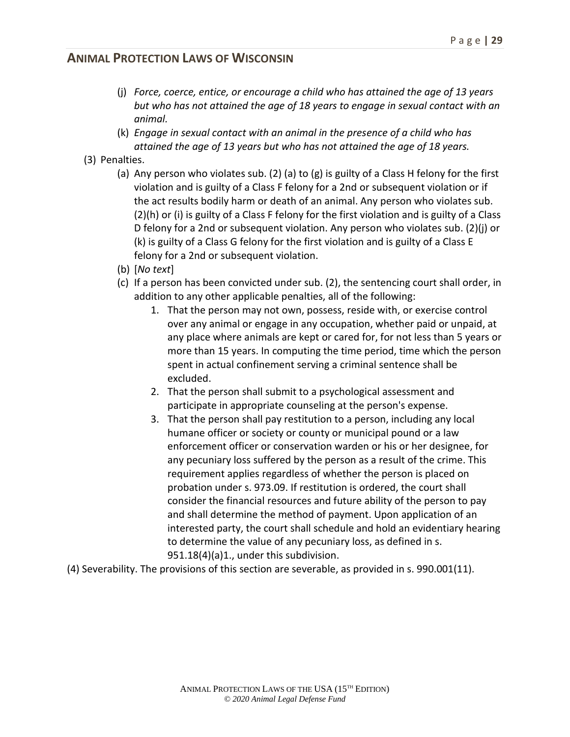- (j) *Force, coerce, entice, or encourage a child who has attained the age of 13 years but who has not attained the age of 18 years to engage in sexual contact with an animal.*
- (k) *Engage in sexual contact with an animal in the presence of a child who has attained the age of 13 years but who has not attained the age of 18 years.*
- (3) Penalties.
	- (a) Any person who violates sub. (2) (a) to (g) is guilty of a Class H felony for the first violation and is guilty of a Class F felony for a 2nd or subsequent violation or if the act results bodily harm or death of an animal. Any person who violates sub. (2)(h) or (i) is guilty of a Class F felony for the first violation and is guilty of a Class D felony for a 2nd or subsequent violation. Any person who violates sub. (2)(j) or (k) is guilty of a Class G felony for the first violation and is guilty of a Class E felony for a 2nd or subsequent violation.
	- (b) [*No text*]
	- (c) If a person has been convicted under sub. (2), the sentencing court shall order, in addition to any other applicable penalties, all of the following:
		- 1. That the person may not own, possess, reside with, or exercise control over any animal or engage in any occupation, whether paid or unpaid, at any place where animals are kept or cared for, for not less than 5 years or more than 15 years. In computing the time period, time which the person spent in actual confinement serving a criminal sentence shall be excluded.
		- 2. That the person shall submit to a psychological assessment and participate in appropriate counseling at the person's expense.
		- 3. That the person shall pay restitution to a person, including any local humane officer or society or county or municipal pound or a law enforcement officer or conservation warden or his or her designee, for any pecuniary loss suffered by the person as a result of the crime. This requirement applies regardless of whether the person is placed on probation under s. 973.09. If restitution is ordered, the court shall consider the financial resources and future ability of the person to pay and shall determine the method of payment. Upon application of an interested party, the court shall schedule and hold an evidentiary hearing to determine the value of any pecuniary loss, as defined in s. 951.18(4)(a)1., under this subdivision.

(4) Severability. The provisions of this section are severable, as provided in s. 990.001(11).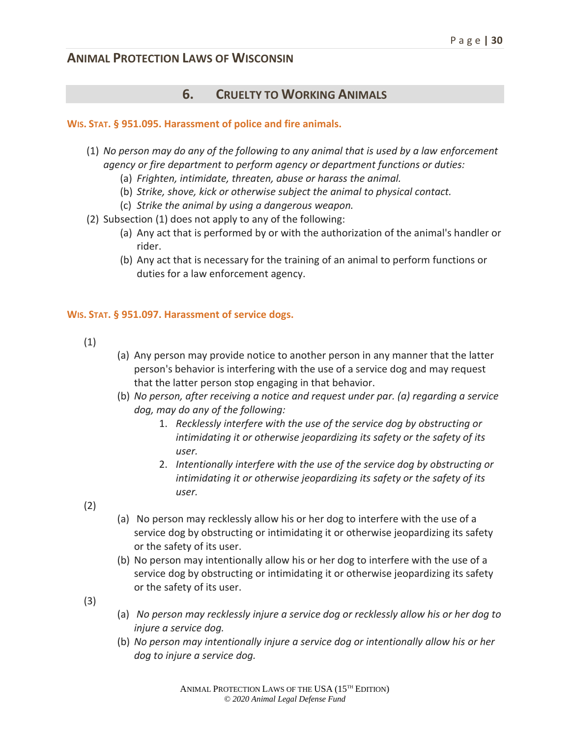### **6. CRUELTY TO WORKING ANIMALS**

#### **WIS. STAT. § 951.095. Harassment of police and fire animals.**

- (1) *No person may do any of the following to any animal that is used by a law enforcement agency or fire department to perform agency or department functions or duties:*
	- (a) *Frighten, intimidate, threaten, abuse or harass the animal.*
	- (b) *Strike, shove, kick or otherwise subject the animal to physical contact.*
	- (c) *Strike the animal by using a dangerous weapon.*
- (2) Subsection (1) does not apply to any of the following:
	- (a) Any act that is performed by or with the authorization of the animal's handler or rider.
	- (b) Any act that is necessary for the training of an animal to perform functions or duties for a law enforcement agency.

#### **WIS. STAT. § 951.097. Harassment of service dogs.**

- (1)
- (a) Any person may provide notice to another person in any manner that the latter person's behavior is interfering with the use of a service dog and may request that the latter person stop engaging in that behavior.
- (b) *No person, after receiving a notice and request under par. (a) regarding a service dog, may do any of the following:*
	- 1. *Recklessly interfere with the use of the service dog by obstructing or intimidating it or otherwise jeopardizing its safety or the safety of its user.*
	- 2. *Intentionally interfere with the use of the service dog by obstructing or intimidating it or otherwise jeopardizing its safety or the safety of its user.*
- (2)
- (a) No person may recklessly allow his or her dog to interfere with the use of a service dog by obstructing or intimidating it or otherwise jeopardizing its safety or the safety of its user.
- (b) No person may intentionally allow his or her dog to interfere with the use of a service dog by obstructing or intimidating it or otherwise jeopardizing its safety or the safety of its user.
- (3)
- (a) *No person may recklessly injure a service dog or recklessly allow his or her dog to injure a service dog.*
- (b) *No person may intentionally injure a service dog or intentionally allow his or her dog to injure a service dog.*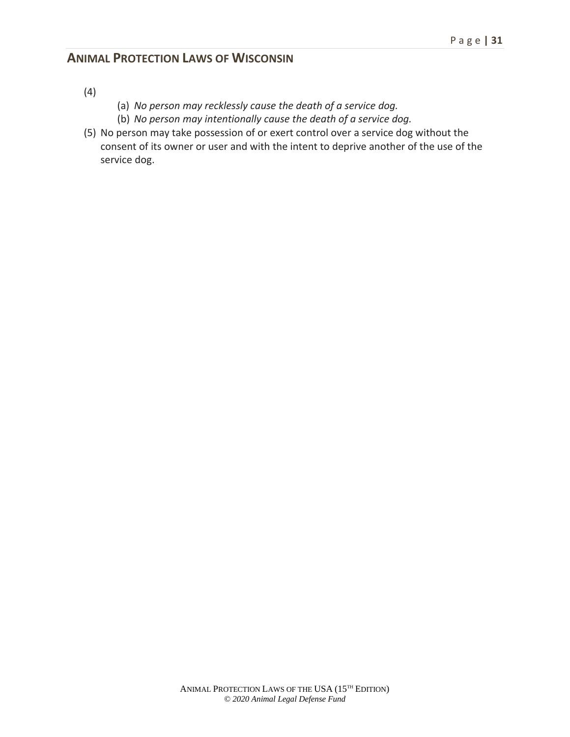- (4)
- (a) *No person may recklessly cause the death of a service dog.*
- (b) *No person may intentionally cause the death of a service dog.*
- (5) No person may take possession of or exert control over a service dog without the consent of its owner or user and with the intent to deprive another of the use of the service dog.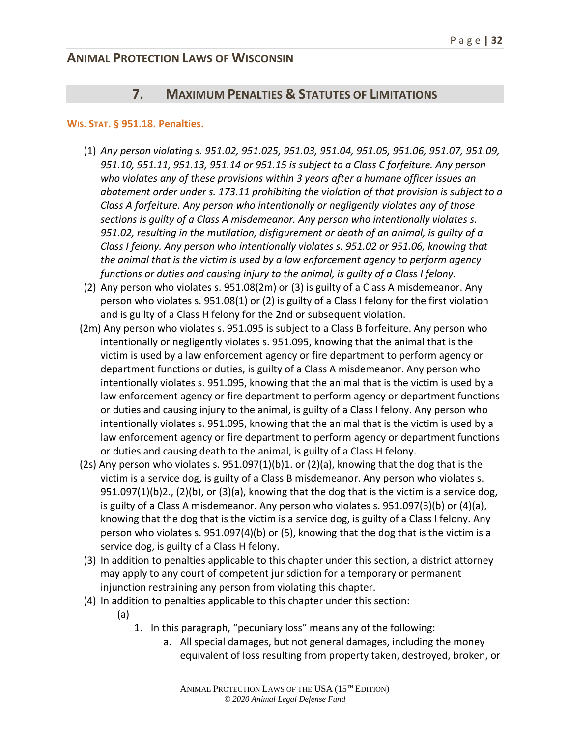## **7. MAXIMUM PENALTIES & STATUTES OF LIMITATIONS**

#### **WIS. STAT. § 951.18. Penalties.**

- (1) *Any person violating s. 951.02, 951.025, 951.03, 951.04, 951.05, 951.06, 951.07, 951.09, 951.10, 951.11, 951.13, 951.14 or 951.15 is subject to a Class C forfeiture. Any person who violates any of these provisions within 3 years after a humane officer issues an abatement order under s. 173.11 prohibiting the violation of that provision is subject to a Class A forfeiture. Any person who intentionally or negligently violates any of those sections is guilty of a Class A misdemeanor. Any person who intentionally violates s. 951.02, resulting in the mutilation, disfigurement or death of an animal, is guilty of a Class I felony. Any person who intentionally violates s. 951.02 or 951.06, knowing that the animal that is the victim is used by a law enforcement agency to perform agency functions or duties and causing injury to the animal, is guilty of a Class I felony.*
- (2) Any person who violates s. 951.08(2m) or (3) is guilty of a Class A misdemeanor. Any person who violates s. 951.08(1) or (2) is guilty of a Class I felony for the first violation and is guilty of a Class H felony for the 2nd or subsequent violation.
- (2m) Any person who violates s. 951.095 is subject to a Class B forfeiture. Any person who intentionally or negligently violates s. 951.095, knowing that the animal that is the victim is used by a law enforcement agency or fire department to perform agency or department functions or duties, is guilty of a Class A misdemeanor. Any person who intentionally violates s. 951.095, knowing that the animal that is the victim is used by a law enforcement agency or fire department to perform agency or department functions or duties and causing injury to the animal, is guilty of a Class I felony. Any person who intentionally violates s. 951.095, knowing that the animal that is the victim is used by a law enforcement agency or fire department to perform agency or department functions or duties and causing death to the animal, is guilty of a Class H felony.
- (2s) Any person who violates s.  $951.097(1)(b)1$ . or (2)(a), knowing that the dog that is the victim is a service dog, is guilty of a Class B misdemeanor. Any person who violates s.  $951.097(1)(b)2$ .,  $(2)(b)$ , or  $(3)(a)$ , knowing that the dog that is the victim is a service dog, is guilty of a Class A misdemeanor. Any person who violates s. 951.097(3)(b) or (4)(a), knowing that the dog that is the victim is a service dog, is guilty of a Class I felony. Any person who violates s. 951.097(4)(b) or (5), knowing that the dog that is the victim is a service dog, is guilty of a Class H felony.
- (3) In addition to penalties applicable to this chapter under this section, a district attorney may apply to any court of competent jurisdiction for a temporary or permanent injunction restraining any person from violating this chapter.
- (4) In addition to penalties applicable to this chapter under this section:
	- (a)
- 1. In this paragraph, "pecuniary loss" means any of the following:
	- a. All special damages, but not general damages, including the money equivalent of loss resulting from property taken, destroyed, broken, or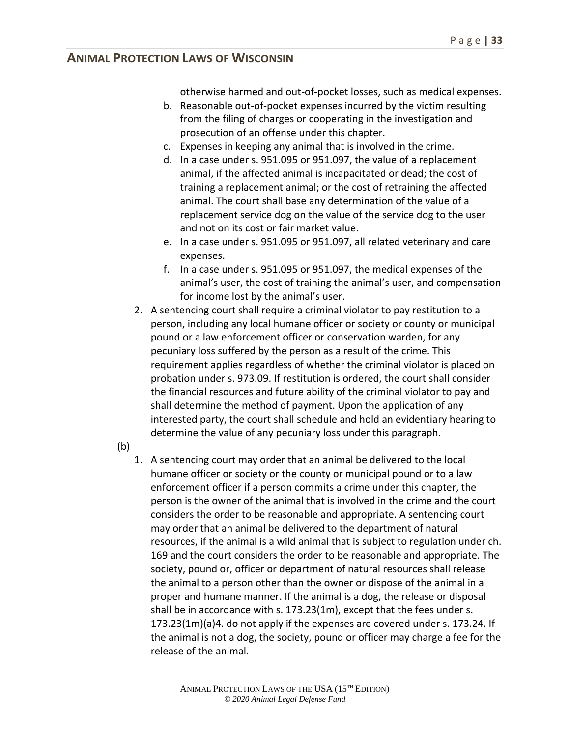otherwise harmed and out-of-pocket losses, such as medical expenses.

- b. Reasonable out-of-pocket expenses incurred by the victim resulting from the filing of charges or cooperating in the investigation and prosecution of an offense under this chapter.
- c. Expenses in keeping any animal that is involved in the crime.
- d. In a case under s. 951.095 or 951.097, the value of a replacement animal, if the affected animal is incapacitated or dead; the cost of training a replacement animal; or the cost of retraining the affected animal. The court shall base any determination of the value of a replacement service dog on the value of the service dog to the user and not on its cost or fair market value.
- e. In a case under s. 951.095 or 951.097, all related veterinary and care expenses.
- f. In a case under s. 951.095 or 951.097, the medical expenses of the animal's user, the cost of training the animal's user, and compensation for income lost by the animal's user.
- 2. A sentencing court shall require a criminal violator to pay restitution to a person, including any local humane officer or society or county or municipal pound or a law enforcement officer or conservation warden, for any pecuniary loss suffered by the person as a result of the crime. This requirement applies regardless of whether the criminal violator is placed on probation under s. 973.09. If restitution is ordered, the court shall consider the financial resources and future ability of the criminal violator to pay and shall determine the method of payment. Upon the application of any interested party, the court shall schedule and hold an evidentiary hearing to determine the value of any pecuniary loss under this paragraph.
- (b)
- 1. A sentencing court may order that an animal be delivered to the local humane officer or society or the county or municipal pound or to a law enforcement officer if a person commits a crime under this chapter, the person is the owner of the animal that is involved in the crime and the court considers the order to be reasonable and appropriate. A sentencing court may order that an animal be delivered to the department of natural resources, if the animal is a wild animal that is subject to regulation under ch. 169 and the court considers the order to be reasonable and appropriate. The society, pound or, officer or department of natural resources shall release the animal to a person other than the owner or dispose of the animal in a proper and humane manner. If the animal is a dog, the release or disposal shall be in accordance with s. 173.23(1m), except that the fees under s. 173.23(1m)(a)4. do not apply if the expenses are covered under s. 173.24. If the animal is not a dog, the society, pound or officer may charge a fee for the release of the animal.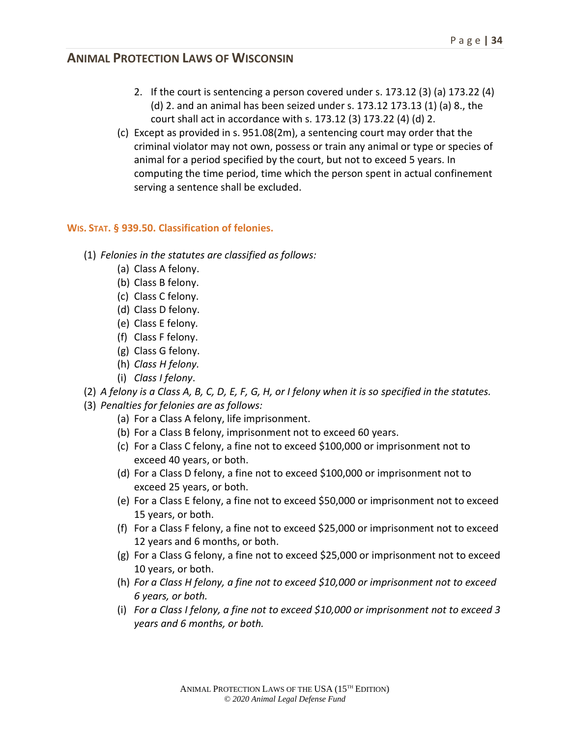- 2. If the court is sentencing a person covered under s. 173.12 (3) (a) 173.22 (4) (d) 2. and an animal has been seized under s. 173.12 173.13 (1) (a) 8., the court shall act in accordance with s. 173.12 (3) 173.22 (4) (d) 2.
- (c) Except as provided in s. 951.08(2m), a sentencing court may order that the criminal violator may not own, possess or train any animal or type or species of animal for a period specified by the court, but not to exceed 5 years. In computing the time period, time which the person spent in actual confinement serving a sentence shall be excluded.

### **WIS. STAT. § 939.50. Classification of felonies.**

- (1) *Felonies in the statutes are classified as follows:*
	- (a) Class A felony.
	- (b) Class B felony.
	- (c) Class C felony.
	- (d) Class D felony.
	- (e) Class E felony*.*
	- (f) Class F felony.
	- (g) Class G felony.
	- (h) *Class H felony.*
	- (i) *Class I felony*.
- (2) *A felony is a Class A, B, C, D, E, F, G, H, or I felony when it is so specified in the statutes.*
- (3) *Penalties for felonies are as follows:*
	- (a) For a Class A felony, life imprisonment.
	- (b) For a Class B felony, imprisonment not to exceed 60 years.
	- (c) For a Class C felony, a fine not to exceed \$100,000 or imprisonment not to exceed 40 years, or both.
	- (d) For a Class D felony, a fine not to exceed \$100,000 or imprisonment not to exceed 25 years, or both.
	- (e) For a Class E felony, a fine not to exceed \$50,000 or imprisonment not to exceed 15 years, or both.
	- (f) For a Class F felony, a fine not to exceed \$25,000 or imprisonment not to exceed 12 years and 6 months, or both.
	- (g) For a Class G felony, a fine not to exceed \$25,000 or imprisonment not to exceed 10 years, or both.
	- (h) *For a Class H felony, a fine not to exceed \$10,000 or imprisonment not to exceed 6 years, or both.*
	- (i) *For a Class I felony, a fine not to exceed \$10,000 or imprisonment not to exceed 3 years and 6 months, or both.*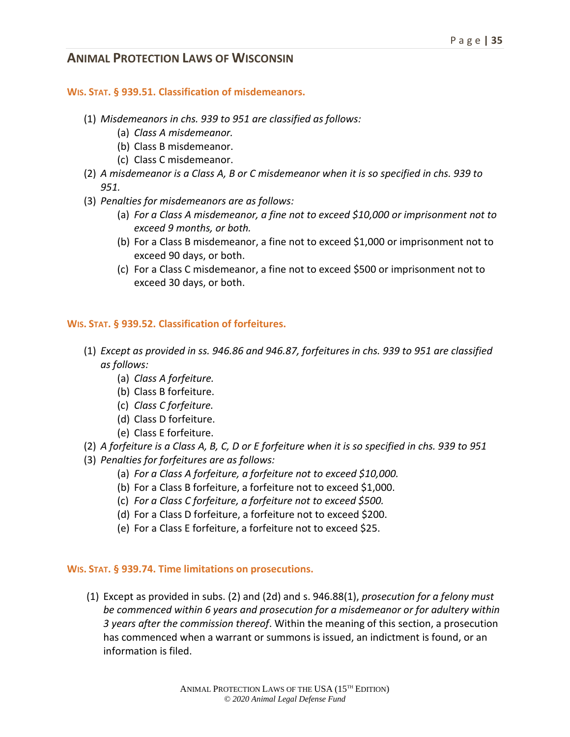#### **WIS. STAT. § 939.51. Classification of misdemeanors.**

- (1) *Misdemeanors in chs. 939 to 951 are classified as follows:*
	- (a) *Class A misdemeanor.*
	- (b) Class B misdemeanor.
	- (c) Class C misdemeanor.
- (2) *A misdemeanor is a Class A, B or C misdemeanor when it is so specified in chs. 939 to 951.*
- (3) *Penalties for misdemeanors are as follows:*
	- (a) *For a Class A misdemeanor, a fine not to exceed \$10,000 or imprisonment not to exceed 9 months, or both.*
	- (b) For a Class B misdemeanor, a fine not to exceed \$1,000 or imprisonment not to exceed 90 days, or both.
	- (c) For a Class C misdemeanor, a fine not to exceed \$500 or imprisonment not to exceed 30 days, or both.

#### **WIS. STAT. § 939.52. Classification of forfeitures.**

- (1) *Except as provided in ss. 946.86 and 946.87, forfeitures in chs. 939 to 951 are classified as follows:*
	- (a) *Class A forfeiture.*
	- (b) Class B forfeiture.
	- (c) *Class C forfeiture.*
	- (d) Class D forfeiture.
	- (e) Class E forfeiture.
- (2) *A forfeiture is a Class A, B, C, D or E forfeiture when it is so specified in chs. 939 to 951*  (3) *Penalties for forfeitures are as follows:* 
	- (a) *For a Class A forfeiture, a forfeiture not to exceed \$10,000.*
	- (b) For a Class B forfeiture, a forfeiture not to exceed \$1,000.
	- (c) *For a Class C forfeiture, a forfeiture not to exceed \$500.*
	- (d) For a Class D forfeiture, a forfeiture not to exceed \$200.
	- (e) For a Class E forfeiture, a forfeiture not to exceed \$25.

#### **WIS. STAT. § 939.74. Time limitations on prosecutions.**

(1) Except as provided in subs. (2) and (2d) and s. 946.88(1), *prosecution for a felony must be commenced within 6 years and prosecution for a misdemeanor or for adultery within 3 years after the commission thereof*. Within the meaning of this section, a prosecution has commenced when a warrant or summons is issued, an indictment is found, or an information is filed.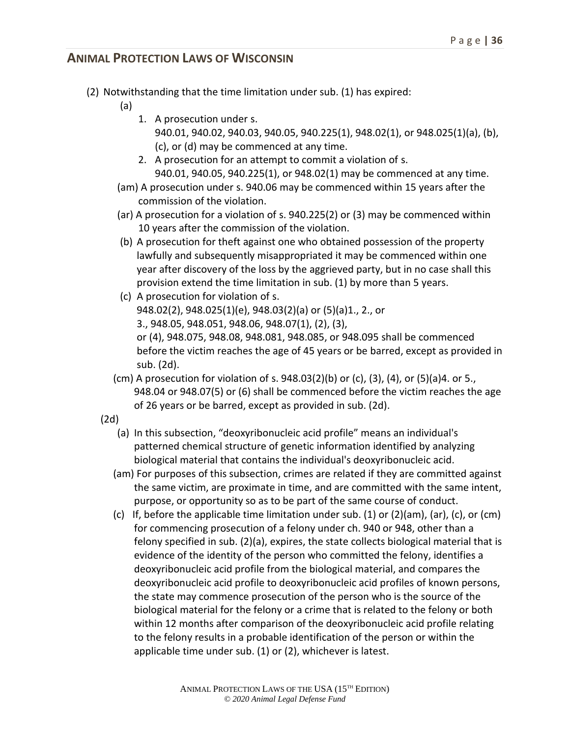- (2) Notwithstanding that the time limitation under sub. (1) has expired:
	- (a)
- 1. A prosecution under s. 940.01, 940.02, 940.03, 940.05, 940.225(1), 948.02(1), or 948.025(1)(a), (b), (c), or (d) may be commenced at any time.
- 2. A prosecution for an attempt to commit a violation of s. 940.01, 940.05, 940.225(1), or 948.02(1) may be commenced at any time.
- (am) A prosecution under s. 940.06 may be commenced within 15 years after the commission of the violation.
- (ar) A prosecution for a violation of s. 940.225(2) or (3) may be commenced within 10 years after the commission of the violation.
- (b) A prosecution for theft against one who obtained possession of the property lawfully and subsequently misappropriated it may be commenced within one year after discovery of the loss by the aggrieved party, but in no case shall this provision extend the time limitation in sub. (1) by more than 5 years.
- (c) A prosecution for violation of s. 948.02(2), 948.025(1)(e), 948.03(2)(a) or (5)(a)1., 2., or 3., 948.05, 948.051, 948.06, 948.07(1), (2), (3), or (4), 948.075, 948.08, 948.081, 948.085, or 948.095 shall be commenced before the victim reaches the age of 45 years or be barred, except as provided in sub. (2d).
- (cm) A prosecution for violation of s.  $948.03(2)(b)$  or (c), (3), (4), or (5)(a)4. or 5., 948.04 or 948.07(5) or (6) shall be commenced before the victim reaches the age of 26 years or be barred, except as provided in sub. (2d).

(2d)

- (a) In this subsection, "deoxyribonucleic acid profile" means an individual's patterned chemical structure of genetic information identified by analyzing biological material that contains the individual's deoxyribonucleic acid.
- (am) For purposes of this subsection, crimes are related if they are committed against the same victim, are proximate in time, and are committed with the same intent, purpose, or opportunity so as to be part of the same course of conduct.
- (c) If, before the applicable time limitation under sub.  $(1)$  or  $(2)(am)$ ,  $(ar)$ ,  $(cf)$ , or  $(cm)$ for commencing prosecution of a felony under ch. 940 or 948, other than a felony specified in sub. (2)(a), expires, the state collects biological material that is evidence of the identity of the person who committed the felony, identifies a deoxyribonucleic acid profile from the biological material, and compares the deoxyribonucleic acid profile to deoxyribonucleic acid profiles of known persons, the state may commence prosecution of the person who is the source of the biological material for the felony or a crime that is related to the felony or both within 12 months after comparison of the deoxyribonucleic acid profile relating to the felony results in a probable identification of the person or within the applicable time under sub. (1) or (2), whichever is latest.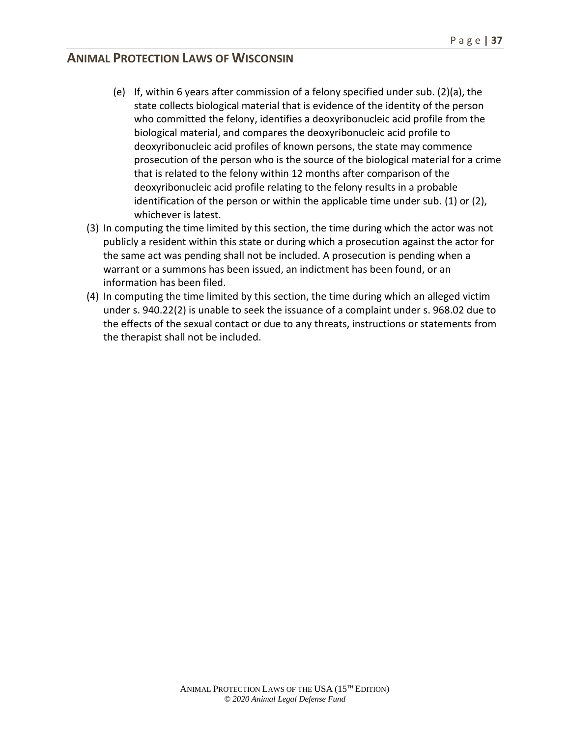- (e) If, within 6 years after commission of a felony specified under sub. (2)(a), the state collects biological material that is evidence of the identity of the person who committed the felony, identifies a deoxyribonucleic acid profile from the biological material, and compares the deoxyribonucleic acid profile to deoxyribonucleic acid profiles of known persons, the state may commence prosecution of the person who is the source of the biological material for a crime that is related to the felony within 12 months after comparison of the deoxyribonucleic acid profile relating to the felony results in a probable identification of the person or within the applicable time under sub. (1) or (2), whichever is latest.
- (3) In computing the time limited by this section, the time during which the actor was not publicly a resident within this state or during which a prosecution against the actor for the same act was pending shall not be included. A prosecution is pending when a warrant or a summons has been issued, an indictment has been found, or an information has been filed.
- (4) In computing the time limited by this section, the time during which an alleged victim under s. 940.22(2) is unable to seek the issuance of a complaint under s. 968.02 due to the effects of the sexual contact or due to any threats, instructions or statements from the therapist shall not be included.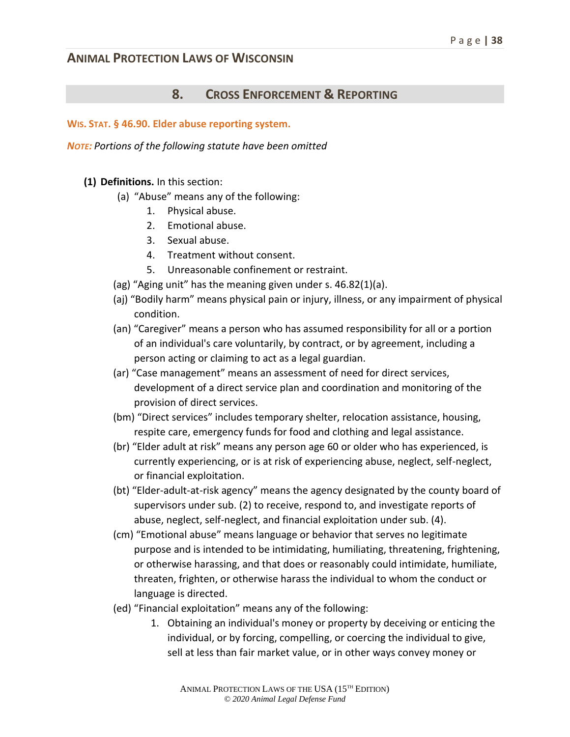#### **8. CROSS ENFORCEMENT & REPORTING**

**WIS. STAT. § 46.90. Elder abuse reporting system.**

*NOTE: Portions of the following statute have been omitted*

- **(1) Definitions.** In this section:
	- (a) "Abuse" means any of the following:
		- 1. Physical abuse.
		- 2. Emotional abuse.
		- 3. Sexual abuse.
		- 4. Treatment without consent.
		- 5. Unreasonable confinement or restraint.
	- (ag) "Aging unit" has the meaning given under s. 46.82(1)(a).
	- (aj) "Bodily harm" means physical pain or injury, illness, or any impairment of physical condition.
	- (an) "Caregiver" means a person who has assumed responsibility for all or a portion of an individual's care voluntarily, by contract, or by agreement, including a person acting or claiming to act as a legal guardian.
	- (ar) "Case management" means an assessment of need for direct services, development of a direct service plan and coordination and monitoring of the provision of direct services.
	- (bm) "Direct services" includes temporary shelter, relocation assistance, housing, respite care, emergency funds for food and clothing and legal assistance.
	- (br) "Elder adult at risk" means any person age 60 or older who has experienced, is currently experiencing, or is at risk of experiencing abuse, neglect, self-neglect, or financial exploitation.
	- (bt) "Elder-adult-at-risk agency" means the agency designated by the county board of supervisors under sub. (2) to receive, respond to, and investigate reports of abuse, neglect, self-neglect, and financial exploitation under sub. (4).
	- (cm) "Emotional abuse" means language or behavior that serves no legitimate purpose and is intended to be intimidating, humiliating, threatening, frightening, or otherwise harassing, and that does or reasonably could intimidate, humiliate, threaten, frighten, or otherwise harass the individual to whom the conduct or language is directed.
	- (ed) "Financial exploitation" means any of the following:
		- 1. Obtaining an individual's money or property by deceiving or enticing the individual, or by forcing, compelling, or coercing the individual to give, sell at less than fair market value, or in other ways convey money or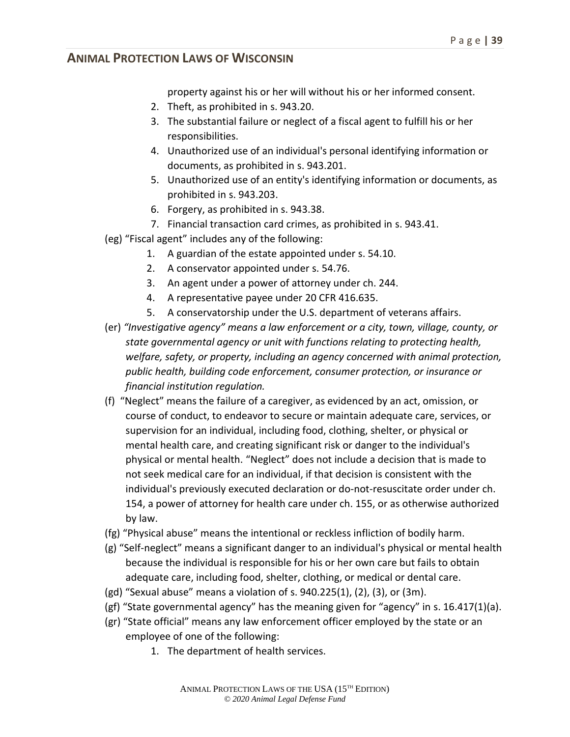property against his or her will without his or her informed consent.

- 2. Theft, as prohibited in s. 943.20.
- 3. The substantial failure or neglect of a fiscal agent to fulfill his or her responsibilities.
- 4. Unauthorized use of an individual's personal identifying information or documents, as prohibited in s. 943.201.
- 5. Unauthorized use of an entity's identifying information or documents, as prohibited in s. 943.203.
- 6. Forgery, as prohibited in s. 943.38.
- 7. Financial transaction card crimes, as prohibited in s. 943.41.
- (eg) "Fiscal agent" includes any of the following:
	- 1. A guardian of the estate appointed under s. 54.10.
	- 2. A conservator appointed under s. 54.76.
	- 3. An agent under a power of attorney under ch. 244.
	- 4. A representative payee under 20 CFR 416.635.
	- 5. A conservatorship under the U.S. department of veterans affairs.
- (er) *"Investigative agency" means a law enforcement or a city, town, village, county, or state governmental agency or unit with functions relating to protecting health, welfare, safety, or property, including an agency concerned with animal protection, public health, building code enforcement, consumer protection, or insurance or financial institution regulation.*
- (f) "Neglect" means the failure of a caregiver, as evidenced by an act, omission, or course of conduct, to endeavor to secure or maintain adequate care, services, or supervision for an individual, including food, clothing, shelter, or physical or mental health care, and creating significant risk or danger to the individual's physical or mental health. "Neglect" does not include a decision that is made to not seek medical care for an individual, if that decision is consistent with the individual's previously executed declaration or do-not-resuscitate order under ch. 154, a power of attorney for health care under ch. 155, or as otherwise authorized by law.
- (fg) "Physical abuse" means the intentional or reckless infliction of bodily harm.
- (g) "Self-neglect" means a significant danger to an individual's physical or mental health because the individual is responsible for his or her own care but fails to obtain adequate care, including food, shelter, clothing, or medical or dental care.
- (gd) "Sexual abuse" means a violation of s. 940.225(1), (2), (3), or (3m).
- (gf) "State governmental agency" has the meaning given for "agency" in s. 16.417(1)(a).
- (gr) "State official" means any law enforcement officer employed by the state or an employee of one of the following:
	- 1. The department of health services.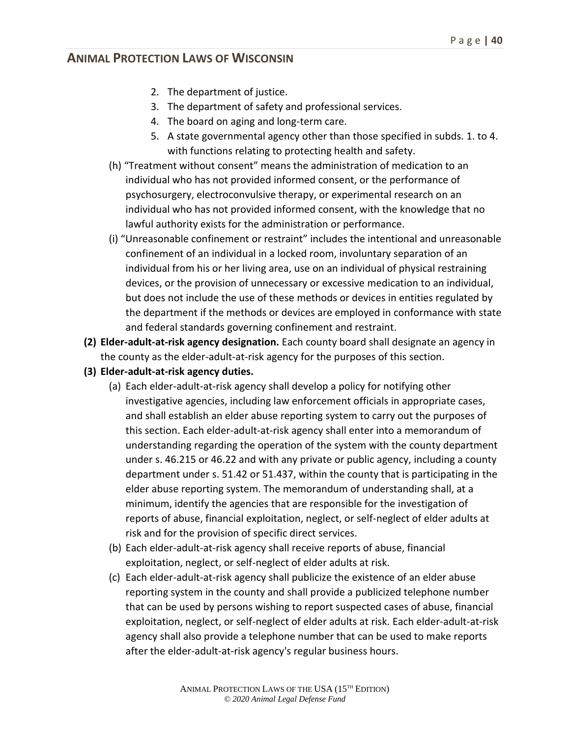- 2. The department of justice.
- 3. The department of safety and professional services.
- 4. The board on aging and long-term care.
- 5. A state governmental agency other than those specified in subds. 1. to 4. with functions relating to protecting health and safety.
- (h) "Treatment without consent" means the administration of medication to an individual who has not provided informed consent, or the performance of psychosurgery, electroconvulsive therapy, or experimental research on an individual who has not provided informed consent, with the knowledge that no lawful authority exists for the administration or performance.
- (i) "Unreasonable confinement or restraint" includes the intentional and unreasonable confinement of an individual in a locked room, involuntary separation of an individual from his or her living area, use on an individual of physical restraining devices, or the provision of unnecessary or excessive medication to an individual, but does not include the use of these methods or devices in entities regulated by the department if the methods or devices are employed in conformance with state and federal standards governing confinement and restraint.
- **(2) Elder-adult-at-risk agency designation.** Each county board shall designate an agency in the county as the elder-adult-at-risk agency for the purposes of this section.
- **(3) Elder-adult-at-risk agency duties.**
	- (a) Each elder-adult-at-risk agency shall develop a policy for notifying other investigative agencies, including law enforcement officials in appropriate cases, and shall establish an elder abuse reporting system to carry out the purposes of this section. Each elder-adult-at-risk agency shall enter into a memorandum of understanding regarding the operation of the system with the county department under s. 46.215 or 46.22 and with any private or public agency, including a county department under s. 51.42 or 51.437, within the county that is participating in the elder abuse reporting system. The memorandum of understanding shall, at a minimum, identify the agencies that are responsible for the investigation of reports of abuse, financial exploitation, neglect, or self-neglect of elder adults at risk and for the provision of specific direct services.
	- (b) Each elder-adult-at-risk agency shall receive reports of abuse, financial exploitation, neglect, or self-neglect of elder adults at risk.
	- (c) Each elder-adult-at-risk agency shall publicize the existence of an elder abuse reporting system in the county and shall provide a publicized telephone number that can be used by persons wishing to report suspected cases of abuse, financial exploitation, neglect, or self-neglect of elder adults at risk. Each elder-adult-at-risk agency shall also provide a telephone number that can be used to make reports after the elder-adult-at-risk agency's regular business hours.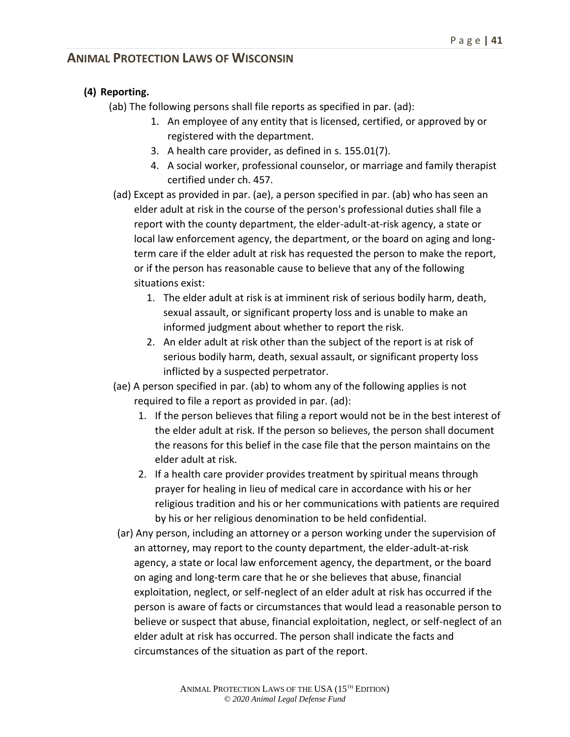## **(4) Reporting.**

(ab) The following persons shall file reports as specified in par. (ad):

- 1. An employee of any entity that is licensed, certified, or approved by or registered with the department.
- 3. A health care provider, as defined in s. 155.01(7).
- 4. A social worker, professional counselor, or marriage and family therapist certified under ch. 457.
- (ad) Except as provided in par. (ae), a person specified in par. (ab) who has seen an elder adult at risk in the course of the person's professional duties shall file a report with the county department, the elder-adult-at-risk agency, a state or local law enforcement agency, the department, or the board on aging and longterm care if the elder adult at risk has requested the person to make the report, or if the person has reasonable cause to believe that any of the following situations exist:
	- 1. The elder adult at risk is at imminent risk of serious bodily harm, death, sexual assault, or significant property loss and is unable to make an informed judgment about whether to report the risk.
	- 2. An elder adult at risk other than the subject of the report is at risk of serious bodily harm, death, sexual assault, or significant property loss inflicted by a suspected perpetrator.
- (ae) A person specified in par. (ab) to whom any of the following applies is not required to file a report as provided in par. (ad):
	- 1. If the person believes that filing a report would not be in the best interest of the elder adult at risk. If the person so believes, the person shall document the reasons for this belief in the case file that the person maintains on the elder adult at risk.
	- 2. If a health care provider provides treatment by spiritual means through prayer for healing in lieu of medical care in accordance with his or her religious tradition and his or her communications with patients are required by his or her religious denomination to be held confidential.
- (ar) Any person, including an attorney or a person working under the supervision of an attorney, may report to the county department, the elder-adult-at-risk agency, a state or local law enforcement agency, the department, or the board on aging and long-term care that he or she believes that abuse, financial exploitation, neglect, or self-neglect of an elder adult at risk has occurred if the person is aware of facts or circumstances that would lead a reasonable person to believe or suspect that abuse, financial exploitation, neglect, or self-neglect of an elder adult at risk has occurred. The person shall indicate the facts and circumstances of the situation as part of the report.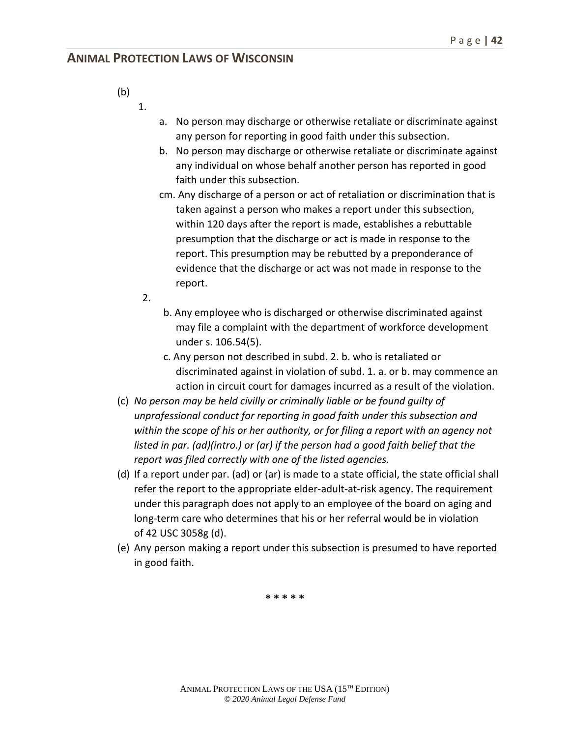- (b) 1.
- a. No person may discharge or otherwise retaliate or discriminate against any person for reporting in good faith under this subsection.
- b. No person may discharge or otherwise retaliate or discriminate against any individual on whose behalf another person has reported in good faith under this subsection.
- cm. Any discharge of a person or act of retaliation or discrimination that is taken against a person who makes a report under this subsection, within 120 days after the report is made, establishes a rebuttable presumption that the discharge or act is made in response to the report. This presumption may be rebutted by a preponderance of evidence that the discharge or act was not made in response to the report.
- 2.
- b. Any employee who is discharged or otherwise discriminated against may file a complaint with the department of workforce development under s. 106.54(5).
- c. Any person not described in subd. 2. b. who is retaliated or discriminated against in violation of subd. 1. a. or b. may commence an action in circuit court for damages incurred as a result of the violation.
- (c) *No person may be held civilly or criminally liable or be found guilty of unprofessional conduct for reporting in good faith under this subsection and within the scope of his or her authority, or for filing a report with an agency not listed in par. (ad)(intro.) or (ar) if the person had a good faith belief that the report was filed correctly with one of the listed agencies.*
- (d) If a report under par. (ad) or (ar) is made to a state official, the state official shall refer the report to the appropriate elder-adult-at-risk agency. The requirement under this paragraph does not apply to an employee of the board on aging and long-term care who determines that his or her referral would be in violation of 42 USC 3058g (d).
- (e) Any person making a report under this subsection is presumed to have reported in good faith.

**\* \* \* \* \***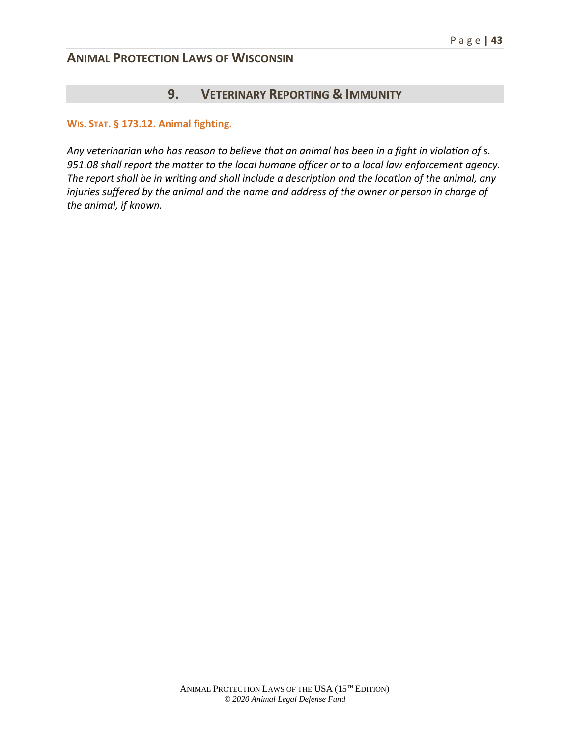## **9. VETERINARY REPORTING & IMMUNITY**

#### **WIS. STAT. § 173.12. Animal fighting.**

*Any veterinarian who has reason to believe that an animal has been in a fight in violation of s. 951.08 shall report the matter to the local humane officer or to a local law enforcement agency. The report shall be in writing and shall include a description and the location of the animal, any injuries suffered by the animal and the name and address of the owner or person in charge of the animal, if known.*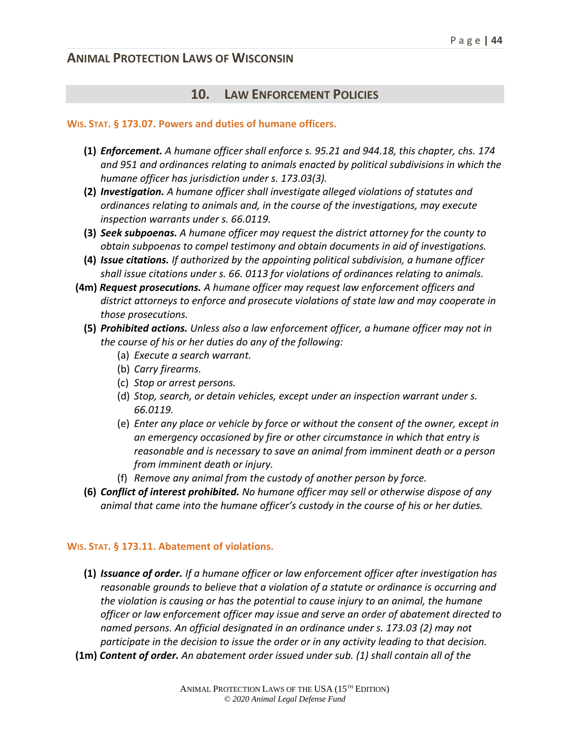## **10. LAW ENFORCEMENT POLICIES**

#### **WIS. STAT. § 173.07. Powers and duties of humane officers.**

- **(1)** *Enforcement. A humane officer shall enforce s. 95.21 and 944.18, this chapter, chs. 174 and 951 and ordinances relating to animals enacted by political subdivisions in which the humane officer has jurisdiction under s. 173.03(3).*
- **(2)** *Investigation. A humane officer shall investigate alleged violations of statutes and ordinances relating to animals and, in the course of the investigations, may execute inspection warrants under s. 66.0119.*
- **(3)** *Seek subpoenas. A humane officer may request the district attorney for the county to obtain subpoenas to compel testimony and obtain documents in aid of investigations.*
- **(4)** *Issue citations. If authorized by the appointing political subdivision, a humane officer shall issue citations under s. 66. 0113 for violations of ordinances relating to animals.*
- **(4m)** *Request prosecutions. A humane officer may request law enforcement officers and district attorneys to enforce and prosecute violations of state law and may cooperate in those prosecutions.*
	- **(5)** *Prohibited actions. Unless also a law enforcement officer, a humane officer may not in the course of his or her duties do any of the following:*
		- (a) *Execute a search warrant.*
		- (b) *Carry firearms.*
		- (c) *Stop or arrest persons.*
		- (d) *Stop, search, or detain vehicles, except under an inspection warrant under s. 66.0119.*
		- (e) *Enter any place or vehicle by force or without the consent of the owner, except in an emergency occasioned by fire or other circumstance in which that entry is reasonable and is necessary to save an animal from imminent death or a person from imminent death or injury.*
		- (f) *Remove any animal from the custody of another person by force.*
	- **(6)** *Conflict of interest prohibited. No humane officer may sell or otherwise dispose of any animal that came into the humane officer's custody in the course of his or her duties.*

#### **WIS. STAT. § 173.11. Abatement of violations.**

- **(1)** *Issuance of order. If a humane officer or law enforcement officer after investigation has reasonable grounds to believe that a violation of a statute or ordinance is occurring and the violation is causing or has the potential to cause injury to an animal, the humane officer or law enforcement officer may issue and serve an order of abatement directed to named persons. An official designated in an ordinance under s. 173.03 (2) may not participate in the decision to issue the order or in any activity leading to that decision.*
- **(1m)** *Content of order. An abatement order issued under sub. (1) shall contain all of the*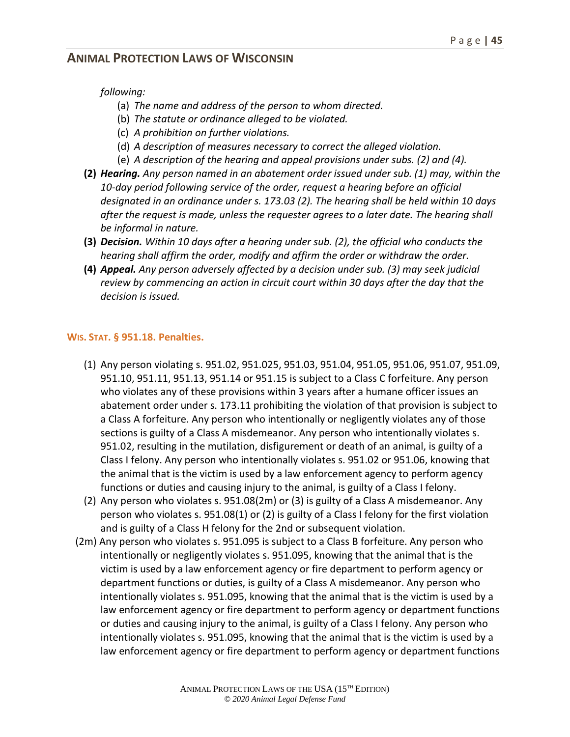*following:*

- (a) *The name and address of the person to whom directed.*
- (b) *The statute or ordinance alleged to be violated.*
- (c) *A prohibition on further violations.*
- (d) *A description of measures necessary to correct the alleged violation.*
- (e) *A description of the hearing and appeal provisions under subs. (2) and (4).*
- **(2)** *Hearing. Any person named in an abatement order issued under sub. (1) may, within the 10-day period following service of the order, request a hearing before an official designated in an ordinance under s. 173.03 (2). The hearing shall be held within 10 days after the request is made, unless the requester agrees to a later date. The hearing shall be informal in nature.*
- **(3)** *Decision. Within 10 days after a hearing under sub. (2), the official who conducts the hearing shall affirm the order, modify and affirm the order or withdraw the order.*
- **(4)** *Appeal. Any person adversely affected by a decision under sub. (3) may seek judicial*  review by commencing an action in circuit court within 30 days after the day that the *decision is issued.*

#### **WIS. STAT. § 951.18. Penalties.**

- (1) Any person violating s. 951.02, 951.025, 951.03, 951.04, 951.05, 951.06, 951.07, 951.09, 951.10, 951.11, 951.13, 951.14 or 951.15 is subject to a Class C forfeiture. Any person who violates any of these provisions within 3 years after a humane officer issues an abatement order under s. 173.11 prohibiting the violation of that provision is subject to a Class A forfeiture. Any person who intentionally or negligently violates any of those sections is guilty of a Class A misdemeanor. Any person who intentionally violates s. 951.02, resulting in the mutilation, disfigurement or death of an animal, is guilty of a Class I felony. Any person who intentionally violates s. 951.02 or 951.06, knowing that the animal that is the victim is used by a law enforcement agency to perform agency functions or duties and causing injury to the animal, is guilty of a Class I felony.
- (2) Any person who violates s. 951.08(2m) or (3) is guilty of a Class A misdemeanor. Any person who violates s. 951.08(1) or (2) is guilty of a Class I felony for the first violation and is guilty of a Class H felony for the 2nd or subsequent violation.
- (2m) Any person who violates s. 951.095 is subject to a Class B forfeiture. Any person who intentionally or negligently violates s. 951.095, knowing that the animal that is the victim is used by a law enforcement agency or fire department to perform agency or department functions or duties, is guilty of a Class A misdemeanor. Any person who intentionally violates s. 951.095, knowing that the animal that is the victim is used by a law enforcement agency or fire department to perform agency or department functions or duties and causing injury to the animal, is guilty of a Class I felony. Any person who intentionally violates s. 951.095, knowing that the animal that is the victim is used by a law enforcement agency or fire department to perform agency or department functions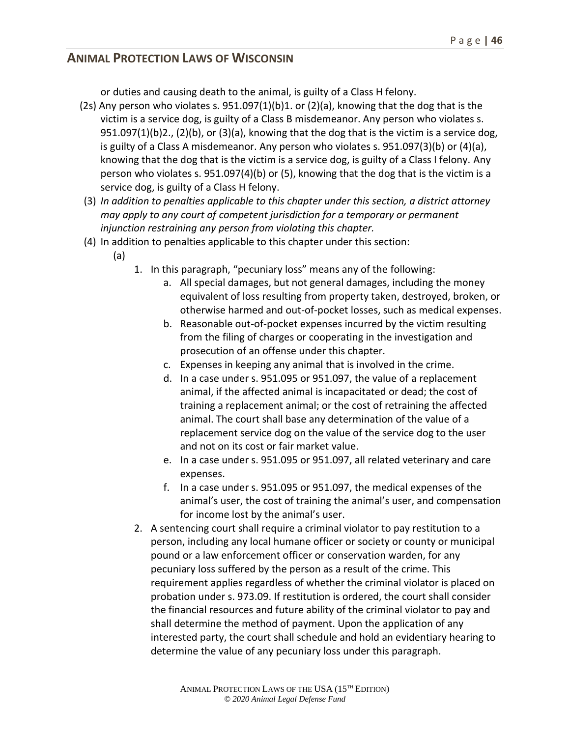or duties and causing death to the animal, is guilty of a Class H felony.

- (2s) Any person who violates s.  $951.097(1)(b)1$ . or (2)(a), knowing that the dog that is the victim is a service dog, is guilty of a Class B misdemeanor. Any person who violates s. 951.097(1)(b)2., (2)(b), or (3)(a), knowing that the dog that is the victim is a service dog, is guilty of a Class A misdemeanor. Any person who violates s. 951.097(3)(b) or (4)(a), knowing that the dog that is the victim is a service dog, is guilty of a Class I felony. Any person who violates s. 951.097(4)(b) or (5), knowing that the dog that is the victim is a service dog, is guilty of a Class H felony.
- (3) *In addition to penalties applicable to this chapter under this section, a district attorney may apply to any court of competent jurisdiction for a temporary or permanent injunction restraining any person from violating this chapter.*
- (4) In addition to penalties applicable to this chapter under this section:
	- (a)
- 1. In this paragraph, "pecuniary loss" means any of the following:
	- a. All special damages, but not general damages, including the money equivalent of loss resulting from property taken, destroyed, broken, or otherwise harmed and out-of-pocket losses, such as medical expenses.
	- b. Reasonable out-of-pocket expenses incurred by the victim resulting from the filing of charges or cooperating in the investigation and prosecution of an offense under this chapter.
	- c. Expenses in keeping any animal that is involved in the crime.
	- d. In a case under s. 951.095 or 951.097, the value of a replacement animal, if the affected animal is incapacitated or dead; the cost of training a replacement animal; or the cost of retraining the affected animal. The court shall base any determination of the value of a replacement service dog on the value of the service dog to the user and not on its cost or fair market value.
	- e. In a case under s. 951.095 or 951.097, all related veterinary and care expenses.
	- f. In a case under s. 951.095 or 951.097, the medical expenses of the animal's user, the cost of training the animal's user, and compensation for income lost by the animal's user.
- 2. A sentencing court shall require a criminal violator to pay restitution to a person, including any local humane officer or society or county or municipal pound or a law enforcement officer or conservation warden, for any pecuniary loss suffered by the person as a result of the crime. This requirement applies regardless of whether the criminal violator is placed on probation under s. 973.09. If restitution is ordered, the court shall consider the financial resources and future ability of the criminal violator to pay and shall determine the method of payment. Upon the application of any interested party, the court shall schedule and hold an evidentiary hearing to determine the value of any pecuniary loss under this paragraph.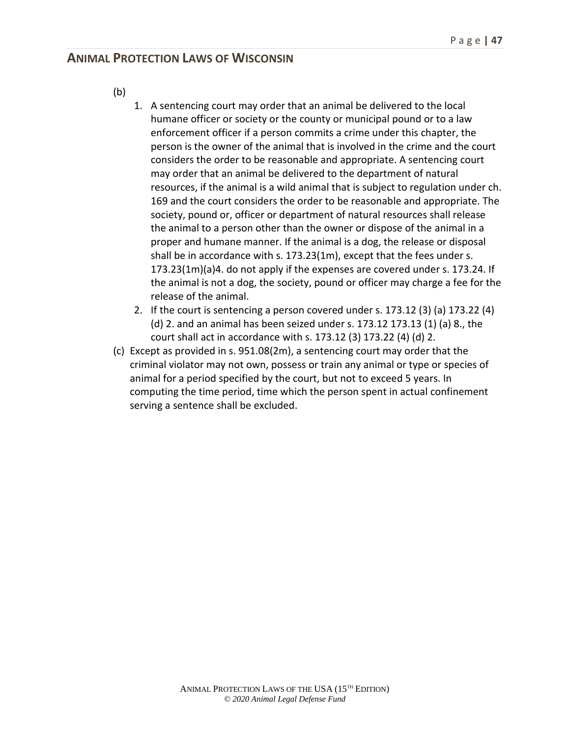- (b)
- 1. A sentencing court may order that an animal be delivered to the local humane officer or society or the county or municipal pound or to a law enforcement officer if a person commits a crime under this chapter, the person is the owner of the animal that is involved in the crime and the court considers the order to be reasonable and appropriate. A sentencing court may order that an animal be delivered to the department of natural resources, if the animal is a wild animal that is subject to regulation under ch. 169 and the court considers the order to be reasonable and appropriate. The society, pound or, officer or department of natural resources shall release the animal to a person other than the owner or dispose of the animal in a proper and humane manner. If the animal is a dog, the release or disposal shall be in accordance with s. 173.23(1m), except that the fees under s. 173.23(1m)(a)4. do not apply if the expenses are covered under s. 173.24. If the animal is not a dog, the society, pound or officer may charge a fee for the release of the animal.
- 2. If the court is sentencing a person covered under s. 173.12 (3) (a) 173.22 (4) (d) 2. and an animal has been seized under s. 173.12 173.13 (1) (a) 8., the court shall act in accordance with s. 173.12 (3) 173.22 (4) (d) 2.
- (c) Except as provided in s. 951.08(2m), a sentencing court may order that the criminal violator may not own, possess or train any animal or type or species of animal for a period specified by the court, but not to exceed 5 years. In computing the time period, time which the person spent in actual confinement serving a sentence shall be excluded.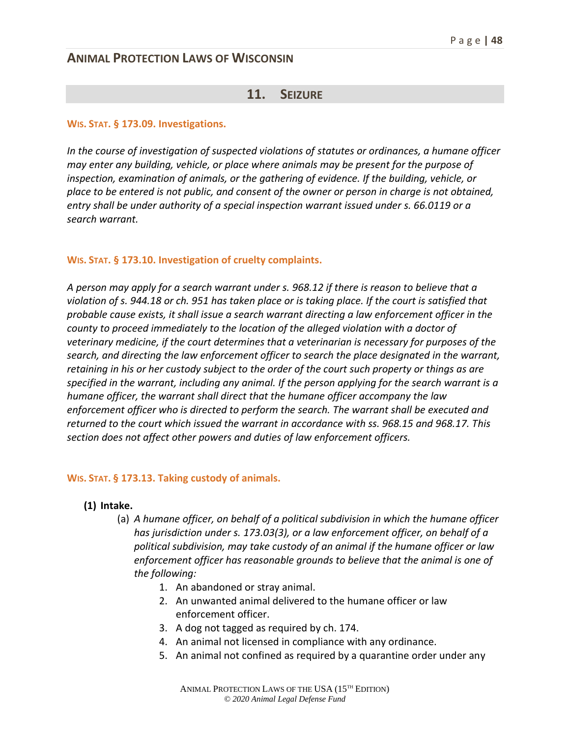## **11. SEIZURE**

#### **WIS. STAT. § 173.09. Investigations.**

*In the course of investigation of suspected violations of statutes or ordinances, a humane officer may enter any building, vehicle, or place where animals may be present for the purpose of inspection, examination of animals, or the gathering of evidence. If the building, vehicle, or place to be entered is not public, and consent of the owner or person in charge is not obtained, entry shall be under authority of a special inspection warrant issued under s. 66.0119 or a search warrant.*

#### **WIS. STAT. § 173.10. Investigation of cruelty complaints.**

*A person may apply for a search warrant under s. 968.12 if there is reason to believe that a violation of s. 944.18 or ch. 951 has taken place or is taking place. If the court is satisfied that probable cause exists, it shall issue a search warrant directing a law enforcement officer in the county to proceed immediately to the location of the alleged violation with a doctor of veterinary medicine, if the court determines that a veterinarian is necessary for purposes of the search, and directing the law enforcement officer to search the place designated in the warrant, retaining in his or her custody subject to the order of the court such property or things as are specified in the warrant, including any animal. If the person applying for the search warrant is a humane officer, the warrant shall direct that the humane officer accompany the law enforcement officer who is directed to perform the search. The warrant shall be executed and returned to the court which issued the warrant in accordance with ss. 968.15 and 968.17. This section does not affect other powers and duties of law enforcement officers.*

#### **WIS. STAT. § 173.13. Taking custody of animals.**

#### **(1) Intake.**

- (a) *A humane officer, on behalf of a political subdivision in which the humane officer has jurisdiction under s. 173.03(3), or a law enforcement officer, on behalf of a political subdivision, may take custody of an animal if the humane officer or law enforcement officer has reasonable grounds to believe that the animal is one of the following:*
	- 1. An abandoned or stray animal.
	- 2. An unwanted animal delivered to the humane officer or law enforcement officer.
	- 3. A dog not tagged as required by ch. 174.
	- 4. An animal not licensed in compliance with any ordinance.
	- 5. An animal not confined as required by a quarantine order under any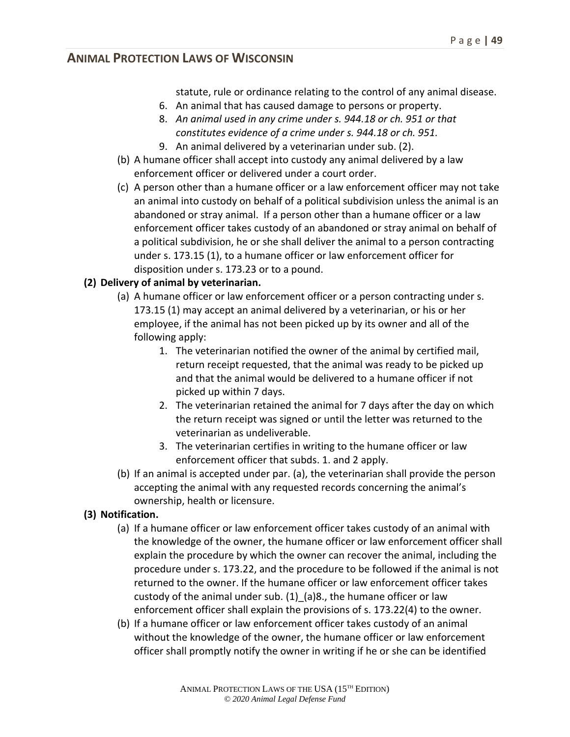statute, rule or ordinance relating to the control of any animal disease.

- 6. An animal that has caused damage to persons or property.
- 8. *An animal used in any crime under s. 944.18 or ch. 951 or that constitutes evidence of a crime under s. 944.18 or ch. 951.*
- 9. An animal delivered by a veterinarian under sub. (2).
- (b) A humane officer shall accept into custody any animal delivered by a law enforcement officer or delivered under a court order.
- (c) A person other than a humane officer or a law enforcement officer may not take an animal into custody on behalf of a political subdivision unless the animal is an abandoned or stray animal. If a person other than a humane officer or a law enforcement officer takes custody of an abandoned or stray animal on behalf of a political subdivision, he or she shall deliver the animal to a person contracting under s. 173.15 (1), to a humane officer or law enforcement officer for disposition under s. 173.23 or to a pound.

## **(2) Delivery of animal by veterinarian.**

- (a) A humane officer or law enforcement officer or a person contracting under s. 173.15 (1) may accept an animal delivered by a veterinarian, or his or her employee, if the animal has not been picked up by its owner and all of the following apply:
	- 1. The veterinarian notified the owner of the animal by certified mail, return receipt requested, that the animal was ready to be picked up and that the animal would be delivered to a humane officer if not picked up within 7 days.
	- 2. The veterinarian retained the animal for 7 days after the day on which the return receipt was signed or until the letter was returned to the veterinarian as undeliverable.
	- 3. The veterinarian certifies in writing to the humane officer or law enforcement officer that subds. 1. and 2 apply.
- (b) If an animal is accepted under par. (a), the veterinarian shall provide the person accepting the animal with any requested records concerning the animal's ownership, health or licensure.

## **(3) Notification.**

- (a) If a humane officer or law enforcement officer takes custody of an animal with the knowledge of the owner, the humane officer or law enforcement officer shall explain the procedure by which the owner can recover the animal, including the procedure under s. 173.22, and the procedure to be followed if the animal is not returned to the owner. If the humane officer or law enforcement officer takes custody of the animal under sub.  $(1)$   $(a)8$ ., the humane officer or law enforcement officer shall explain the provisions of s. 173.22(4) to the owner.
- (b) If a humane officer or law enforcement officer takes custody of an animal without the knowledge of the owner, the humane officer or law enforcement officer shall promptly notify the owner in writing if he or she can be identified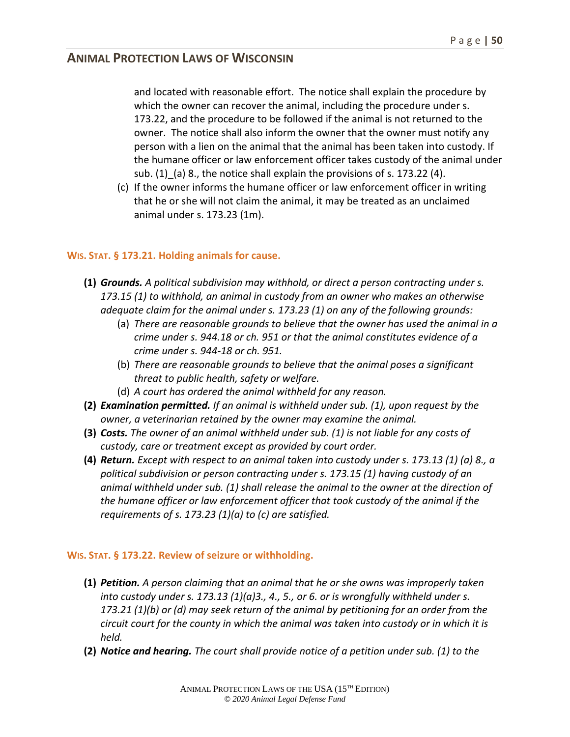and located with reasonable effort. The notice shall explain the procedure by which the owner can recover the animal, including the procedure under s. 173.22, and the procedure to be followed if the animal is not returned to the owner. The notice shall also inform the owner that the owner must notify any person with a lien on the animal that the animal has been taken into custody. If the humane officer or law enforcement officer takes custody of the animal under sub. (1) (a) 8., the notice shall explain the provisions of s. 173.22 (4).

(c) If the owner informs the humane officer or law enforcement officer in writing that he or she will not claim the animal, it may be treated as an unclaimed animal under s. 173.23 (1m).

#### **WIS. STAT. § 173.21. Holding animals for cause.**

- **(1)** *Grounds. A political subdivision may withhold, or direct a person contracting under s. 173.15 (1) to withhold, an animal in custody from an owner who makes an otherwise adequate claim for the animal under s. 173.23 (1) on any of the following grounds:*
	- (a) *There are reasonable grounds to believe that the owner has used the animal in a crime under s. 944.18 or ch. 951 or that the animal constitutes evidence of a crime under s. 944-18 or ch. 951.*
	- (b) *There are reasonable grounds to believe that the animal poses a significant threat to public health, safety or welfare.*
	- (d) *A court has ordered the animal withheld for any reason.*
- **(2)** *Examination permitted. If an animal is withheld under sub. (1), upon request by the owner, a veterinarian retained by the owner may examine the animal.*
- **(3)** *Costs. The owner of an animal withheld under sub. (1) is not liable for any costs of custody, care or treatment except as provided by court order.*
- **(4)** *Return. Except with respect to an animal taken into custody under s. 173.13 (1) (a) 8., a political subdivision or person contracting under s. 173.15 (1) having custody of an animal withheld under sub. (1) shall release the animal to the owner at the direction of the humane officer or law enforcement officer that took custody of the animal if the requirements of s. 173.23 (1)(a) to (c) are satisfied.*

#### **WIS. STAT. § 173.22. Review of seizure or withholding.**

- **(1)** *Petition. A person claiming that an animal that he or she owns was improperly taken into custody under s. 173.13 (1)(a)3., 4., 5., or 6. or is wrongfully withheld under s. 173.21 (1)(b) or (d) may seek return of the animal by petitioning for an order from the circuit court for the county in which the animal was taken into custody or in which it is held.*
- **(2)** *Notice and hearing. The court shall provide notice of a petition under sub. (1) to the*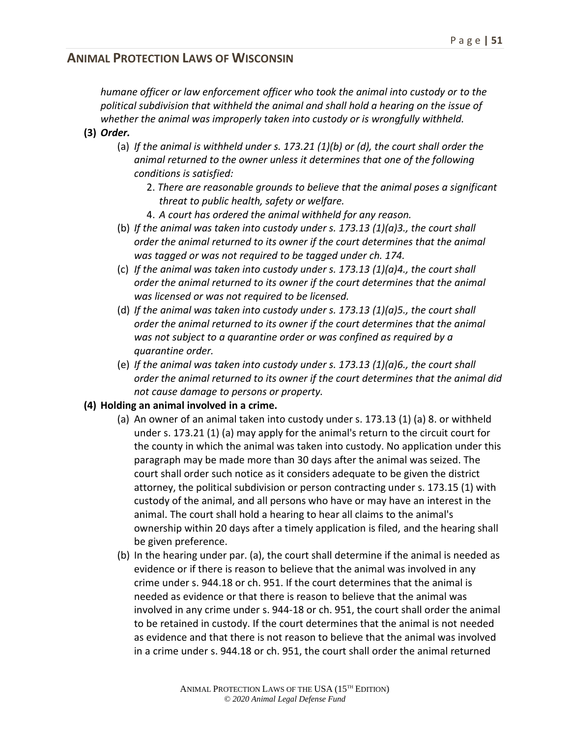*humane officer or law enforcement officer who took the animal into custody or to the political subdivision that withheld the animal and shall hold a hearing on the issue of whether the animal was improperly taken into custody or is wrongfully withheld.*

- **(3)** *Order.* 
	- (a) *If the animal is withheld under s. 173.21 (1)(b) or (d), the court shall order the animal returned to the owner unless it determines that one of the following conditions is satisfied:*
		- 2. *There are reasonable grounds to believe that the animal poses a significant threat to public health, safety or welfare.*
		- 4. *A court has ordered the animal withheld for any reason.*
	- (b) *If the animal was taken into custody under s. 173.13 (1)(a)3., the court shall order the animal returned to its owner if the court determines that the animal was tagged or was not required to be tagged under ch. 174.*
	- (c) *If the animal was taken into custody under s. 173.13 (1)(a)4., the court shall order the animal returned to its owner if the court determines that the animal was licensed or was not required to be licensed.*
	- (d) *If the animal was taken into custody under s. 173.13 (1)(a)5., the court shall order the animal returned to its owner if the court determines that the animal was not subject to a quarantine order or was confined as required by a quarantine order.*
	- (e) *If the animal was taken into custody under s. 173.13 (1)(a)6., the court shall order the animal returned to its owner if the court determines that the animal did not cause damage to persons or property.*

## **(4) Holding an animal involved in a crime.**

- (a) An owner of an animal taken into custody under s. 173.13 (1) (a) 8. or withheld under s. 173.21 (1) (a) may apply for the animal's return to the circuit court for the county in which the animal was taken into custody. No application under this paragraph may be made more than 30 days after the animal was seized. The court shall order such notice as it considers adequate to be given the district attorney, the political subdivision or person contracting under s. 173.15 (1) with custody of the animal, and all persons who have or may have an interest in the animal. The court shall hold a hearing to hear all claims to the animal's ownership within 20 days after a timely application is filed, and the hearing shall be given preference.
- (b) In the hearing under par. (a), the court shall determine if the animal is needed as evidence or if there is reason to believe that the animal was involved in any crime under s. 944.18 or ch. 951. If the court determines that the animal is needed as evidence or that there is reason to believe that the animal was involved in any crime under s. 944-18 or ch. 951, the court shall order the animal to be retained in custody. If the court determines that the animal is not needed as evidence and that there is not reason to believe that the animal was involved in a crime under s. 944.18 or ch. 951, the court shall order the animal returned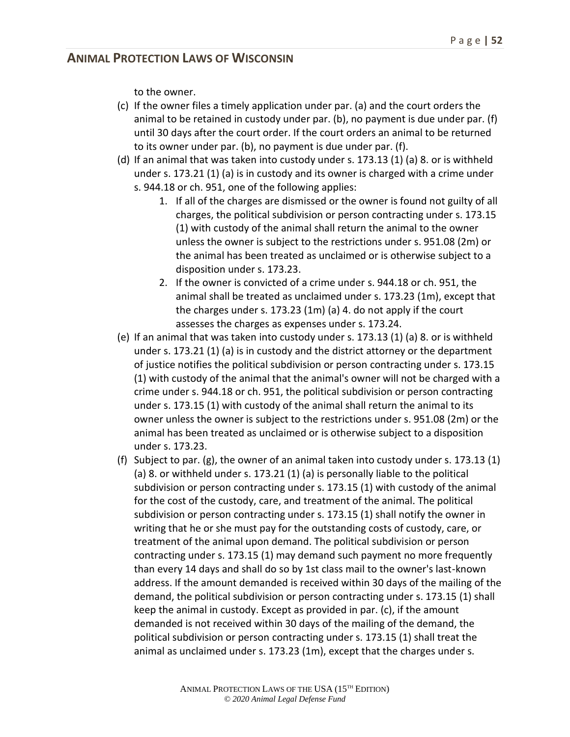to the owner.

- (c) If the owner files a timely application under par. (a) and the court orders the animal to be retained in custody under par. (b), no payment is due under par. (f) until 30 days after the court order. If the court orders an animal to be returned to its owner under par. (b), no payment is due under par. (f).
- (d) If an animal that was taken into custody under s. 173.13 (1) (a) 8. or is withheld under s. 173.21 (1) (a) is in custody and its owner is charged with a crime under s. 944.18 or ch. 951, one of the following applies:
	- 1. If all of the charges are dismissed or the owner is found not guilty of all charges, the political subdivision or person contracting under s. 173.15 (1) with custody of the animal shall return the animal to the owner unless the owner is subject to the restrictions under s. 951.08 (2m) or the animal has been treated as unclaimed or is otherwise subject to a disposition under s. 173.23.
	- 2. If the owner is convicted of a crime under s. 944.18 or ch. 951, the animal shall be treated as unclaimed under s. 173.23 (1m), except that the charges under s. 173.23 (1m) (a) 4. do not apply if the court assesses the charges as expenses under s. 173.24.
- (e) If an animal that was taken into custody under s. 173.13 (1) (a) 8. or is withheld under s. 173.21 (1) (a) is in custody and the district attorney or the department of justice notifies the political subdivision or person contracting under s. 173.15 (1) with custody of the animal that the animal's owner will not be charged with a crime under s. 944.18 or ch. 951, the political subdivision or person contracting under s. 173.15 (1) with custody of the animal shall return the animal to its owner unless the owner is subject to the restrictions under s. 951.08 (2m) or the animal has been treated as unclaimed or is otherwise subject to a disposition under s. 173.23.
- (f) Subject to par. (g), the owner of an animal taken into custody under s. 173.13 (1) (a) 8. or withheld under s. 173.21 (1) (a) is personally liable to the political subdivision or person contracting under s. 173.15 (1) with custody of the animal for the cost of the custody, care, and treatment of the animal. The political subdivision or person contracting under s. 173.15 (1) shall notify the owner in writing that he or she must pay for the outstanding costs of custody, care, or treatment of the animal upon demand. The political subdivision or person contracting under s. 173.15 (1) may demand such payment no more frequently than every 14 days and shall do so by 1st class mail to the owner's last-known address. If the amount demanded is received within 30 days of the mailing of the demand, the political subdivision or person contracting under s. 173.15 (1) shall keep the animal in custody. Except as provided in par. (c), if the amount demanded is not received within 30 days of the mailing of the demand, the political subdivision or person contracting under s. 173.15 (1) shall treat the animal as unclaimed under s. 173.23 (1m), except that the charges under s.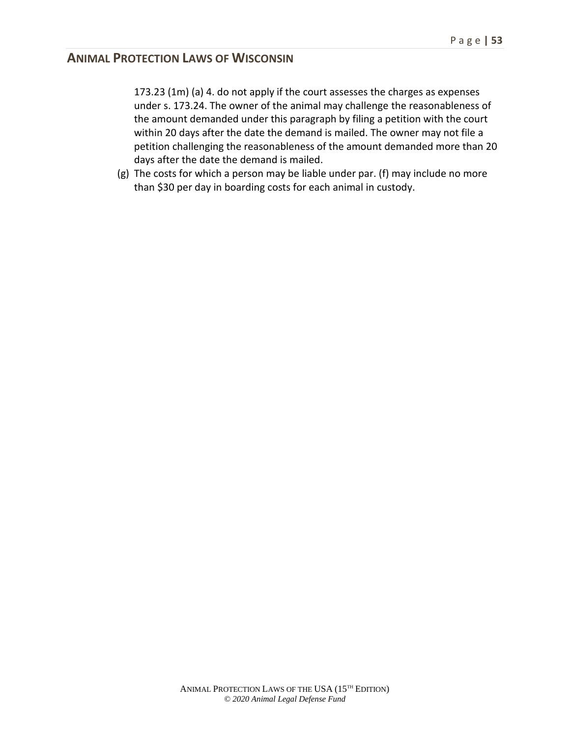173.23 (1m) (a) 4. do not apply if the court assesses the charges as expenses under s. 173.24. The owner of the animal may challenge the reasonableness of the amount demanded under this paragraph by filing a petition with the court within 20 days after the date the demand is mailed. The owner may not file a petition challenging the reasonableness of the amount demanded more than 20 days after the date the demand is mailed.

(g) The costs for which a person may be liable under par. (f) may include no more than \$30 per day in boarding costs for each animal in custody.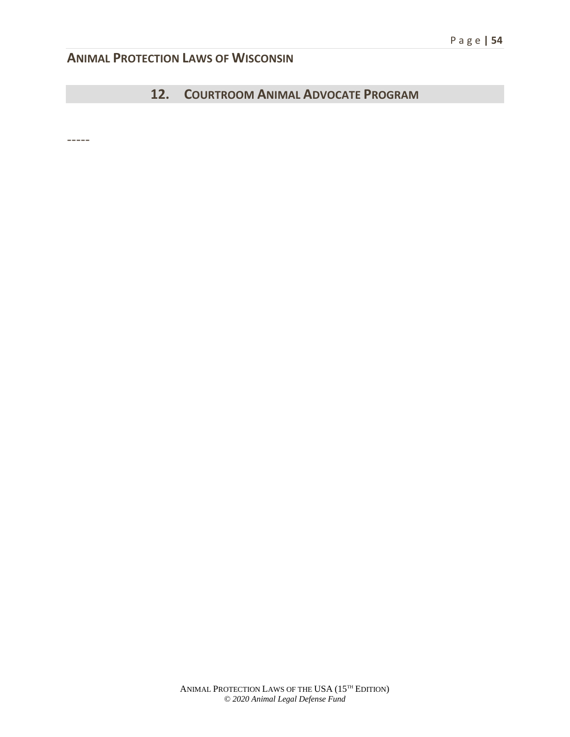## **12. COURTROOM ANIMAL ADVOCATE PROGRAM**

-----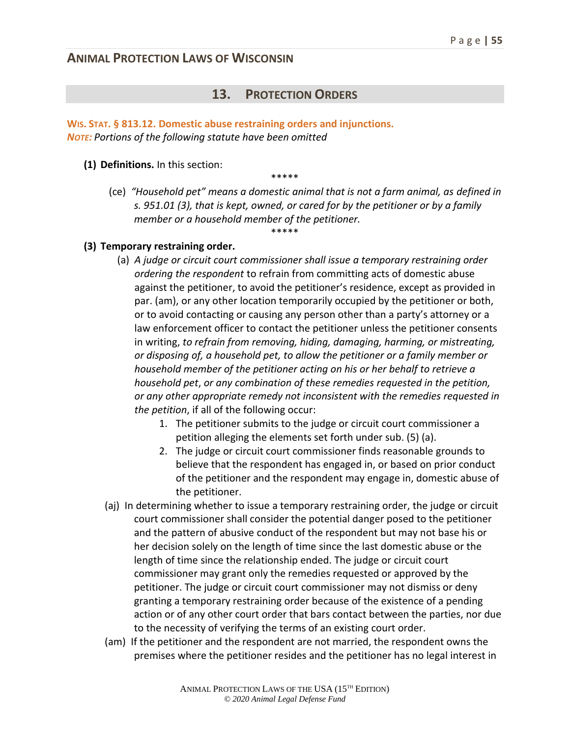#### **13. PROTECTION ORDERS**

**WIS. STAT. § 813.12. Domestic abuse restraining orders and injunctions.** *NOTE: Portions of the following statute have been omitted*

#### **(1) Definitions.** In this section:

\*\*\*\*\*

(ce) *"Household pet" means a domestic animal that is not a farm animal, as defined in s. 951.01 (3), that is kept, owned, or cared for by the petitioner or by a family member or a household member of the petitioner.*

\*\*\*\*\*

#### **(3) Temporary restraining order.**

- (a) *A judge or circuit court commissioner shall issue a temporary restraining order ordering the respondent* to refrain from committing acts of domestic abuse against the petitioner, to avoid the petitioner's residence, except as provided in par. (am), or any other location temporarily occupied by the petitioner or both, or to avoid contacting or causing any person other than a party's attorney or a law enforcement officer to contact the petitioner unless the petitioner consents in writing, *to refrain from removing, hiding, damaging, harming, or mistreating, or disposing of, a household pet, to allow the petitioner or a family member or household member of the petitioner acting on his or her behalf to retrieve a household pet*, *or any combination of these remedies requested in the petition, or any other appropriate remedy not inconsistent with the remedies requested in the petition*, if all of the following occur:
	- 1. The petitioner submits to the judge or circuit court commissioner a petition alleging the elements set forth under sub. (5) (a).
	- 2. The judge or circuit court commissioner finds reasonable grounds to believe that the respondent has engaged in, or based on prior conduct of the petitioner and the respondent may engage in, domestic abuse of the petitioner.
- (aj) In determining whether to issue a temporary restraining order, the judge or circuit court commissioner shall consider the potential danger posed to the petitioner and the pattern of abusive conduct of the respondent but may not base his or her decision solely on the length of time since the last domestic abuse or the length of time since the relationship ended. The judge or circuit court commissioner may grant only the remedies requested or approved by the petitioner. The judge or circuit court commissioner may not dismiss or deny granting a temporary restraining order because of the existence of a pending action or of any other court order that bars contact between the parties, nor due to the necessity of verifying the terms of an existing court order.
- (am) If the petitioner and the respondent are not married, the respondent owns the premises where the petitioner resides and the petitioner has no legal interest in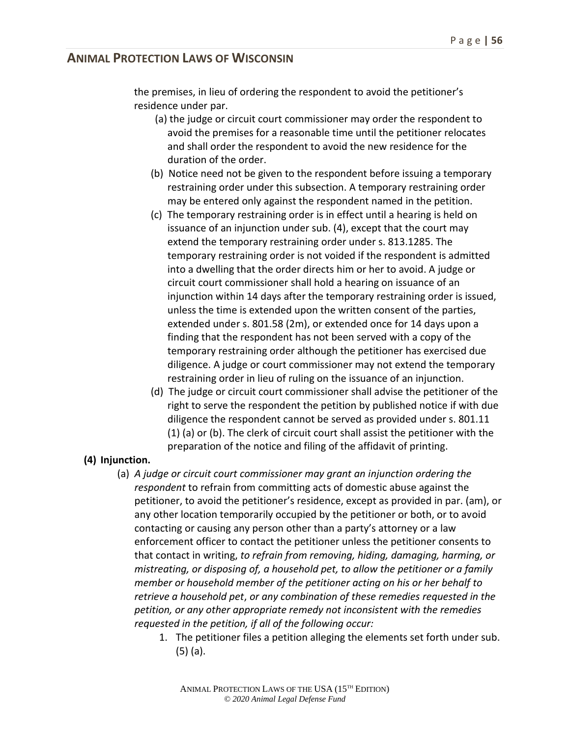the premises, in lieu of ordering the respondent to avoid the petitioner's residence under par.

- (a) the judge or circuit court commissioner may order the respondent to avoid the premises for a reasonable time until the petitioner relocates and shall order the respondent to avoid the new residence for the duration of the order.
- (b) Notice need not be given to the respondent before issuing a temporary restraining order under this subsection. A temporary restraining order may be entered only against the respondent named in the petition.
- (c) The temporary restraining order is in effect until a hearing is held on issuance of an injunction under sub. (4), except that the court may extend the temporary restraining order under s. 813.1285. The temporary restraining order is not voided if the respondent is admitted into a dwelling that the order directs him or her to avoid. A judge or circuit court commissioner shall hold a hearing on issuance of an injunction within 14 days after the temporary restraining order is issued, unless the time is extended upon the written consent of the parties, extended under s. 801.58 (2m), or extended once for 14 days upon a finding that the respondent has not been served with a copy of the temporary restraining order although the petitioner has exercised due diligence. A judge or court commissioner may not extend the temporary restraining order in lieu of ruling on the issuance of an injunction.
- (d) The judge or circuit court commissioner shall advise the petitioner of the right to serve the respondent the petition by published notice if with due diligence the respondent cannot be served as provided under s. 801.11 (1) (a) or (b). The clerk of circuit court shall assist the petitioner with the preparation of the notice and filing of the affidavit of printing.

#### **(4) Injunction.**

- (a) *A judge or circuit court commissioner may grant an injunction ordering the respondent* to refrain from committing acts of domestic abuse against the petitioner, to avoid the petitioner's residence, except as provided in par. (am), or any other location temporarily occupied by the petitioner or both, or to avoid contacting or causing any person other than a party's attorney or a law enforcement officer to contact the petitioner unless the petitioner consents to that contact in writing, *to refrain from removing, hiding, damaging, harming, or mistreating, or disposing of, a household pet, to allow the petitioner or a family member or household member of the petitioner acting on his or her behalf to retrieve a household pet*, *or any combination of these remedies requested in the petition, or any other appropriate remedy not inconsistent with the remedies requested in the petition, if all of the following occur:*
	- 1. The petitioner files a petition alleging the elements set forth under sub. (5) (a).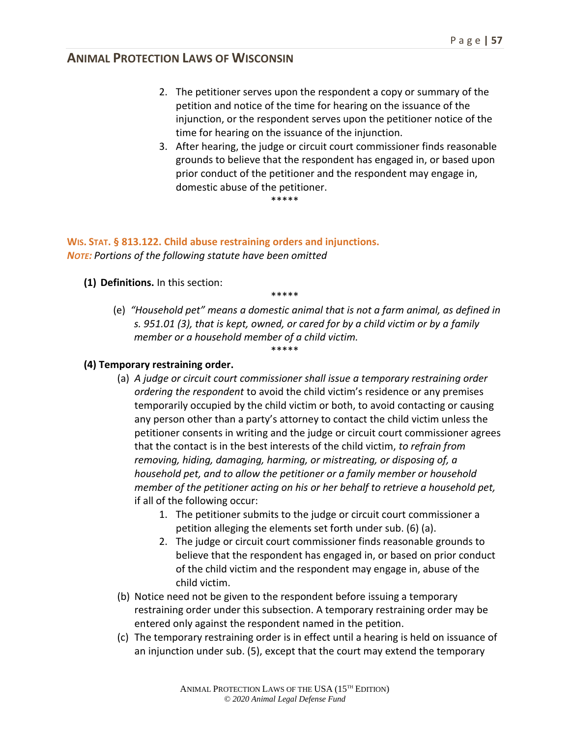- 2. The petitioner serves upon the respondent a copy or summary of the petition and notice of the time for hearing on the issuance of the injunction, or the respondent serves upon the petitioner notice of the time for hearing on the issuance of the injunction.
- 3. After hearing, the judge or circuit court commissioner finds reasonable grounds to believe that the respondent has engaged in, or based upon prior conduct of the petitioner and the respondent may engage in, domestic abuse of the petitioner.

\*\*\*\*\*

**WIS. STAT. § 813.122. Child abuse restraining orders and injunctions.**

*NOTE: Portions of the following statute have been omitted*

**(1) Definitions.** In this section:

\*\*\*\*\*

(e) *"Household pet" means a domestic animal that is not a farm animal, as defined in s. 951.01 (3), that is kept, owned, or cared for by a child victim or by a family member or a household member of a child victim.* \*\*\*\*\*

## **(4) Temporary restraining order.**

- (a) *A judge or circuit court commissioner shall issue a temporary restraining order ordering the respondent* to avoid the child victim's residence or any premises temporarily occupied by the child victim or both, to avoid contacting or causing any person other than a party's attorney to contact the child victim unless the petitioner consents in writing and the judge or circuit court commissioner agrees that the contact is in the best interests of the child victim, *to refrain from removing, hiding, damaging, harming, or mistreating, or disposing of, a household pet, and to allow the petitioner or a family member or household member of the petitioner acting on his or her behalf to retrieve a household pet,* if all of the following occur:
	- 1. The petitioner submits to the judge or circuit court commissioner a petition alleging the elements set forth under sub. (6) (a).
	- 2. The judge or circuit court commissioner finds reasonable grounds to believe that the respondent has engaged in, or based on prior conduct of the child victim and the respondent may engage in, abuse of the child victim.
- (b) Notice need not be given to the respondent before issuing a temporary restraining order under this subsection. A temporary restraining order may be entered only against the respondent named in the petition.
- (c) The temporary restraining order is in effect until a hearing is held on issuance of an injunction under sub. (5), except that the court may extend the temporary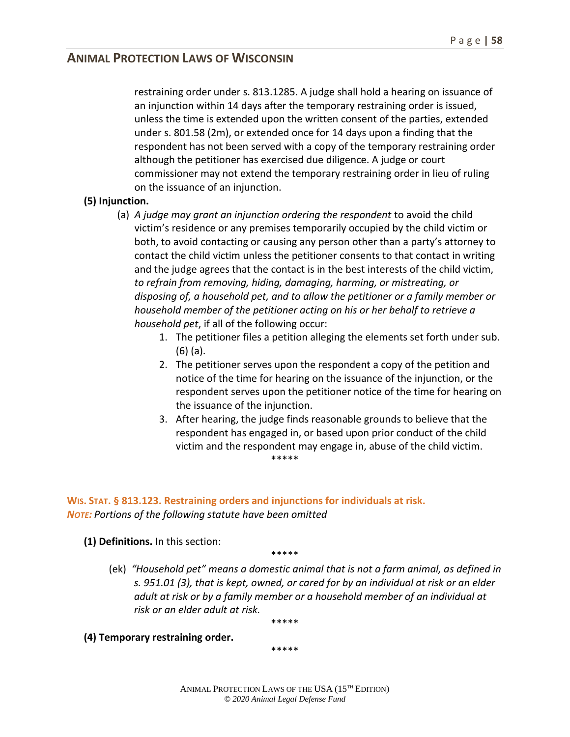restraining order under s. 813.1285. A judge shall hold a hearing on issuance of an injunction within 14 days after the temporary restraining order is issued, unless the time is extended upon the written consent of the parties, extended under s. 801.58 (2m), or extended once for 14 days upon a finding that the respondent has not been served with a copy of the temporary restraining order although the petitioner has exercised due diligence. A judge or court commissioner may not extend the temporary restraining order in lieu of ruling on the issuance of an injunction.

#### **(5) Injunction.**

- (a) *A judge may grant an injunction ordering the respondent* to avoid the child victim's residence or any premises temporarily occupied by the child victim or both, to avoid contacting or causing any person other than a party's attorney to contact the child victim unless the petitioner consents to that contact in writing and the judge agrees that the contact is in the best interests of the child victim, *to refrain from removing, hiding, damaging, harming, or mistreating, or disposing of, a household pet, and to allow the petitioner or a family member or household member of the petitioner acting on his or her behalf to retrieve a household pet*, if all of the following occur:
	- 1. The petitioner files a petition alleging the elements set forth under sub. (6) (a).
	- 2. The petitioner serves upon the respondent a copy of the petition and notice of the time for hearing on the issuance of the injunction, or the respondent serves upon the petitioner notice of the time for hearing on the issuance of the injunction.
	- 3. After hearing, the judge finds reasonable grounds to believe that the respondent has engaged in, or based upon prior conduct of the child victim and the respondent may engage in, abuse of the child victim. \*\*\*\*\*

**WIS. STAT. § 813.123. Restraining orders and injunctions for individuals at risk.** *NOTE: Portions of the following statute have been omitted*

**(1) Definitions.** In this section:

#### \*\*\*\*\*

(ek) *"Household pet" means a domestic animal that is not a farm animal, as defined in s. 951.01 (3), that is kept, owned, or cared for by an individual at risk or an elder adult at risk or by a family member or a household member of an individual at risk or an elder adult at risk.*

\*\*\*\*\*

**(4) Temporary restraining order.** 

\*\*\*\*\*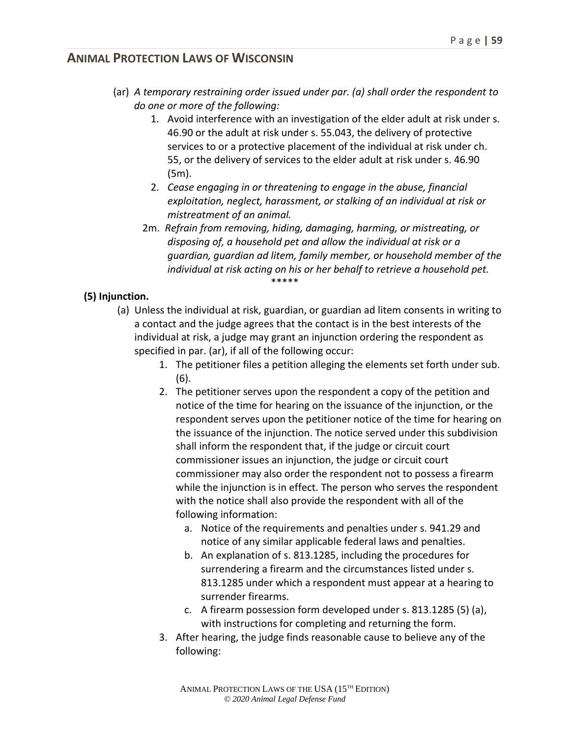- (ar) *A temporary restraining order issued under par. (a) shall order the respondent to do one or more of the following:*
	- 1. Avoid interference with an investigation of the elder adult at risk under s. 46.90 or the adult at risk under s. 55.043, the delivery of protective services to or a protective placement of the individual at risk under ch. 55, or the delivery of services to the elder adult at risk under s. 46.90 (5m).
	- 2. *Cease engaging in or threatening to engage in the abuse, financial exploitation, neglect, harassment, or stalking of an individual at risk or mistreatment of an animal.*
	- 2m. *Refrain from removing, hiding, damaging, harming, or mistreating, or disposing of, a household pet and allow the individual at risk or a guardian, guardian ad litem, family member, or household member of the individual at risk acting on his or her behalf to retrieve a household pet.* \*\*\*\*\*

## **(5) Injunction.**

- (a) Unless the individual at risk, guardian, or guardian ad litem consents in writing to a contact and the judge agrees that the contact is in the best interests of the individual at risk, a judge may grant an injunction ordering the respondent as specified in par. (ar), if all of the following occur:
	- 1. The petitioner files a petition alleging the elements set forth under sub. (6).
	- 2. The petitioner serves upon the respondent a copy of the petition and notice of the time for hearing on the issuance of the injunction, or the respondent serves upon the petitioner notice of the time for hearing on the issuance of the injunction. The notice served under this subdivision shall inform the respondent that, if the judge or circuit court commissioner issues an injunction, the judge or circuit court commissioner may also order the respondent not to possess a firearm while the injunction is in effect. The person who serves the respondent with the notice shall also provide the respondent with all of the following information:
		- a. Notice of the requirements and penalties under s. 941.29 and notice of any similar applicable federal laws and penalties.
		- b. An explanation of s. 813.1285, including the procedures for surrendering a firearm and the circumstances listed under s. 813.1285 under which a respondent must appear at a hearing to surrender firearms.
		- c. A firearm possession form developed under s. 813.1285 (5) (a), with instructions for completing and returning the form.
	- 3. After hearing, the judge finds reasonable cause to believe any of the following: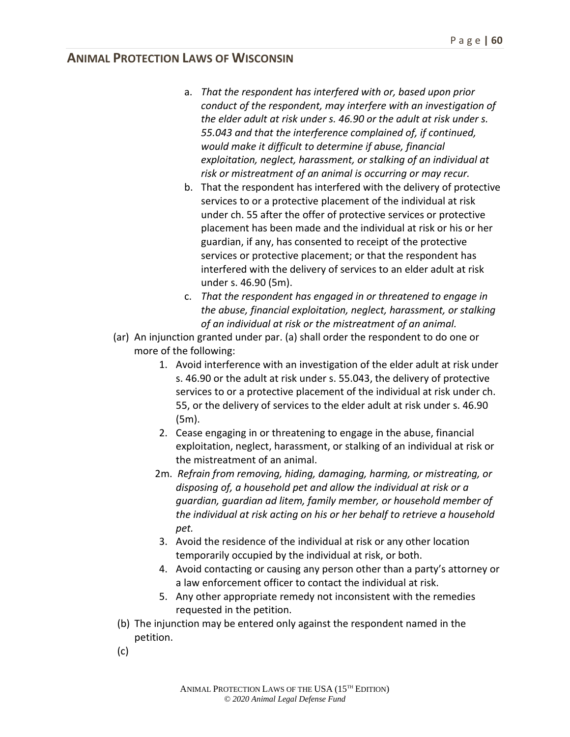- a. *That the respondent has interfered with or, based upon prior conduct of the respondent, may interfere with an investigation of the elder adult at risk under s. 46.90 or the adult at risk under s. 55.043 and that the interference complained of, if continued, would make it difficult to determine if abuse, financial exploitation, neglect, harassment, or stalking of an individual at risk or mistreatment of an animal is occurring or may recur.*
- b. That the respondent has interfered with the delivery of protective services to or a protective placement of the individual at risk under ch. 55 after the offer of protective services or protective placement has been made and the individual at risk or his or her guardian, if any, has consented to receipt of the protective services or protective placement; or that the respondent has interfered with the delivery of services to an elder adult at risk under s. 46.90 (5m).
- c. *That the respondent has engaged in or threatened to engage in the abuse, financial exploitation, neglect, harassment, or stalking of an individual at risk or the mistreatment of an animal.*
- (ar) An injunction granted under par. (a) shall order the respondent to do one or more of the following:
	- 1. Avoid interference with an investigation of the elder adult at risk under s. 46.90 or the adult at risk under s. 55.043, the delivery of protective services to or a protective placement of the individual at risk under ch. 55, or the delivery of services to the elder adult at risk under s. 46.90 (5m).
	- 2. Cease engaging in or threatening to engage in the abuse, financial exploitation, neglect, harassment, or stalking of an individual at risk or the mistreatment of an animal.
	- 2m. *Refrain from removing, hiding, damaging, harming, or mistreating, or disposing of, a household pet and allow the individual at risk or a guardian, guardian ad litem, family member, or household member of the individual at risk acting on his or her behalf to retrieve a household pet.*
	- 3. Avoid the residence of the individual at risk or any other location temporarily occupied by the individual at risk, or both.
	- 4. Avoid contacting or causing any person other than a party's attorney or a law enforcement officer to contact the individual at risk.
	- 5. Any other appropriate remedy not inconsistent with the remedies requested in the petition.
- (b) The injunction may be entered only against the respondent named in the petition.
- (c)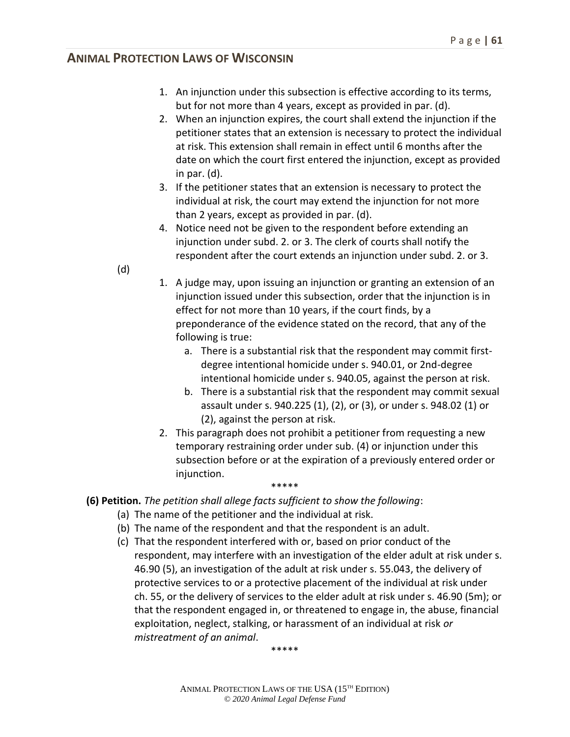(d)

- 1. An injunction under this subsection is effective according to its terms, but for not more than 4 years, except as provided in par. (d).
- 2. When an injunction expires, the court shall extend the injunction if the petitioner states that an extension is necessary to protect the individual at risk. This extension shall remain in effect until 6 months after the date on which the court first entered the injunction, except as provided in par. (d).
- 3. If the petitioner states that an extension is necessary to protect the individual at risk, the court may extend the injunction for not more than 2 years, except as provided in par. (d).
- 4. Notice need not be given to the respondent before extending an injunction under subd. 2. or 3. The clerk of courts shall notify the respondent after the court extends an injunction under subd. 2. or 3.
- 1. A judge may, upon issuing an injunction or granting an extension of an injunction issued under this subsection, order that the injunction is in effect for not more than 10 years, if the court finds, by a preponderance of the evidence stated on the record, that any of the following is true:
	- a. There is a substantial risk that the respondent may commit firstdegree intentional homicide under s. 940.01, or 2nd-degree intentional homicide under s. 940.05, against the person at risk.
	- b. There is a substantial risk that the respondent may commit sexual assault under s. 940.225 (1), (2), or (3), or under s. 948.02 (1) or (2), against the person at risk.
	- 2. This paragraph does not prohibit a petitioner from requesting a new temporary restraining order under sub. (4) or injunction under this subsection before or at the expiration of a previously entered order or injunction. \*\*\*\*\*

**(6) Petition.** *The petition shall allege facts sufficient to show the following*:

- (a) The name of the petitioner and the individual at risk.
- (b) The name of the respondent and that the respondent is an adult.
- (c) That the respondent interfered with or, based on prior conduct of the respondent, may interfere with an investigation of the elder adult at risk under s. 46.90 (5), an investigation of the adult at risk under s. 55.043, the delivery of protective services to or a protective placement of the individual at risk under ch. 55, or the delivery of services to the elder adult at risk under s. 46.90 (5m); or that the respondent engaged in, or threatened to engage in, the abuse, financial exploitation, neglect, stalking, or harassment of an individual at risk *or mistreatment of an animal*.

\*\*\*\*\*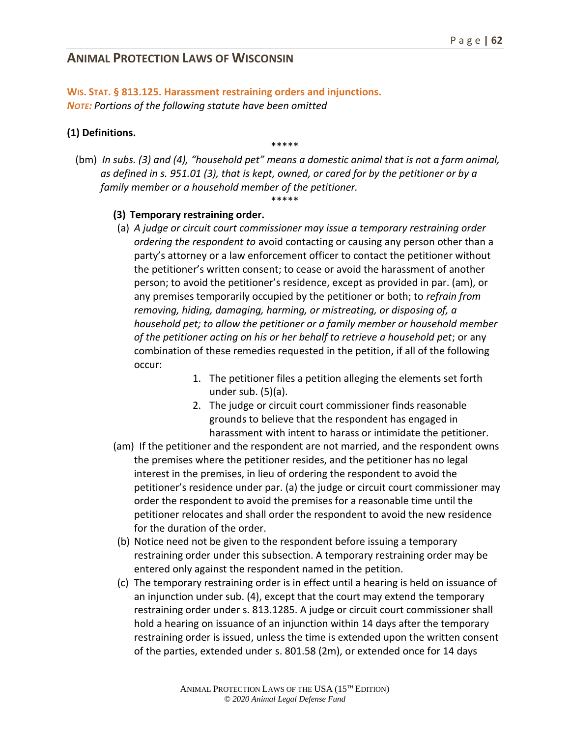# **WIS. STAT. § 813.125. Harassment restraining orders and injunctions.**

*NOTE: Portions of the following statute have been omitted*

## **(1) Definitions.**

\*\*\*\*\*

(bm) *In subs. (3) and (4), "household pet" means a domestic animal that is not a farm animal, as defined in s. 951.01 (3), that is kept, owned, or cared for by the petitioner or by a family member or a household member of the petitioner.*

\*\*\*\*\*

## **(3) Temporary restraining order.**

- (a) *A judge or circuit court commissioner may issue a temporary restraining order ordering the respondent to* avoid contacting or causing any person other than a party's attorney or a law enforcement officer to contact the petitioner without the petitioner's written consent; to cease or avoid the harassment of another person; to avoid the petitioner's residence, except as provided in par. (am), or any premises temporarily occupied by the petitioner or both; to *refrain from removing, hiding, damaging, harming, or mistreating, or disposing of, a household pet; to allow the petitioner or a family member or household member of the petitioner acting on his or her behalf to retrieve a household pet*; or any combination of these remedies requested in the petition, if all of the following occur:
	- 1. The petitioner files a petition alleging the elements set forth under sub. (5)(a).
	- 2. The judge or circuit court commissioner finds reasonable grounds to believe that the respondent has engaged in harassment with intent to harass or intimidate the petitioner.
- (am) If the petitioner and the respondent are not married, and the respondent owns the premises where the petitioner resides, and the petitioner has no legal interest in the premises, in lieu of ordering the respondent to avoid the petitioner's residence under par. (a) the judge or circuit court commissioner may order the respondent to avoid the premises for a reasonable time until the petitioner relocates and shall order the respondent to avoid the new residence for the duration of the order.
- (b) Notice need not be given to the respondent before issuing a temporary restraining order under this subsection. A temporary restraining order may be entered only against the respondent named in the petition.
- (c) The temporary restraining order is in effect until a hearing is held on issuance of an injunction under sub. (4), except that the court may extend the temporary restraining order under s. 813.1285. A judge or circuit court commissioner shall hold a hearing on issuance of an injunction within 14 days after the temporary restraining order is issued, unless the time is extended upon the written consent of the parties, extended under s. 801.58 (2m), or extended once for 14 days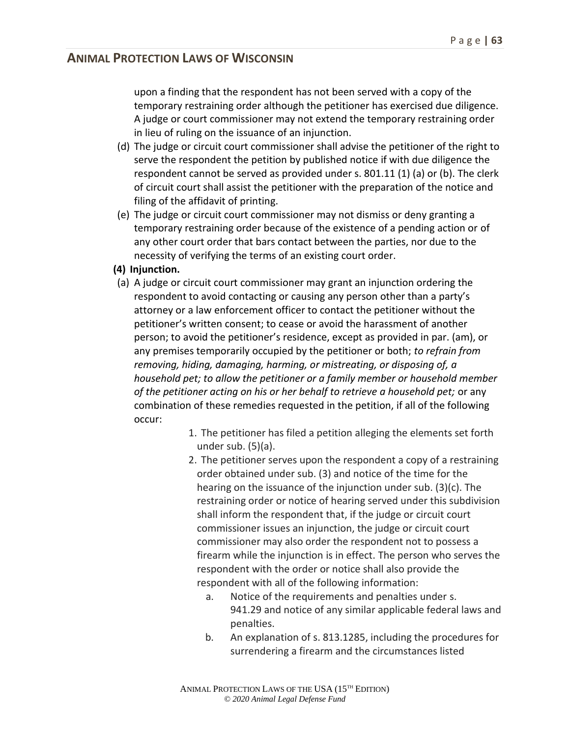upon a finding that the respondent has not been served with a copy of the temporary restraining order although the petitioner has exercised due diligence. A judge or court commissioner may not extend the temporary restraining order in lieu of ruling on the issuance of an injunction.

- (d) The judge or circuit court commissioner shall advise the petitioner of the right to serve the respondent the petition by published notice if with due diligence the respondent cannot be served as provided under s. 801.11 (1) (a) or (b). The clerk of circuit court shall assist the petitioner with the preparation of the notice and filing of the affidavit of printing.
- (e) The judge or circuit court commissioner may not dismiss or deny granting a temporary restraining order because of the existence of a pending action or of any other court order that bars contact between the parties, nor due to the necessity of verifying the terms of an existing court order.
- **(4) Injunction.**
- (a) A judge or circuit court commissioner may grant an injunction ordering the respondent to avoid contacting or causing any person other than a party's attorney or a law enforcement officer to contact the petitioner without the petitioner's written consent; to cease or avoid the harassment of another person; to avoid the petitioner's residence, except as provided in par. (am), or any premises temporarily occupied by the petitioner or both; *to refrain from removing, hiding, damaging, harming, or mistreating, or disposing of, a household pet; to allow the petitioner or a family member or household member of the petitioner acting on his or her behalf to retrieve a household pet;* or any combination of these remedies requested in the petition, if all of the following occur:
	- 1. The petitioner has filed a petition alleging the elements set forth under sub. (5)(a).
	- 2. The petitioner serves upon the respondent a copy of a restraining order obtained under sub. (3) and notice of the time for the hearing on the issuance of the injunction under sub. (3)(c). The restraining order or notice of hearing served under this subdivision shall inform the respondent that, if the judge or circuit court commissioner issues an injunction, the judge or circuit court commissioner may also order the respondent not to possess a firearm while the injunction is in effect. The person who serves the respondent with the order or notice shall also provide the respondent with all of the following information:
		- a. Notice of the requirements and penalties under s. 941.29 and notice of any similar applicable federal laws and penalties.
		- b. An explanation of s. 813.1285, including the procedures for surrendering a firearm and the circumstances listed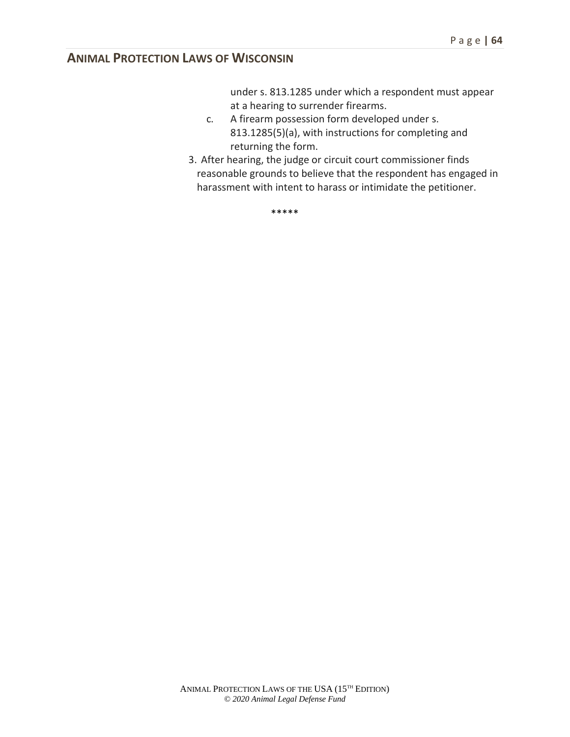under s. 813.1285 under which a respondent must appear at a hearing to surrender firearms.

- c. A firearm possession form developed under s. 813.1285(5)(a), with instructions for completing and returning the form.
- 3. After hearing, the judge or circuit court commissioner finds reasonable grounds to believe that the respondent has engaged in harassment with intent to harass or intimidate the petitioner.

\*\*\*\*\*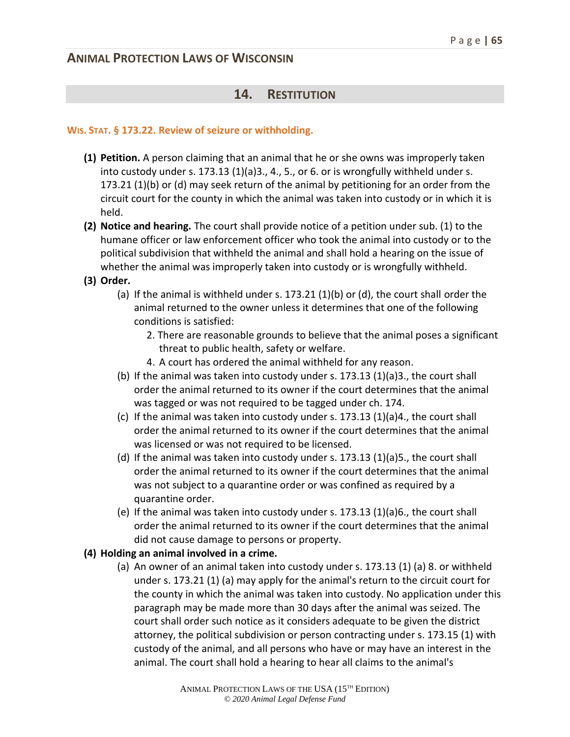## **14. RESTITUTION**

#### **WIS. STAT. § 173.22. Review of seizure or withholding.**

- **(1) Petition.** A person claiming that an animal that he or she owns was improperly taken into custody under s. 173.13 (1)(a)3., 4., 5., or 6. or is wrongfully withheld under s. 173.21 (1)(b) or (d) may seek return of the animal by petitioning for an order from the circuit court for the county in which the animal was taken into custody or in which it is held.
- **(2) Notice and hearing.** The court shall provide notice of a petition under sub. (1) to the humane officer or law enforcement officer who took the animal into custody or to the political subdivision that withheld the animal and shall hold a hearing on the issue of whether the animal was improperly taken into custody or is wrongfully withheld.
- **(3) Order.** 
	- (a) If the animal is withheld under s. 173.21  $(1)(b)$  or (d), the court shall order the animal returned to the owner unless it determines that one of the following conditions is satisfied:
		- 2. There are reasonable grounds to believe that the animal poses a significant threat to public health, safety or welfare.
		- 4. A court has ordered the animal withheld for any reason.
	- (b) If the animal was taken into custody under s. 173.13 (1)(a)3., the court shall order the animal returned to its owner if the court determines that the animal was tagged or was not required to be tagged under ch. 174.
	- (c) If the animal was taken into custody under s. 173.13 (1)(a)4., the court shall order the animal returned to its owner if the court determines that the animal was licensed or was not required to be licensed.
	- (d) If the animal was taken into custody under s.  $173.13$  (1)(a)5., the court shall order the animal returned to its owner if the court determines that the animal was not subject to a quarantine order or was confined as required by a quarantine order.
	- (e) If the animal was taken into custody under s.  $173.13$  (1)(a)6., the court shall order the animal returned to its owner if the court determines that the animal did not cause damage to persons or property.

#### **(4) Holding an animal involved in a crime.**

(a) An owner of an animal taken into custody under s. 173.13 (1) (a) 8. or withheld under s. 173.21 (1) (a) may apply for the animal's return to the circuit court for the county in which the animal was taken into custody. No application under this paragraph may be made more than 30 days after the animal was seized. The court shall order such notice as it considers adequate to be given the district attorney, the political subdivision or person contracting under s. 173.15 (1) with custody of the animal, and all persons who have or may have an interest in the animal. The court shall hold a hearing to hear all claims to the animal's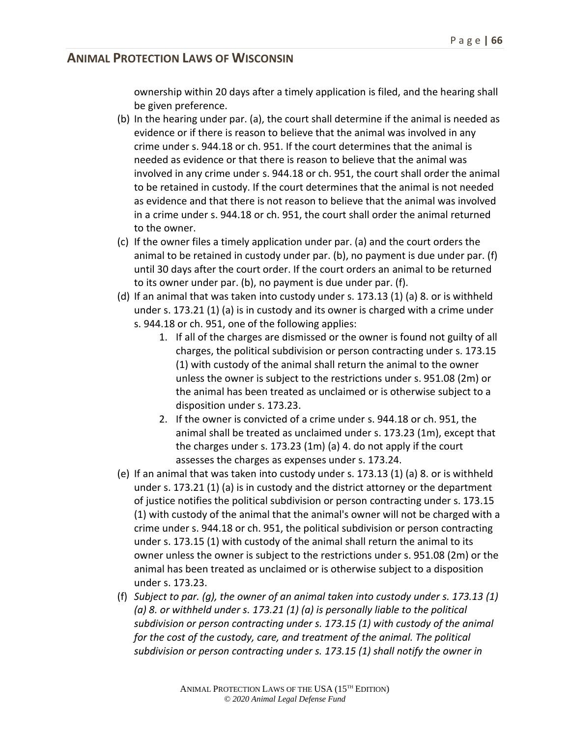ownership within 20 days after a timely application is filed, and the hearing shall be given preference.

- (b) In the hearing under par. (a), the court shall determine if the animal is needed as evidence or if there is reason to believe that the animal was involved in any crime under s. 944.18 or ch. 951. If the court determines that the animal is needed as evidence or that there is reason to believe that the animal was involved in any crime under s. 944.18 or ch. 951, the court shall order the animal to be retained in custody. If the court determines that the animal is not needed as evidence and that there is not reason to believe that the animal was involved in a crime under s. 944.18 or ch. 951, the court shall order the animal returned to the owner.
- (c) If the owner files a timely application under par. (a) and the court orders the animal to be retained in custody under par. (b), no payment is due under par. (f) until 30 days after the court order. If the court orders an animal to be returned to its owner under par. (b), no payment is due under par. (f).
- (d) If an animal that was taken into custody under s. 173.13 (1) (a) 8. or is withheld under s. 173.21 (1) (a) is in custody and its owner is charged with a crime under s. 944.18 or ch. 951, one of the following applies:
	- 1. If all of the charges are dismissed or the owner is found not guilty of all charges, the political subdivision or person contracting under s. 173.15 (1) with custody of the animal shall return the animal to the owner unless the owner is subject to the restrictions under s. 951.08 (2m) or the animal has been treated as unclaimed or is otherwise subject to a disposition under s. 173.23.
	- 2. If the owner is convicted of a crime under s. 944.18 or ch. 951, the animal shall be treated as unclaimed under s. 173.23 (1m), except that the charges under s. 173.23 (1m) (a) 4. do not apply if the court assesses the charges as expenses under s. 173.24.
- (e) If an animal that was taken into custody under s. 173.13 (1) (a) 8. or is withheld under s. 173.21 (1) (a) is in custody and the district attorney or the department of justice notifies the political subdivision or person contracting under s. 173.15 (1) with custody of the animal that the animal's owner will not be charged with a crime under s. 944.18 or ch. 951, the political subdivision or person contracting under s. 173.15 (1) with custody of the animal shall return the animal to its owner unless the owner is subject to the restrictions under s. 951.08 (2m) or the animal has been treated as unclaimed or is otherwise subject to a disposition under s. 173.23.
- (f) *Subject to par. (g), the owner of an animal taken into custody under s. 173.13 (1) (a) 8. or withheld under s. 173.21 (1) (a) is personally liable to the political subdivision or person contracting under s. 173.15 (1) with custody of the animal for the cost of the custody, care, and treatment of the animal. The political subdivision or person contracting under s. 173.15 (1) shall notify the owner in*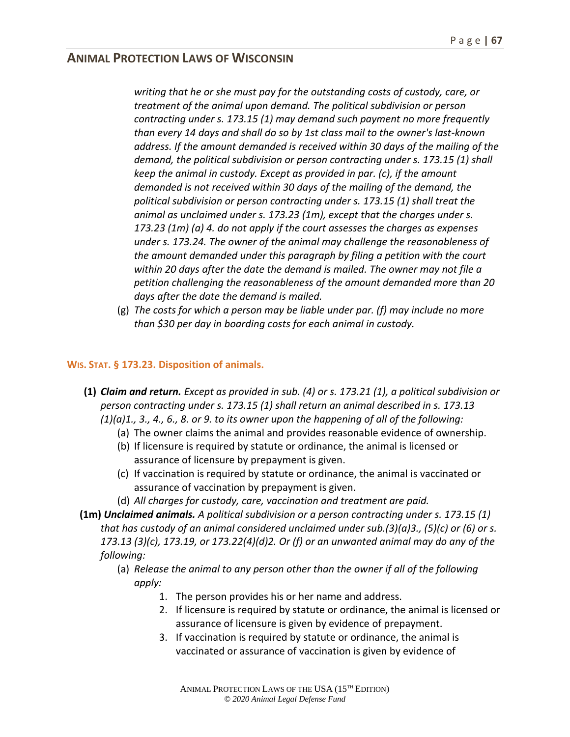*writing that he or she must pay for the outstanding costs of custody, care, or treatment of the animal upon demand. The political subdivision or person contracting under s. 173.15 (1) may demand such payment no more frequently than every 14 days and shall do so by 1st class mail to the owner's last-known address. If the amount demanded is received within 30 days of the mailing of the demand, the political subdivision or person contracting under s. 173.15 (1) shall keep the animal in custody. Except as provided in par. (c), if the amount demanded is not received within 30 days of the mailing of the demand, the political subdivision or person contracting under s. 173.15 (1) shall treat the animal as unclaimed under s. 173.23 (1m), except that the charges under s. 173.23 (1m) (a) 4. do not apply if the court assesses the charges as expenses under s. 173.24. The owner of the animal may challenge the reasonableness of the amount demanded under this paragraph by filing a petition with the court within 20 days after the date the demand is mailed. The owner may not file a petition challenging the reasonableness of the amount demanded more than 20 days after the date the demand is mailed.*

(g) *The costs for which a person may be liable under par. (f) may include no more than \$30 per day in boarding costs for each animal in custody.*

#### **WIS. STAT. § 173.23. Disposition of animals.**

- **(1)** *Claim and return. Except as provided in sub. (4) or s. 173.21 (1), a political subdivision or person contracting under s. 173.15 (1) shall return an animal described in s. 173.13 (1)(a)1., 3., 4., 6., 8. or 9. to its owner upon the happening of all of the following:*
	- (a) The owner claims the animal and provides reasonable evidence of ownership.
	- (b) If licensure is required by statute or ordinance, the animal is licensed or assurance of licensure by prepayment is given.
	- (c) If vaccination is required by statute or ordinance, the animal is vaccinated or assurance of vaccination by prepayment is given.
	- (d) *All charges for custody, care, vaccination and treatment are paid.*

**(1m)** *Unclaimed animals. A political subdivision or a person contracting under s. 173.15 (1) that has custody of an animal considered unclaimed under sub.(3)(a)3., (5)(c) or (6) or s. 173.13 (3)(c), 173.19, or 173.22(4)(d)2. Or (f) or an unwanted animal may do any of the following:*

- (a) *Release the animal to any person other than the owner if all of the following apply:*
	- 1. The person provides his or her name and address.
	- 2. If licensure is required by statute or ordinance, the animal is licensed or assurance of licensure is given by evidence of prepayment.
	- 3. If vaccination is required by statute or ordinance, the animal is vaccinated or assurance of vaccination is given by evidence of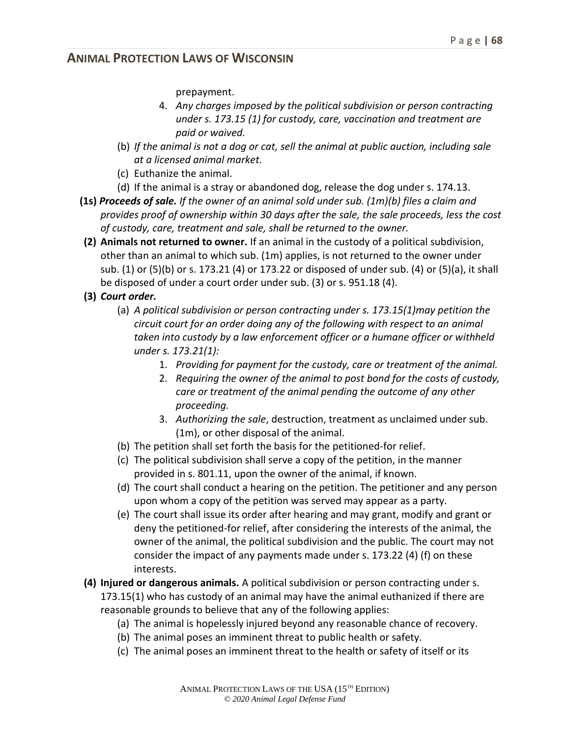prepayment.

- 4. *Any charges imposed by the political subdivision or person contracting under s. 173.15 (1) for custody, care, vaccination and treatment are paid or waived.*
- (b) *If the animal is not a dog or cat, sell the animal at public auction, including sale at a licensed animal market.*
- (c) Euthanize the animal.
- (d) If the animal is a stray or abandoned dog, release the dog under s. 174.13.
- **(1s)** *Proceeds of sale. If the owner of an animal sold under sub. (1m)(b) files a claim and provides proof of ownership within 30 days after the sale, the sale proceeds, less the cost of custody, care, treatment and sale, shall be returned to the owner.*
- **(2) Animals not returned to owner.** If an animal in the custody of a political subdivision, other than an animal to which sub. (1m) applies, is not returned to the owner under sub. (1) or (5)(b) or s. 173.21 (4) or 173.22 or disposed of under sub. (4) or (5)(a), it shall be disposed of under a court order under sub. (3) or s. 951.18 (4).
- **(3)** *Court order.* 
	- (a) *A political subdivision or person contracting under s. 173.15(1)may petition the circuit court for an order doing any of the following with respect to an animal taken into custody by a law enforcement officer or a humane officer or withheld under s. 173.21(1):*
		- 1. *Providing for payment for the custody, care or treatment of the animal.*
		- 2. *Requiring the owner of the animal to post bond for the costs of custody, care or treatment of the animal pending the outcome of any other proceeding.*
		- 3. *Authorizing the sale*, destruction, treatment as unclaimed under sub. (1m), or other disposal of the animal.
	- (b) The petition shall set forth the basis for the petitioned-for relief.
	- (c) The political subdivision shall serve a copy of the petition, in the manner provided in s. 801.11, upon the owner of the animal, if known.
	- (d) The court shall conduct a hearing on the petition. The petitioner and any person upon whom a copy of the petition was served may appear as a party.
	- (e) The court shall issue its order after hearing and may grant, modify and grant or deny the petitioned-for relief, after considering the interests of the animal, the owner of the animal, the political subdivision and the public. The court may not consider the impact of any payments made under s. 173.22 (4) (f) on these interests.
- **(4) Injured or dangerous animals.** A political subdivision or person contracting under s. 173.15(1) who has custody of an animal may have the animal euthanized if there are reasonable grounds to believe that any of the following applies:
	- (a) The animal is hopelessly injured beyond any reasonable chance of recovery.
	- (b) The animal poses an imminent threat to public health or safety.
	- (c) The animal poses an imminent threat to the health or safety of itself or its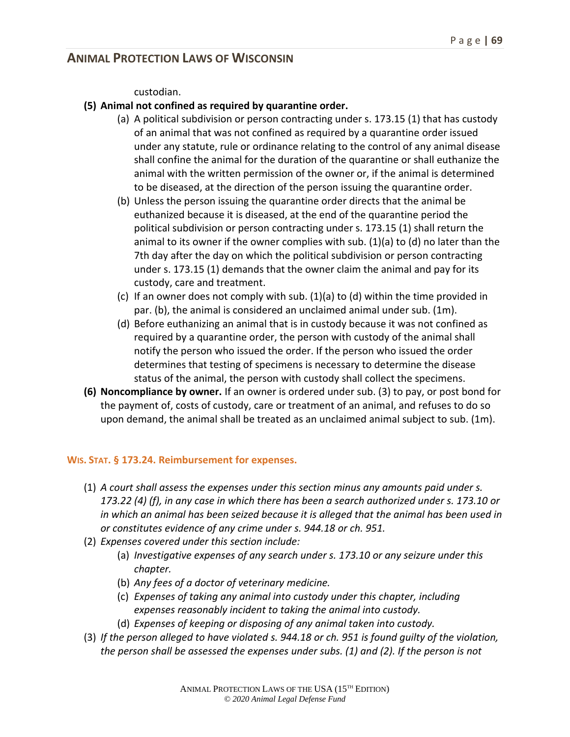custodian.

## **(5) Animal not confined as required by quarantine order.**

- (a) A political subdivision or person contracting under s. 173.15 (1) that has custody of an animal that was not confined as required by a quarantine order issued under any statute, rule or ordinance relating to the control of any animal disease shall confine the animal for the duration of the quarantine or shall euthanize the animal with the written permission of the owner or, if the animal is determined to be diseased, at the direction of the person issuing the quarantine order.
- (b) Unless the person issuing the quarantine order directs that the animal be euthanized because it is diseased, at the end of the quarantine period the political subdivision or person contracting under s. 173.15 (1) shall return the animal to its owner if the owner complies with sub.  $(1)(a)$  to  $(d)$  no later than the 7th day after the day on which the political subdivision or person contracting under s. 173.15 (1) demands that the owner claim the animal and pay for its custody, care and treatment.
- (c) If an owner does not comply with sub. (1)(a) to (d) within the time provided in par. (b), the animal is considered an unclaimed animal under sub. (1m).
- (d) Before euthanizing an animal that is in custody because it was not confined as required by a quarantine order, the person with custody of the animal shall notify the person who issued the order. If the person who issued the order determines that testing of specimens is necessary to determine the disease status of the animal, the person with custody shall collect the specimens.
- **(6) Noncompliance by owner.** If an owner is ordered under sub. (3) to pay, or post bond for the payment of, costs of custody, care or treatment of an animal, and refuses to do so upon demand, the animal shall be treated as an unclaimed animal subject to sub. (1m).

## **WIS. STAT. § 173.24. Reimbursement for expenses.**

- (1) *A court shall assess the expenses under this section minus any amounts paid under s. 173.22 (4) (f), in any case in which there has been a search authorized under s. 173.10 or in which an animal has been seized because it is alleged that the animal has been used in or constitutes evidence of any crime under s. 944.18 or ch. 951.*
- (2) *Expenses covered under this section include:*
	- (a) *Investigative expenses of any search under s. 173.10 or any seizure under this chapter.*
	- (b) *Any fees of a doctor of veterinary medicine.*
	- (c) *Expenses of taking any animal into custody under this chapter, including expenses reasonably incident to taking the animal into custody.*
	- (d) *Expenses of keeping or disposing of any animal taken into custody.*
- (3) *If the person alleged to have violated s. 944.18 or ch. 951 is found guilty of the violation, the person shall be assessed the expenses under subs. (1) and (2). If the person is not*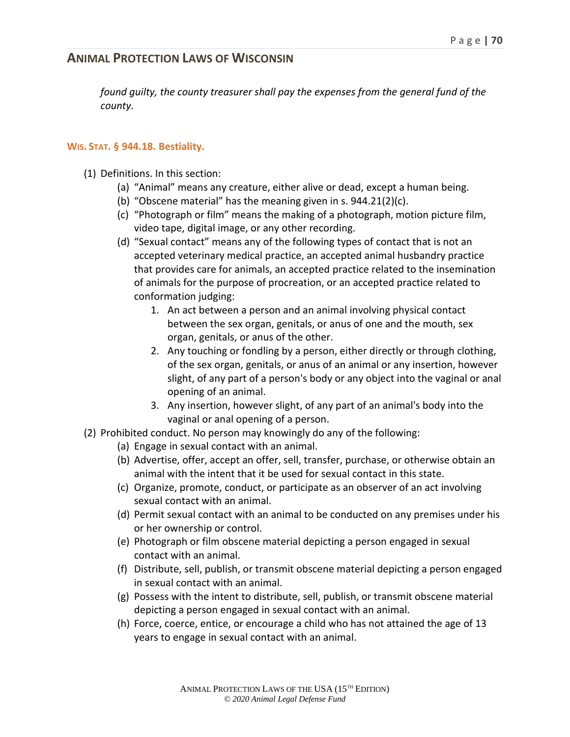*found guilty, the county treasurer shall pay the expenses from the general fund of the county.*

#### **WIS. STAT. § 944.18. Bestiality.**

- (1) Definitions. In this section:
	- (a) "Animal" means any creature, either alive or dead, except a human being.
	- (b) "Obscene material" has the meaning given in s. 944.21(2)(c).
	- (c) "Photograph or film" means the making of a photograph, motion picture film, video tape, digital image, or any other recording.
	- (d) "Sexual contact" means any of the following types of contact that is not an accepted veterinary medical practice, an accepted animal husbandry practice that provides care for animals, an accepted practice related to the insemination of animals for the purpose of procreation, or an accepted practice related to conformation judging:
		- 1. An act between a person and an animal involving physical contact between the sex organ, genitals, or anus of one and the mouth, sex organ, genitals, or anus of the other.
		- 2. Any touching or fondling by a person, either directly or through clothing, of the sex organ, genitals, or anus of an animal or any insertion, however slight, of any part of a person's body or any object into the vaginal or anal opening of an animal.
		- 3. Any insertion, however slight, of any part of an animal's body into the vaginal or anal opening of a person.
- (2) Prohibited conduct. No person may knowingly do any of the following:
	- (a) Engage in sexual contact with an animal.
	- (b) Advertise, offer, accept an offer, sell, transfer, purchase, or otherwise obtain an animal with the intent that it be used for sexual contact in this state.
	- (c) Organize, promote, conduct, or participate as an observer of an act involving sexual contact with an animal.
	- (d) Permit sexual contact with an animal to be conducted on any premises under his or her ownership or control.
	- (e) Photograph or film obscene material depicting a person engaged in sexual contact with an animal.
	- (f) Distribute, sell, publish, or transmit obscene material depicting a person engaged in sexual contact with an animal.
	- (g) Possess with the intent to distribute, sell, publish, or transmit obscene material depicting a person engaged in sexual contact with an animal.
	- (h) Force, coerce, entice, or encourage a child who has not attained the age of 13 years to engage in sexual contact with an animal.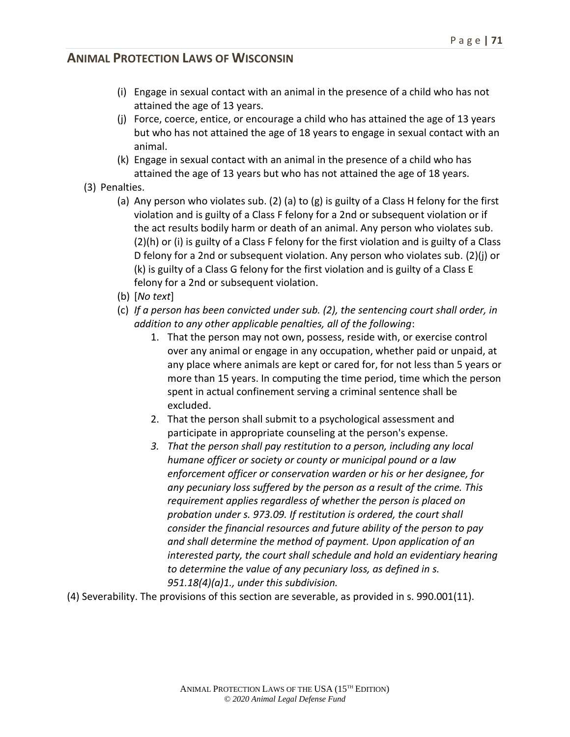- (i) Engage in sexual contact with an animal in the presence of a child who has not attained the age of 13 years.
- (j) Force, coerce, entice, or encourage a child who has attained the age of 13 years but who has not attained the age of 18 years to engage in sexual contact with an animal.
- (k) Engage in sexual contact with an animal in the presence of a child who has attained the age of 13 years but who has not attained the age of 18 years.
- (3) Penalties.
	- (a) Any person who violates sub. (2) (a) to (g) is guilty of a Class H felony for the first violation and is guilty of a Class F felony for a 2nd or subsequent violation or if the act results bodily harm or death of an animal. Any person who violates sub. (2)(h) or (i) is guilty of a Class F felony for the first violation and is guilty of a Class D felony for a 2nd or subsequent violation. Any person who violates sub. (2)(j) or (k) is guilty of a Class G felony for the first violation and is guilty of a Class E felony for a 2nd or subsequent violation.
	- (b) [*No text*]
	- (c) *If a person has been convicted under sub. (2), the sentencing court shall order, in addition to any other applicable penalties, all of the following*:
		- 1. That the person may not own, possess, reside with, or exercise control over any animal or engage in any occupation, whether paid or unpaid, at any place where animals are kept or cared for, for not less than 5 years or more than 15 years. In computing the time period, time which the person spent in actual confinement serving a criminal sentence shall be excluded.
		- 2. That the person shall submit to a psychological assessment and participate in appropriate counseling at the person's expense.
		- *3. That the person shall pay restitution to a person, including any local humane officer or society or county or municipal pound or a law enforcement officer or conservation warden or his or her designee, for any pecuniary loss suffered by the person as a result of the crime. This requirement applies regardless of whether the person is placed on probation under s. 973.09. If restitution is ordered, the court shall consider the financial resources and future ability of the person to pay and shall determine the method of payment. Upon application of an interested party, the court shall schedule and hold an evidentiary hearing to determine the value of any pecuniary loss, as defined in s. 951.18(4)(a)1., under this subdivision.*
- (4) Severability. The provisions of this section are severable, as provided in s. 990.001(11).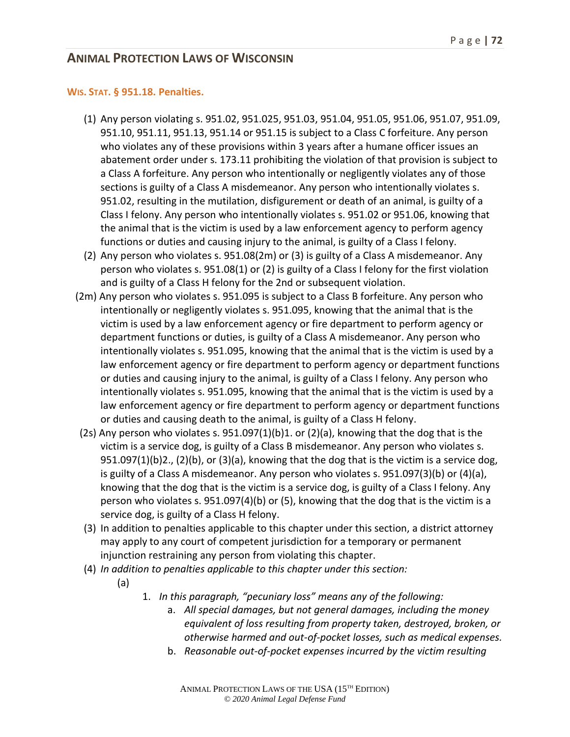#### **WIS. STAT. § 951.18. Penalties.**

- (1) Any person violating s. 951.02, 951.025, 951.03, 951.04, 951.05, 951.06, 951.07, 951.09, 951.10, 951.11, 951.13, 951.14 or 951.15 is subject to a Class C forfeiture. Any person who violates any of these provisions within 3 years after a humane officer issues an abatement order under s. 173.11 prohibiting the violation of that provision is subject to a Class A forfeiture. Any person who intentionally or negligently violates any of those sections is guilty of a Class A misdemeanor. Any person who intentionally violates s. 951.02, resulting in the mutilation, disfigurement or death of an animal, is guilty of a Class I felony. Any person who intentionally violates s. 951.02 or 951.06, knowing that the animal that is the victim is used by a law enforcement agency to perform agency functions or duties and causing injury to the animal, is guilty of a Class I felony.
- (2) Any person who violates s. 951.08(2m) or (3) is guilty of a Class A misdemeanor. Any person who violates s. 951.08(1) or (2) is guilty of a Class I felony for the first violation and is guilty of a Class H felony for the 2nd or subsequent violation.
- (2m) Any person who violates s. 951.095 is subject to a Class B forfeiture. Any person who intentionally or negligently violates s. 951.095, knowing that the animal that is the victim is used by a law enforcement agency or fire department to perform agency or department functions or duties, is guilty of a Class A misdemeanor. Any person who intentionally violates s. 951.095, knowing that the animal that is the victim is used by a law enforcement agency or fire department to perform agency or department functions or duties and causing injury to the animal, is guilty of a Class I felony. Any person who intentionally violates s. 951.095, knowing that the animal that is the victim is used by a law enforcement agency or fire department to perform agency or department functions or duties and causing death to the animal, is guilty of a Class H felony.
- $(2s)$  Any person who violates s. 951.097 $(1)(b)$ 1. or  $(2)(a)$ , knowing that the dog that is the victim is a service dog, is guilty of a Class B misdemeanor. Any person who violates s. 951.097(1)(b)2., (2)(b), or (3)(a), knowing that the dog that is the victim is a service dog, is guilty of a Class A misdemeanor. Any person who violates s. 951.097(3)(b) or (4)(a), knowing that the dog that is the victim is a service dog, is guilty of a Class I felony. Any person who violates s. 951.097(4)(b) or (5), knowing that the dog that is the victim is a service dog, is guilty of a Class H felony.
- (3) In addition to penalties applicable to this chapter under this section, a district attorney may apply to any court of competent jurisdiction for a temporary or permanent injunction restraining any person from violating this chapter.
- (4) *In addition to penalties applicable to this chapter under this section:*
	- (a)
- 1. *In this paragraph, "pecuniary loss" means any of the following:*
	- a. *All special damages, but not general damages, including the money equivalent of loss resulting from property taken, destroyed, broken, or otherwise harmed and out-of-pocket losses, such as medical expenses.*
	- b. *Reasonable out-of-pocket expenses incurred by the victim resulting*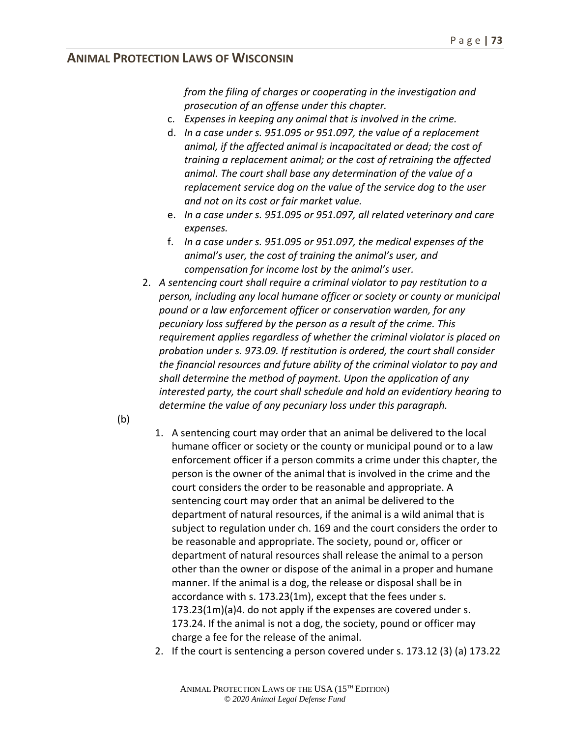*from the filing of charges or cooperating in the investigation and prosecution of an offense under this chapter.*

- c. *Expenses in keeping any animal that is involved in the crime.*
- d. *In a case under s. 951.095 or 951.097, the value of a replacement animal, if the affected animal is incapacitated or dead; the cost of training a replacement animal; or the cost of retraining the affected animal. The court shall base any determination of the value of a replacement service dog on the value of the service dog to the user and not on its cost or fair market value.*
- e. *In a case under s. 951.095 or 951.097, all related veterinary and care expenses.*
- f. *In a case under s. 951.095 or 951.097, the medical expenses of the animal's user, the cost of training the animal's user, and compensation for income lost by the animal's user.*
- 2. *A sentencing court shall require a criminal violator to pay restitution to a person, including any local humane officer or society or county or municipal pound or a law enforcement officer or conservation warden, for any pecuniary loss suffered by the person as a result of the crime. This requirement applies regardless of whether the criminal violator is placed on probation under s. 973.09. If restitution is ordered, the court shall consider the financial resources and future ability of the criminal violator to pay and shall determine the method of payment. Upon the application of any interested party, the court shall schedule and hold an evidentiary hearing to determine the value of any pecuniary loss under this paragraph.*
- (b)
- 1. A sentencing court may order that an animal be delivered to the local humane officer or society or the county or municipal pound or to a law enforcement officer if a person commits a crime under this chapter, the person is the owner of the animal that is involved in the crime and the court considers the order to be reasonable and appropriate. A sentencing court may order that an animal be delivered to the department of natural resources, if the animal is a wild animal that is subject to regulation under ch. 169 and the court considers the order to be reasonable and appropriate. The society, pound or, officer or department of natural resources shall release the animal to a person other than the owner or dispose of the animal in a proper and humane manner. If the animal is a dog, the release or disposal shall be in accordance with s. 173.23(1m), except that the fees under s. 173.23(1m)(a)4. do not apply if the expenses are covered under s. 173.24. If the animal is not a dog, the society, pound or officer may charge a fee for the release of the animal.
- 2. If the court is sentencing a person covered under s. 173.12 (3) (a) 173.22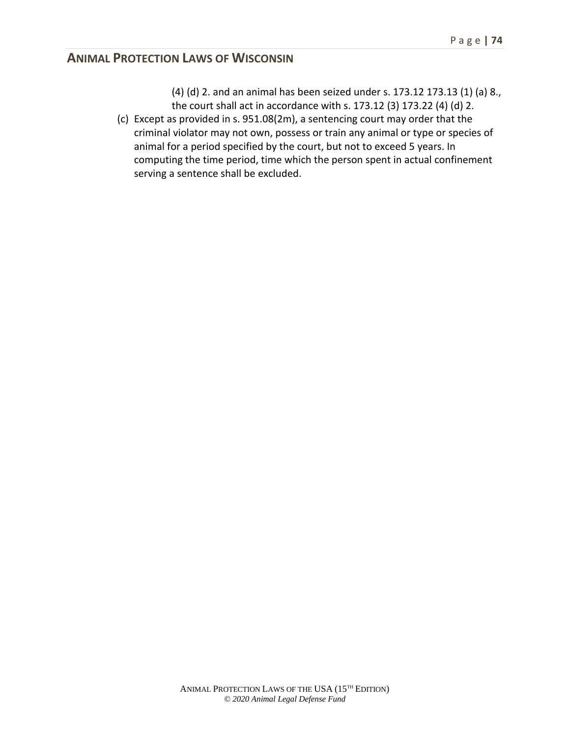- (4) (d) 2. and an animal has been seized under s. 173.12 173.13 (1) (a) 8., the court shall act in accordance with s. 173.12 (3) 173.22 (4) (d) 2.
- (c) Except as provided in s. 951.08(2m), a sentencing court may order that the criminal violator may not own, possess or train any animal or type or species of animal for a period specified by the court, but not to exceed 5 years. In computing the time period, time which the person spent in actual confinement serving a sentence shall be excluded.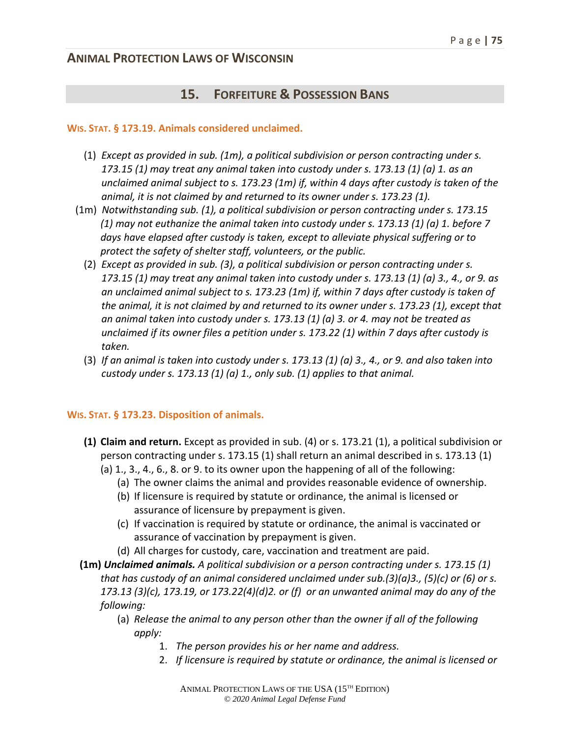## **15. FORFEITURE & POSSESSION BANS**

#### **WIS. STAT. § 173.19. Animals considered unclaimed.**

- (1) *Except as provided in sub. (1m), a political subdivision or person contracting under s. 173.15 (1) may treat any animal taken into custody under s. 173.13 (1) (a) 1. as an unclaimed animal subject to s. 173.23 (1m) if, within 4 days after custody is taken of the animal, it is not claimed by and returned to its owner under s. 173.23 (1).*
- (1m) *Notwithstanding sub. (1), a political subdivision or person contracting under s. 173.15 (1) may not euthanize the animal taken into custody under s. 173.13 (1) (a) 1. before 7 days have elapsed after custody is taken, except to alleviate physical suffering or to protect the safety of shelter staff, volunteers, or the public.*
	- (2) *Except as provided in sub. (3), a political subdivision or person contracting under s. 173.15 (1) may treat any animal taken into custody under s. 173.13 (1) (a) 3., 4., or 9. as an unclaimed animal subject to s. 173.23 (1m) if, within 7 days after custody is taken of the animal, it is not claimed by and returned to its owner under s. 173.23 (1), except that an animal taken into custody under s. 173.13 (1) (a) 3. or 4. may not be treated as unclaimed if its owner files a petition under s. 173.22 (1) within 7 days after custody is taken.*
	- (3) *If an animal is taken into custody under s. 173.13 (1) (a) 3., 4., or 9. and also taken into custody under s. 173.13 (1) (a) 1., only sub. (1) applies to that animal.*

#### **WIS. STAT. § 173.23. Disposition of animals.**

- **(1) Claim and return.** Except as provided in sub. (4) or s. 173.21 (1), a political subdivision or person contracting under s. 173.15 (1) shall return an animal described in s. 173.13 (1)
	- (a) 1., 3., 4., 6., 8. or 9. to its owner upon the happening of all of the following:
		- (a) The owner claims the animal and provides reasonable evidence of ownership.
		- (b) If licensure is required by statute or ordinance, the animal is licensed or assurance of licensure by prepayment is given.
		- (c) If vaccination is required by statute or ordinance, the animal is vaccinated or assurance of vaccination by prepayment is given.
		- (d) All charges for custody, care, vaccination and treatment are paid.

**(1m)** *Unclaimed animals. A political subdivision or a person contracting under s. 173.15 (1) that has custody of an animal considered unclaimed under sub.(3)(a)3., (5)(c) or (6) or s. 173.13 (3)(c), 173.19, or 173.22(4)(d)2. or (f) or an unwanted animal may do any of the following:*

- (a) *Release the animal to any person other than the owner if all of the following apply:*
	- 1. *The person provides his or her name and address.*
	- 2. *If licensure is required by statute or ordinance, the animal is licensed or*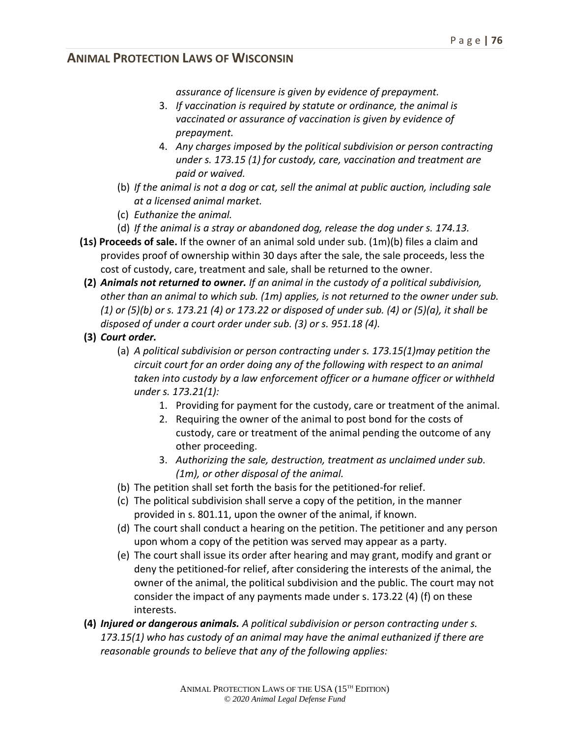*assurance of licensure is given by evidence of prepayment.*

- 3. *If vaccination is required by statute or ordinance, the animal is vaccinated or assurance of vaccination is given by evidence of prepayment.*
- 4. *Any charges imposed by the political subdivision or person contracting under s. 173.15 (1) for custody, care, vaccination and treatment are paid or waived.*
- (b) *If the animal is not a dog or cat, sell the animal at public auction, including sale at a licensed animal market.*
- (c) *Euthanize the animal.*
- (d) *If the animal is a stray or abandoned dog, release the dog under s. 174.13.*
- **(1s) Proceeds of sale.** If the owner of an animal sold under sub. (1m)(b) files a claim and provides proof of ownership within 30 days after the sale, the sale proceeds, less the cost of custody, care, treatment and sale, shall be returned to the owner.
- **(2)** *Animals not returned to owner. If an animal in the custody of a political subdivision, other than an animal to which sub. (1m) applies, is not returned to the owner under sub. (1) or (5)(b) or s. 173.21 (4) or 173.22 or disposed of under sub. (4) or (5)(a), it shall be disposed of under a court order under sub. (3) or s. 951.18 (4).*
- **(3)** *Court order.* 
	- (a) *A political subdivision or person contracting under s. 173.15(1)may petition the circuit court for an order doing any of the following with respect to an animal taken into custody by a law enforcement officer or a humane officer or withheld under s. 173.21(1):*
		- 1. Providing for payment for the custody, care or treatment of the animal.
		- 2. Requiring the owner of the animal to post bond for the costs of custody, care or treatment of the animal pending the outcome of any other proceeding.
		- 3. *Authorizing the sale, destruction, treatment as unclaimed under sub. (1m), or other disposal of the animal.*
	- (b) The petition shall set forth the basis for the petitioned-for relief.
	- (c) The political subdivision shall serve a copy of the petition, in the manner provided in s. 801.11, upon the owner of the animal, if known.
	- (d) The court shall conduct a hearing on the petition. The petitioner and any person upon whom a copy of the petition was served may appear as a party.
	- (e) The court shall issue its order after hearing and may grant, modify and grant or deny the petitioned-for relief, after considering the interests of the animal, the owner of the animal, the political subdivision and the public. The court may not consider the impact of any payments made under s. 173.22 (4) (f) on these interests.
- **(4)** *Injured or dangerous animals. A political subdivision or person contracting under s. 173.15(1) who has custody of an animal may have the animal euthanized if there are reasonable grounds to believe that any of the following applies:*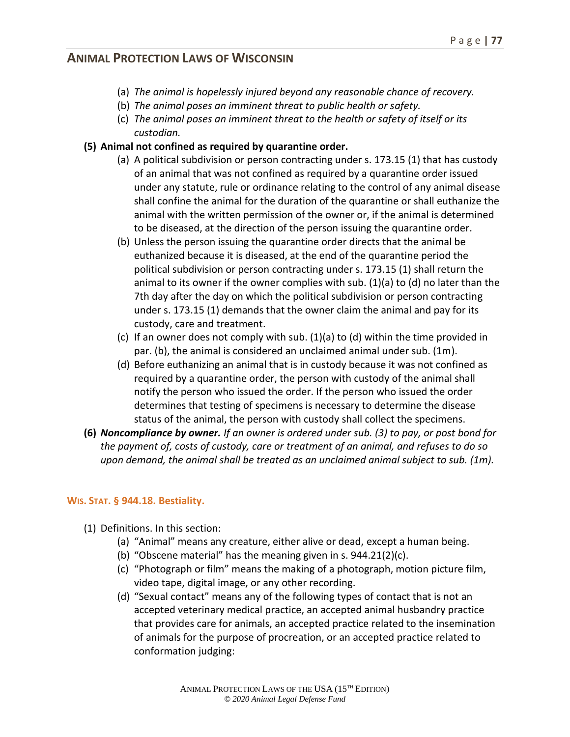- (a) *The animal is hopelessly injured beyond any reasonable chance of recovery.*
- (b) *The animal poses an imminent threat to public health or safety.*
- (c) *The animal poses an imminent threat to the health or safety of itself or its custodian.*
- **(5) Animal not confined as required by quarantine order.** 
	- (a) A political subdivision or person contracting under s. 173.15 (1) that has custody of an animal that was not confined as required by a quarantine order issued under any statute, rule or ordinance relating to the control of any animal disease shall confine the animal for the duration of the quarantine or shall euthanize the animal with the written permission of the owner or, if the animal is determined to be diseased, at the direction of the person issuing the quarantine order.
	- (b) Unless the person issuing the quarantine order directs that the animal be euthanized because it is diseased, at the end of the quarantine period the political subdivision or person contracting under s. 173.15 (1) shall return the animal to its owner if the owner complies with sub.  $(1)(a)$  to  $(d)$  no later than the 7th day after the day on which the political subdivision or person contracting under s. 173.15 (1) demands that the owner claim the animal and pay for its custody, care and treatment.
	- (c) If an owner does not comply with sub. (1)(a) to (d) within the time provided in par. (b), the animal is considered an unclaimed animal under sub. (1m).
	- (d) Before euthanizing an animal that is in custody because it was not confined as required by a quarantine order, the person with custody of the animal shall notify the person who issued the order. If the person who issued the order determines that testing of specimens is necessary to determine the disease status of the animal, the person with custody shall collect the specimens.
- **(6)** *Noncompliance by owner. If an owner is ordered under sub. (3) to pay, or post bond for the payment of, costs of custody, care or treatment of an animal, and refuses to do so upon demand, the animal shall be treated as an unclaimed animal subject to sub. (1m).*

#### **WIS. STAT. § 944.18. Bestiality.**

- (1) Definitions. In this section:
	- (a) "Animal" means any creature, either alive or dead, except a human being.
	- (b) "Obscene material" has the meaning given in s. 944.21(2)(c).
	- (c) "Photograph or film" means the making of a photograph, motion picture film, video tape, digital image, or any other recording.
	- (d) "Sexual contact" means any of the following types of contact that is not an accepted veterinary medical practice, an accepted animal husbandry practice that provides care for animals, an accepted practice related to the insemination of animals for the purpose of procreation, or an accepted practice related to conformation judging: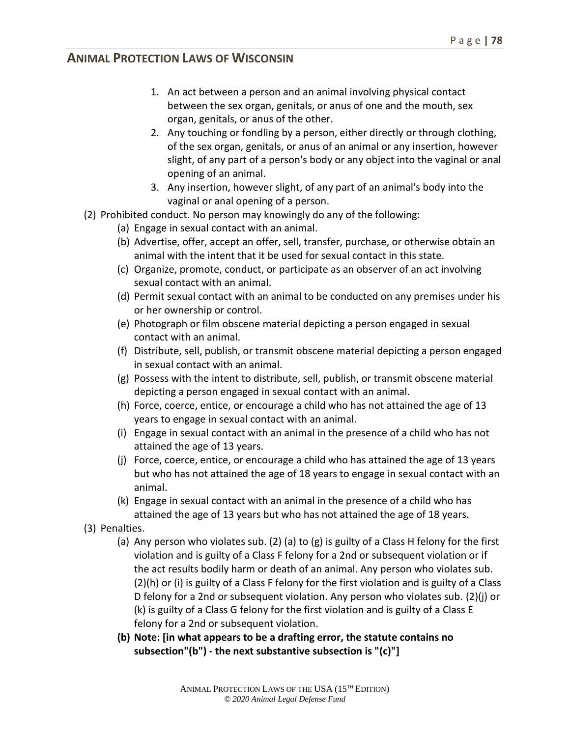- 1. An act between a person and an animal involving physical contact between the sex organ, genitals, or anus of one and the mouth, sex organ, genitals, or anus of the other.
- 2. Any touching or fondling by a person, either directly or through clothing, of the sex organ, genitals, or anus of an animal or any insertion, however slight, of any part of a person's body or any object into the vaginal or anal opening of an animal.
- 3. Any insertion, however slight, of any part of an animal's body into the vaginal or anal opening of a person.
- (2) Prohibited conduct. No person may knowingly do any of the following:
	- (a) Engage in sexual contact with an animal.
	- (b) Advertise, offer, accept an offer, sell, transfer, purchase, or otherwise obtain an animal with the intent that it be used for sexual contact in this state.
	- (c) Organize, promote, conduct, or participate as an observer of an act involving sexual contact with an animal.
	- (d) Permit sexual contact with an animal to be conducted on any premises under his or her ownership or control.
	- (e) Photograph or film obscene material depicting a person engaged in sexual contact with an animal.
	- (f) Distribute, sell, publish, or transmit obscene material depicting a person engaged in sexual contact with an animal.
	- (g) Possess with the intent to distribute, sell, publish, or transmit obscene material depicting a person engaged in sexual contact with an animal.
	- (h) Force, coerce, entice, or encourage a child who has not attained the age of 13 years to engage in sexual contact with an animal.
	- (i) Engage in sexual contact with an animal in the presence of a child who has not attained the age of 13 years.
	- (j) Force, coerce, entice, or encourage a child who has attained the age of 13 years but who has not attained the age of 18 years to engage in sexual contact with an animal.
	- (k) Engage in sexual contact with an animal in the presence of a child who has attained the age of 13 years but who has not attained the age of 18 years.
- (3) Penalties.
	- (a) Any person who violates sub. (2) (a) to (g) is guilty of a Class H felony for the first violation and is guilty of a Class F felony for a 2nd or subsequent violation or if the act results bodily harm or death of an animal. Any person who violates sub. (2)(h) or (i) is guilty of a Class F felony for the first violation and is guilty of a Class D felony for a 2nd or subsequent violation. Any person who violates sub. (2)(j) or (k) is guilty of a Class G felony for the first violation and is guilty of a Class E felony for a 2nd or subsequent violation.
	- **(b) Note: [in what appears to be a drafting error, the statute contains no subsection"(b") - the next substantive subsection is "(c)"]**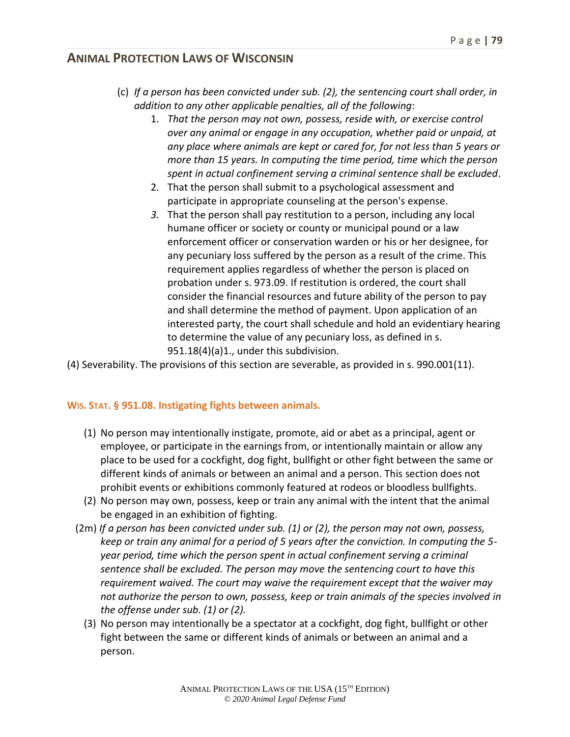- (c) *If a person has been convicted under sub. (2), the sentencing court shall order, in addition to any other applicable penalties, all of the following*:
	- 1. *That the person may not own, possess, reside with, or exercise control over any animal or engage in any occupation, whether paid or unpaid, at any place where animals are kept or cared for, for not less than 5 years or more than 15 years. In computing the time period, time which the person spent in actual confinement serving a criminal sentence shall be excluded*.
	- 2. That the person shall submit to a psychological assessment and participate in appropriate counseling at the person's expense.
	- *3.* That the person shall pay restitution to a person, including any local humane officer or society or county or municipal pound or a law enforcement officer or conservation warden or his or her designee, for any pecuniary loss suffered by the person as a result of the crime. This requirement applies regardless of whether the person is placed on probation under s. 973.09. If restitution is ordered, the court shall consider the financial resources and future ability of the person to pay and shall determine the method of payment. Upon application of an interested party, the court shall schedule and hold an evidentiary hearing to determine the value of any pecuniary loss, as defined in s. 951.18(4)(a)1., under this subdivision*.*

(4) Severability. The provisions of this section are severable, as provided in s. 990.001(11).

#### **WIS. STAT. § 951.08. Instigating fights between animals.**

- (1) No person may intentionally instigate, promote, aid or abet as a principal, agent or employee, or participate in the earnings from, or intentionally maintain or allow any place to be used for a cockfight, dog fight, bullfight or other fight between the same or different kinds of animals or between an animal and a person. This section does not prohibit events or exhibitions commonly featured at rodeos or bloodless bullfights.
- (2) No person may own, possess, keep or train any animal with the intent that the animal be engaged in an exhibition of fighting.
- (2m) *If a person has been convicted under sub. (1) or (2), the person may not own, possess, keep or train any animal for a period of 5 years after the conviction. In computing the 5 year period, time which the person spent in actual confinement serving a criminal sentence shall be excluded. The person may move the sentencing court to have this requirement waived. The court may waive the requirement except that the waiver may not authorize the person to own, possess, keep or train animals of the species involved in the offense under sub. (1) or (2).*
	- (3) No person may intentionally be a spectator at a cockfight, dog fight, bullfight or other fight between the same or different kinds of animals or between an animal and a person.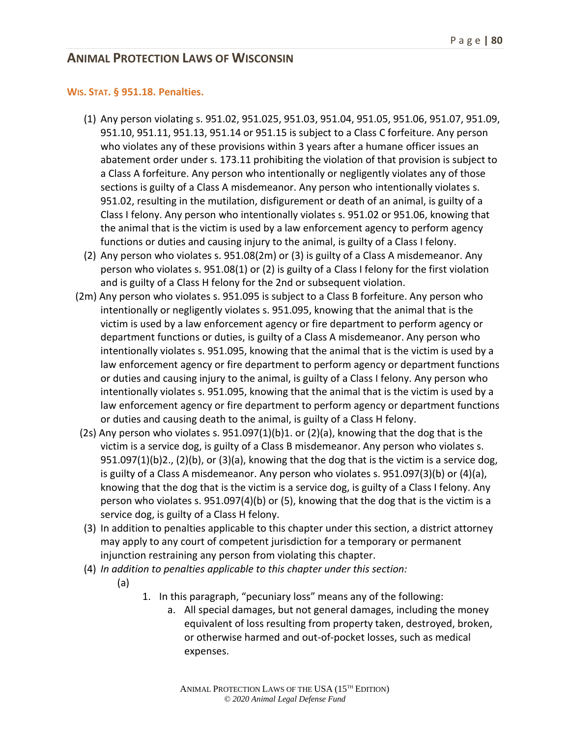#### **WIS. STAT. § 951.18. Penalties.**

- (1) Any person violating s. 951.02, 951.025, 951.03, 951.04, 951.05, 951.06, 951.07, 951.09, 951.10, 951.11, 951.13, 951.14 or 951.15 is subject to a Class C forfeiture. Any person who violates any of these provisions within 3 years after a humane officer issues an abatement order under s. 173.11 prohibiting the violation of that provision is subject to a Class A forfeiture. Any person who intentionally or negligently violates any of those sections is guilty of a Class A misdemeanor. Any person who intentionally violates s. 951.02, resulting in the mutilation, disfigurement or death of an animal, is guilty of a Class I felony. Any person who intentionally violates s. 951.02 or 951.06, knowing that the animal that is the victim is used by a law enforcement agency to perform agency functions or duties and causing injury to the animal, is guilty of a Class I felony.
- (2) Any person who violates s. 951.08(2m) or (3) is guilty of a Class A misdemeanor. Any person who violates s. 951.08(1) or (2) is guilty of a Class I felony for the first violation and is guilty of a Class H felony for the 2nd or subsequent violation.
- (2m) Any person who violates s. 951.095 is subject to a Class B forfeiture. Any person who intentionally or negligently violates s. 951.095, knowing that the animal that is the victim is used by a law enforcement agency or fire department to perform agency or department functions or duties, is guilty of a Class A misdemeanor. Any person who intentionally violates s. 951.095, knowing that the animal that is the victim is used by a law enforcement agency or fire department to perform agency or department functions or duties and causing injury to the animal, is guilty of a Class I felony. Any person who intentionally violates s. 951.095, knowing that the animal that is the victim is used by a law enforcement agency or fire department to perform agency or department functions or duties and causing death to the animal, is guilty of a Class H felony.
- $(2s)$  Any person who violates s. 951.097 $(1)(b)$ 1. or  $(2)(a)$ , knowing that the dog that is the victim is a service dog, is guilty of a Class B misdemeanor. Any person who violates s. 951.097(1)(b)2., (2)(b), or (3)(a), knowing that the dog that is the victim is a service dog, is guilty of a Class A misdemeanor. Any person who violates s. 951.097(3)(b) or (4)(a), knowing that the dog that is the victim is a service dog, is guilty of a Class I felony. Any person who violates s. 951.097(4)(b) or (5), knowing that the dog that is the victim is a service dog, is guilty of a Class H felony.
- (3) In addition to penalties applicable to this chapter under this section, a district attorney may apply to any court of competent jurisdiction for a temporary or permanent injunction restraining any person from violating this chapter.
- (4) *In addition to penalties applicable to this chapter under this section:*
	- (a)
- 1. In this paragraph, "pecuniary loss" means any of the following:
	- a. All special damages, but not general damages, including the money equivalent of loss resulting from property taken, destroyed, broken, or otherwise harmed and out-of-pocket losses, such as medical expenses.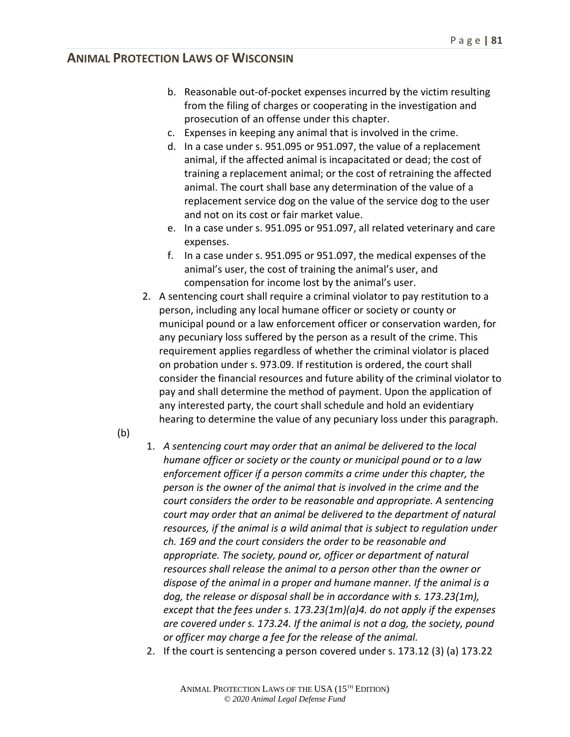- b. Reasonable out-of-pocket expenses incurred by the victim resulting from the filing of charges or cooperating in the investigation and prosecution of an offense under this chapter.
- c. Expenses in keeping any animal that is involved in the crime.
- d. In a case under s. 951.095 or 951.097, the value of a replacement animal, if the affected animal is incapacitated or dead; the cost of training a replacement animal; or the cost of retraining the affected animal. The court shall base any determination of the value of a replacement service dog on the value of the service dog to the user and not on its cost or fair market value.
- e. In a case under s. 951.095 or 951.097, all related veterinary and care expenses.
- f. In a case under s. 951.095 or 951.097, the medical expenses of the animal's user, the cost of training the animal's user, and compensation for income lost by the animal's user.
- 2. A sentencing court shall require a criminal violator to pay restitution to a person, including any local humane officer or society or county or municipal pound or a law enforcement officer or conservation warden, for any pecuniary loss suffered by the person as a result of the crime. This requirement applies regardless of whether the criminal violator is placed on probation under s. 973.09. If restitution is ordered, the court shall consider the financial resources and future ability of the criminal violator to pay and shall determine the method of payment. Upon the application of any interested party, the court shall schedule and hold an evidentiary hearing to determine the value of any pecuniary loss under this paragraph.
- (b)
- 1. *A sentencing court may order that an animal be delivered to the local humane officer or society or the county or municipal pound or to a law enforcement officer if a person commits a crime under this chapter, the person is the owner of the animal that is involved in the crime and the court considers the order to be reasonable and appropriate. A sentencing court may order that an animal be delivered to the department of natural resources, if the animal is a wild animal that is subject to regulation under ch. 169 and the court considers the order to be reasonable and appropriate. The society, pound or, officer or department of natural resources shall release the animal to a person other than the owner or dispose of the animal in a proper and humane manner. If the animal is a dog, the release or disposal shall be in accordance with s. 173.23(1m), except that the fees under s. 173.23(1m)(a)4. do not apply if the expenses are covered under s. 173.24. If the animal is not a dog, the society, pound or officer may charge a fee for the release of the animal.*
- 2. If the court is sentencing a person covered under s. 173.12 (3) (a) 173.22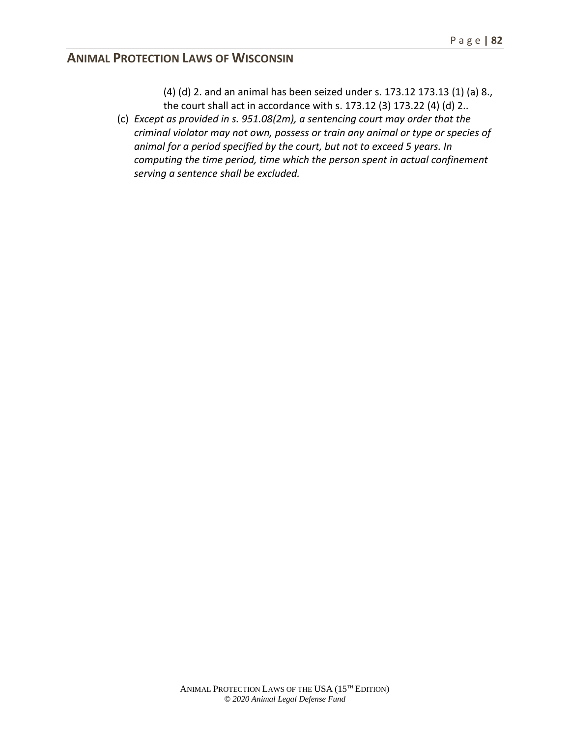- (4) (d) 2. and an animal has been seized under s. 173.12 173.13 (1) (a) 8., the court shall act in accordance with s. 173.12 (3) 173.22 (4) (d) 2..
- (c) *Except as provided in s. 951.08(2m), a sentencing court may order that the criminal violator may not own, possess or train any animal or type or species of animal for a period specified by the court, but not to exceed 5 years. In computing the time period, time which the person spent in actual confinement serving a sentence shall be excluded.*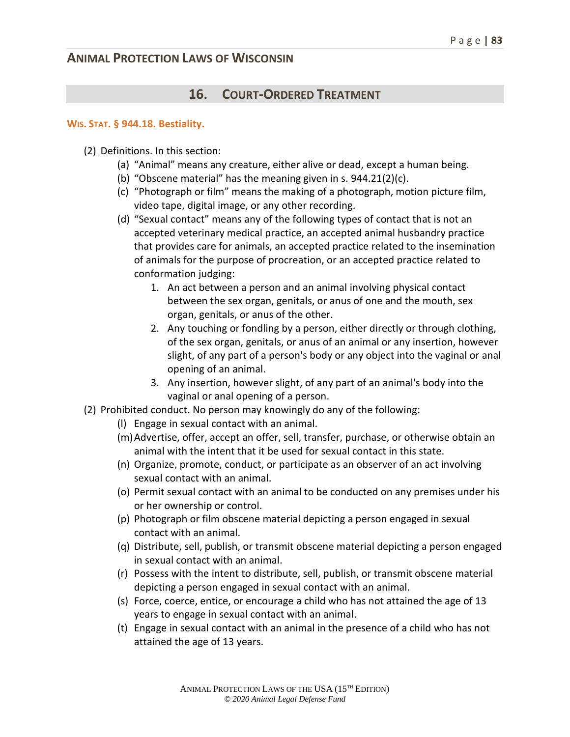#### **16. COURT-ORDERED TREATMENT**

#### **WIS. STAT. § 944.18. Bestiality.**

- (2) Definitions. In this section:
	- (a) "Animal" means any creature, either alive or dead, except a human being.
	- (b) "Obscene material" has the meaning given in s. 944.21(2)(c).
	- (c) "Photograph or film" means the making of a photograph, motion picture film, video tape, digital image, or any other recording.
	- (d) "Sexual contact" means any of the following types of contact that is not an accepted veterinary medical practice, an accepted animal husbandry practice that provides care for animals, an accepted practice related to the insemination of animals for the purpose of procreation, or an accepted practice related to conformation judging:
		- 1. An act between a person and an animal involving physical contact between the sex organ, genitals, or anus of one and the mouth, sex organ, genitals, or anus of the other.
		- 2. Any touching or fondling by a person, either directly or through clothing, of the sex organ, genitals, or anus of an animal or any insertion, however slight, of any part of a person's body or any object into the vaginal or anal opening of an animal.
		- 3. Any insertion, however slight, of any part of an animal's body into the vaginal or anal opening of a person.
- (2) Prohibited conduct. No person may knowingly do any of the following:
	- (l) Engage in sexual contact with an animal.
	- (m)Advertise, offer, accept an offer, sell, transfer, purchase, or otherwise obtain an animal with the intent that it be used for sexual contact in this state.
	- (n) Organize, promote, conduct, or participate as an observer of an act involving sexual contact with an animal.
	- (o) Permit sexual contact with an animal to be conducted on any premises under his or her ownership or control.
	- (p) Photograph or film obscene material depicting a person engaged in sexual contact with an animal.
	- (q) Distribute, sell, publish, or transmit obscene material depicting a person engaged in sexual contact with an animal.
	- (r) Possess with the intent to distribute, sell, publish, or transmit obscene material depicting a person engaged in sexual contact with an animal.
	- (s) Force, coerce, entice, or encourage a child who has not attained the age of 13 years to engage in sexual contact with an animal.
	- (t) Engage in sexual contact with an animal in the presence of a child who has not attained the age of 13 years.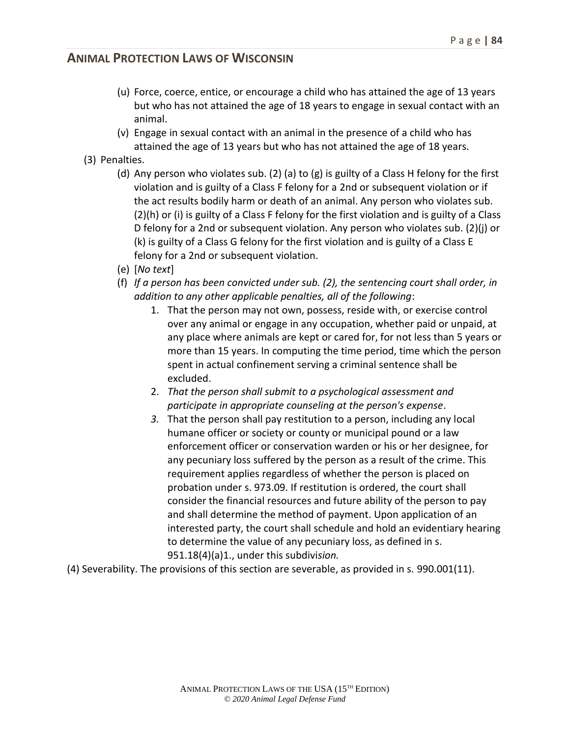- (u) Force, coerce, entice, or encourage a child who has attained the age of 13 years but who has not attained the age of 18 years to engage in sexual contact with an animal.
- (v) Engage in sexual contact with an animal in the presence of a child who has attained the age of 13 years but who has not attained the age of 18 years.
- (3) Penalties.
	- (d) Any person who violates sub. (2) (a) to (g) is guilty of a Class H felony for the first violation and is guilty of a Class F felony for a 2nd or subsequent violation or if the act results bodily harm or death of an animal. Any person who violates sub. (2)(h) or (i) is guilty of a Class F felony for the first violation and is guilty of a Class D felony for a 2nd or subsequent violation. Any person who violates sub. (2)(j) or (k) is guilty of a Class G felony for the first violation and is guilty of a Class E felony for a 2nd or subsequent violation.
	- (e) [*No text*]
	- (f) *If a person has been convicted under sub. (2), the sentencing court shall order, in addition to any other applicable penalties, all of the following*:
		- 1. That the person may not own, possess, reside with, or exercise control over any animal or engage in any occupation, whether paid or unpaid, at any place where animals are kept or cared for, for not less than 5 years or more than 15 years. In computing the time period, time which the person spent in actual confinement serving a criminal sentence shall be excluded.
		- 2. *That the person shall submit to a psychological assessment and participate in appropriate counseling at the person's expense*.
		- *3.* That the person shall pay restitution to a person, including any local humane officer or society or county or municipal pound or a law enforcement officer or conservation warden or his or her designee, for any pecuniary loss suffered by the person as a result of the crime. This requirement applies regardless of whether the person is placed on probation under s. 973.09. If restitution is ordered, the court shall consider the financial resources and future ability of the person to pay and shall determine the method of payment. Upon application of an interested party, the court shall schedule and hold an evidentiary hearing to determine the value of any pecuniary loss, as defined in s. 951.18(4)(a)1., under this subdivi*sion.*

(4) Severability. The provisions of this section are severable, as provided in s. 990.001(11).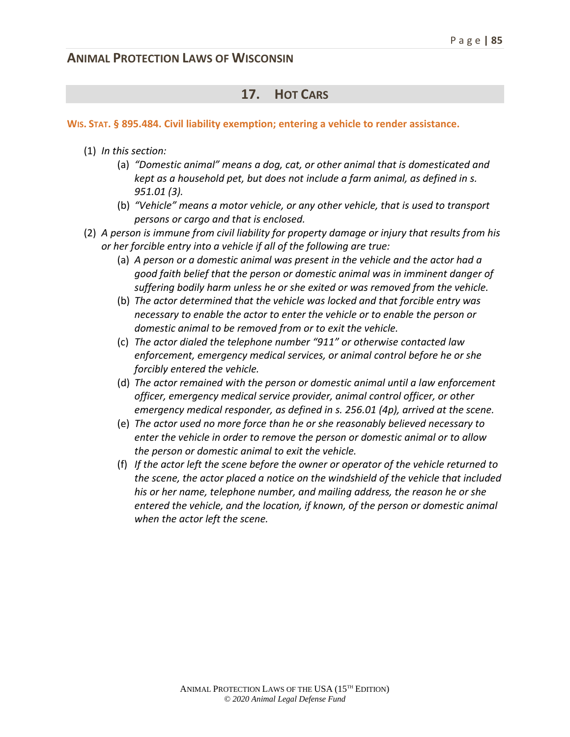### **17. HOT CARS**

#### **WIS. STAT. § 895.484. Civil liability exemption; entering a vehicle to render assistance.**

- (1) *In this section:*
	- (a) *"Domestic animal" means a dog, cat, or other animal that is domesticated and kept as a household pet, but does not include a farm animal, as defined in s. 951.01 (3).*
	- (b) *"Vehicle" means a motor vehicle, or any other vehicle, that is used to transport persons or cargo and that is enclosed.*
- (2) *A person is immune from civil liability for property damage or injury that results from his or her forcible entry into a vehicle if all of the following are true:*
	- (a) *A person or a domestic animal was present in the vehicle and the actor had a good faith belief that the person or domestic animal was in imminent danger of suffering bodily harm unless he or she exited or was removed from the vehicle.*
	- (b) *The actor determined that the vehicle was locked and that forcible entry was necessary to enable the actor to enter the vehicle or to enable the person or domestic animal to be removed from or to exit the vehicle.*
	- (c) *The actor dialed the telephone number "911" or otherwise contacted law enforcement, emergency medical services, or animal control before he or she forcibly entered the vehicle.*
	- (d) *The actor remained with the person or domestic animal until a law enforcement officer, emergency medical service provider, animal control officer, or other emergency medical responder, as defined in s. 256.01 (4p), arrived at the scene.*
	- (e) *The actor used no more force than he or she reasonably believed necessary to enter the vehicle in order to remove the person or domestic animal or to allow the person or domestic animal to exit the vehicle.*
	- (f) *If the actor left the scene before the owner or operator of the vehicle returned to the scene, the actor placed a notice on the windshield of the vehicle that included his or her name, telephone number, and mailing address, the reason he or she entered the vehicle, and the location, if known, of the person or domestic animal when the actor left the scene.*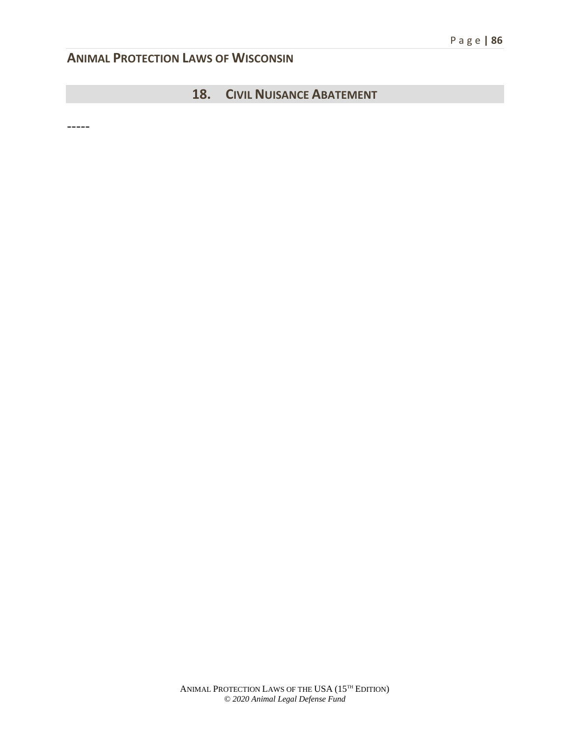# **18. CIVIL NUISANCE ABATEMENT**

-----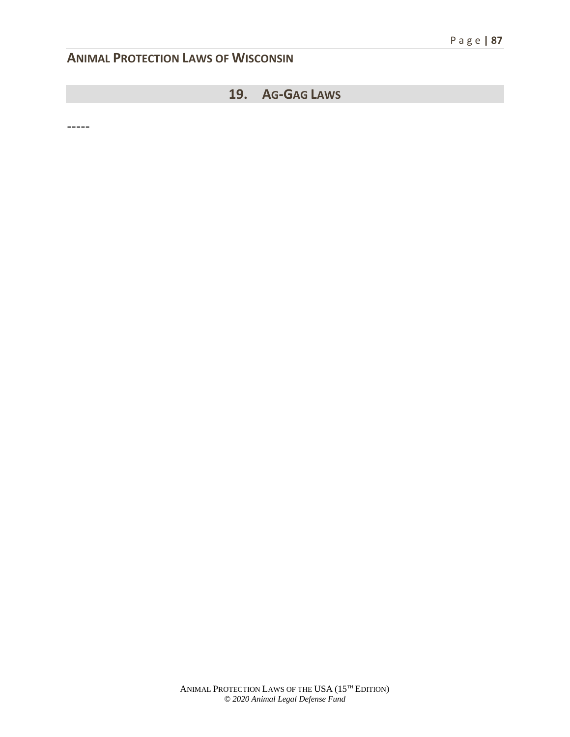# **19. AG-GAG LAWS**

-----